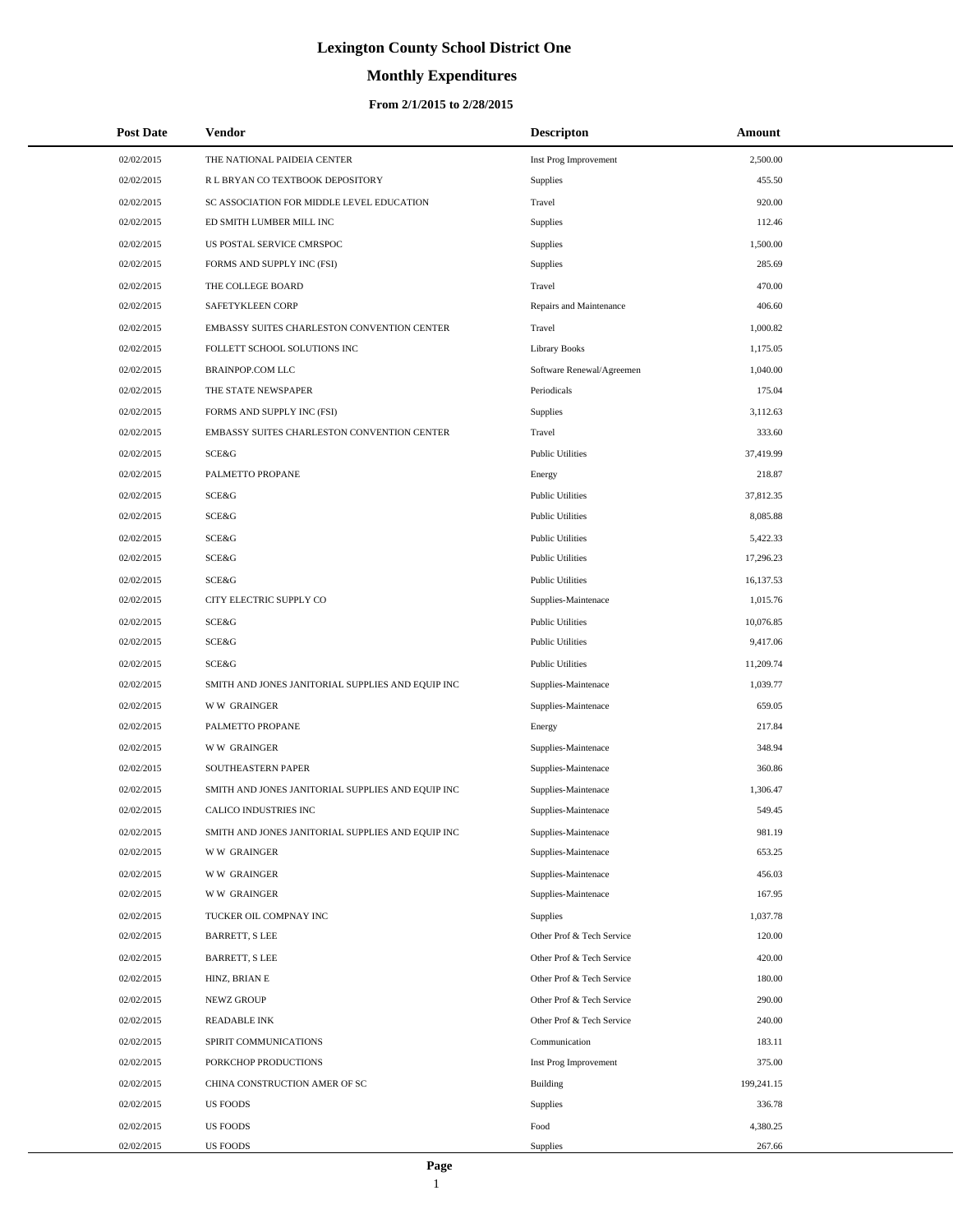# **Monthly Expenditures**

| <b>Post Date</b> | Vendor                                            | <b>Descripton</b>         | Amount     |
|------------------|---------------------------------------------------|---------------------------|------------|
| 02/02/2015       | THE NATIONAL PAIDEIA CENTER                       | Inst Prog Improvement     | 2,500.00   |
| 02/02/2015       | R L BRYAN CO TEXTBOOK DEPOSITORY                  | <b>Supplies</b>           | 455.50     |
| 02/02/2015       | SC ASSOCIATION FOR MIDDLE LEVEL EDUCATION         | Travel                    | 920.00     |
| 02/02/2015       | ED SMITH LUMBER MILL INC                          | Supplies                  | 112.46     |
| 02/02/2015       | US POSTAL SERVICE CMRSPOC                         | <b>Supplies</b>           | 1,500.00   |
| 02/02/2015       | FORMS AND SUPPLY INC (FSI)                        | Supplies                  | 285.69     |
| 02/02/2015       | THE COLLEGE BOARD                                 | Travel                    | 470.00     |
| 02/02/2015       | <b>SAFETYKLEEN CORP</b>                           | Repairs and Maintenance   | 406.60     |
| 02/02/2015       | EMBASSY SUITES CHARLESTON CONVENTION CENTER       | Travel                    | 1,000.82   |
| 02/02/2015       | FOLLETT SCHOOL SOLUTIONS INC                      | <b>Library Books</b>      | 1,175.05   |
| 02/02/2015       | <b>BRAINPOP.COM LLC</b>                           | Software Renewal/Agreemen | 1,040.00   |
| 02/02/2015       | THE STATE NEWSPAPER                               | Periodicals               | 175.04     |
| 02/02/2015       | FORMS AND SUPPLY INC (FSI)                        | Supplies                  | 3,112.63   |
| 02/02/2015       | EMBASSY SUITES CHARLESTON CONVENTION CENTER       | Travel                    | 333.60     |
| 02/02/2015       | SCE&G                                             | <b>Public Utilities</b>   | 37,419.99  |
| 02/02/2015       | PALMETTO PROPANE                                  | Energy                    | 218.87     |
| 02/02/2015       | SCE&G                                             | <b>Public Utilities</b>   | 37,812.35  |
| 02/02/2015       | <b>SCE&amp;G</b>                                  | <b>Public Utilities</b>   | 8,085.88   |
| 02/02/2015       | SCE&G                                             | <b>Public Utilities</b>   | 5,422.33   |
| 02/02/2015       | SCE&G                                             | <b>Public Utilities</b>   | 17,296.23  |
| 02/02/2015       | SCE&G                                             | <b>Public Utilities</b>   | 16,137.53  |
| 02/02/2015       | CITY ELECTRIC SUPPLY CO                           | Supplies-Maintenace       | 1,015.76   |
| 02/02/2015       | SCE&G                                             | <b>Public Utilities</b>   | 10,076.85  |
| 02/02/2015       | SCE&G                                             | <b>Public Utilities</b>   | 9,417.06   |
| 02/02/2015       | SCE&G                                             | <b>Public Utilities</b>   | 11,209.74  |
| 02/02/2015       | SMITH AND JONES JANITORIAL SUPPLIES AND EQUIP INC | Supplies-Maintenace       | 1,039.77   |
| 02/02/2015       | <b>WW GRAINGER</b>                                | Supplies-Maintenace       | 659.05     |
| 02/02/2015       | PALMETTO PROPANE                                  | Energy                    | 217.84     |
| 02/02/2015       | <b>WW GRAINGER</b>                                | Supplies-Maintenace       | 348.94     |
| 02/02/2015       | SOUTHEASTERN PAPER                                | Supplies-Maintenace       | 360.86     |
| 02/02/2015       | SMITH AND JONES JANITORIAL SUPPLIES AND EQUIP INC | Supplies-Maintenace       | 1,306.47   |
| 02/02/2015       | <b>CALICO INDUSTRIES INC</b>                      | Supplies-Maintenace       | 549.45     |
| 02/02/2015       | SMITH AND JONES JANITORIAL SUPPLIES AND EQUIP INC | Supplies-Maintenace       | 981.19     |
| 02/02/2015       | <b>WW GRAINGER</b>                                | Supplies-Maintenace       | 653.25     |
| 02/02/2015       | <b>WW GRAINGER</b>                                | Supplies-Maintenace       | 456.03     |
| 02/02/2015       | <b>WW GRAINGER</b>                                | Supplies-Maintenace       | 167.95     |
| 02/02/2015       | TUCKER OIL COMPNAY INC                            | Supplies                  | 1,037.78   |
| 02/02/2015       | <b>BARRETT, S LEE</b>                             | Other Prof & Tech Service | 120.00     |
| 02/02/2015       | <b>BARRETT, S LEE</b>                             | Other Prof & Tech Service | 420.00     |
| 02/02/2015       | HINZ, BRIAN E                                     | Other Prof & Tech Service | 180.00     |
| 02/02/2015       | NEWZ GROUP                                        | Other Prof & Tech Service | 290.00     |
| 02/02/2015       | <b>READABLE INK</b>                               | Other Prof & Tech Service | 240.00     |
| 02/02/2015       | SPIRIT COMMUNICATIONS                             | Communication             | 183.11     |
| 02/02/2015       | PORKCHOP PRODUCTIONS                              | Inst Prog Improvement     | 375.00     |
| 02/02/2015       | CHINA CONSTRUCTION AMER OF SC                     | Building                  | 199,241.15 |
| 02/02/2015       | <b>US FOODS</b>                                   | Supplies                  | 336.78     |
| 02/02/2015       | <b>US FOODS</b>                                   | Food                      | 4,380.25   |
| 02/02/2015       | US FOODS                                          | Supplies                  | 267.66     |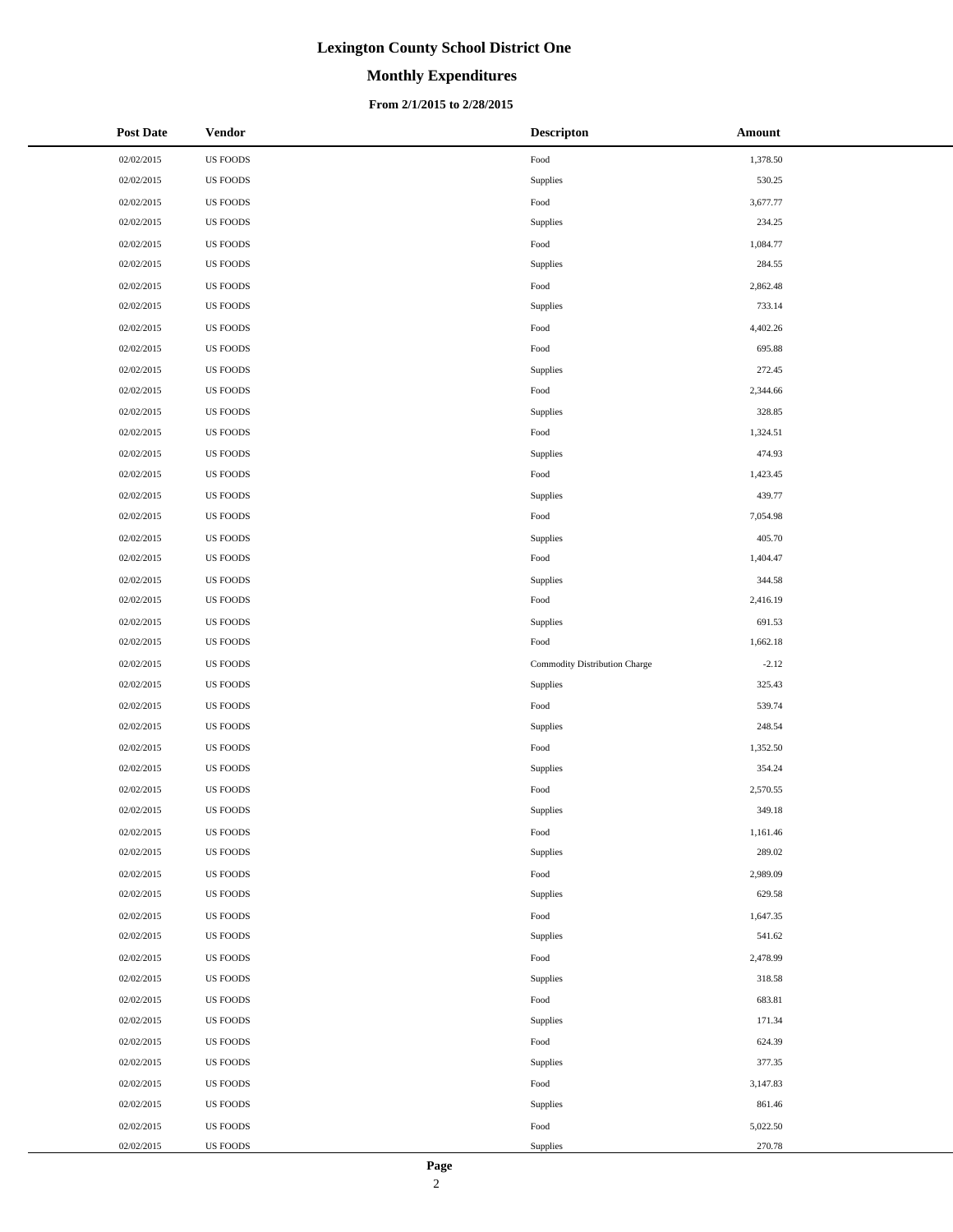# **Monthly Expenditures**

#### **From 2/1/2015 to 2/28/2015**

| <b>Post Date</b> | <b>Vendor</b>   | <b>Descripton</b>             | Amount   |
|------------------|-----------------|-------------------------------|----------|
| 02/02/2015       | <b>US FOODS</b> | Food                          | 1,378.50 |
| 02/02/2015       | <b>US FOODS</b> | Supplies                      | 530.25   |
| 02/02/2015       | US FOODS        | $\operatorname*{Food}$        | 3,677.77 |
| 02/02/2015       | <b>US FOODS</b> | Supplies                      | 234.25   |
| 02/02/2015       | <b>US FOODS</b> | Food                          | 1,084.77 |
| 02/02/2015       | <b>US FOODS</b> | Supplies                      | 284.55   |
| 02/02/2015       | <b>US FOODS</b> | Food                          | 2,862.48 |
| 02/02/2015       | <b>US FOODS</b> | Supplies                      | 733.14   |
| 02/02/2015       | <b>US FOODS</b> | Food                          | 4,402.26 |
| 02/02/2015       | <b>US FOODS</b> | Food                          | 695.88   |
| 02/02/2015       | US FOODS        | Supplies                      | 272.45   |
| 02/02/2015       | <b>US FOODS</b> | Food                          | 2,344.66 |
| 02/02/2015       | <b>US FOODS</b> | Supplies                      | 328.85   |
| 02/02/2015       | <b>US FOODS</b> | Food                          | 1,324.51 |
| 02/02/2015       | <b>US FOODS</b> | Supplies                      | 474.93   |
| 02/02/2015       | <b>US FOODS</b> | Food                          | 1,423.45 |
| 02/02/2015       | <b>US FOODS</b> | Supplies                      | 439.77   |
| 02/02/2015       | <b>US FOODS</b> | Food                          | 7,054.98 |
| 02/02/2015       | US FOODS        | Supplies                      | 405.70   |
| 02/02/2015       | <b>US FOODS</b> | Food                          | 1,404.47 |
| 02/02/2015       | <b>US FOODS</b> | Supplies                      | 344.58   |
| 02/02/2015       | <b>US FOODS</b> | Food                          | 2,416.19 |
| 02/02/2015       | <b>US FOODS</b> | Supplies                      | 691.53   |
| 02/02/2015       | <b>US FOODS</b> | Food                          | 1,662.18 |
| 02/02/2015       | <b>US FOODS</b> | Commodity Distribution Charge | $-2.12$  |
| 02/02/2015       | <b>US FOODS</b> | Supplies                      | 325.43   |
| 02/02/2015       | US FOODS        | Food                          | 539.74   |
| 02/02/2015       | <b>US FOODS</b> | Supplies                      | 248.54   |
| 02/02/2015       | <b>US FOODS</b> | Food                          | 1,352.50 |
| 02/02/2015       | <b>US FOODS</b> | Supplies                      | 354.24   |
| 02/02/2015       | US FOODS        | Food                          | 2,570.55 |
| 02/02/2015       | <b>US FOODS</b> | Supplies                      | 349.18   |
| 02/02/2015       | <b>US FOODS</b> | Food                          | 1,161.46 |
| 02/02/2015       | <b>US FOODS</b> | Supplies                      | 289.02   |
| 02/02/2015       | <b>US FOODS</b> | Food                          | 2,989.09 |
| 02/02/2015       | US FOODS        | Supplies                      | 629.58   |
| 02/02/2015       | US FOODS        | Food                          | 1,647.35 |
| 02/02/2015       | US FOODS        | Supplies                      | 541.62   |
| 02/02/2015       | US FOODS        | Food                          | 2,478.99 |
| 02/02/2015       | <b>US FOODS</b> | Supplies                      | 318.58   |
| 02/02/2015       | US FOODS        | Food                          | 683.81   |
| 02/02/2015       | <b>US FOODS</b> | Supplies                      | 171.34   |
| 02/02/2015       | <b>US FOODS</b> | Food                          | 624.39   |
| 02/02/2015       | <b>US FOODS</b> | Supplies                      | 377.35   |
| 02/02/2015       | US FOODS        | Food                          | 3,147.83 |
| 02/02/2015       | <b>US FOODS</b> | Supplies                      | 861.46   |
| 02/02/2015       | <b>US FOODS</b> | Food                          | 5,022.50 |
| 02/02/2015       | <b>US FOODS</b> | Supplies                      | 270.78   |

 $\overline{a}$  $\overline{\phantom{0}}$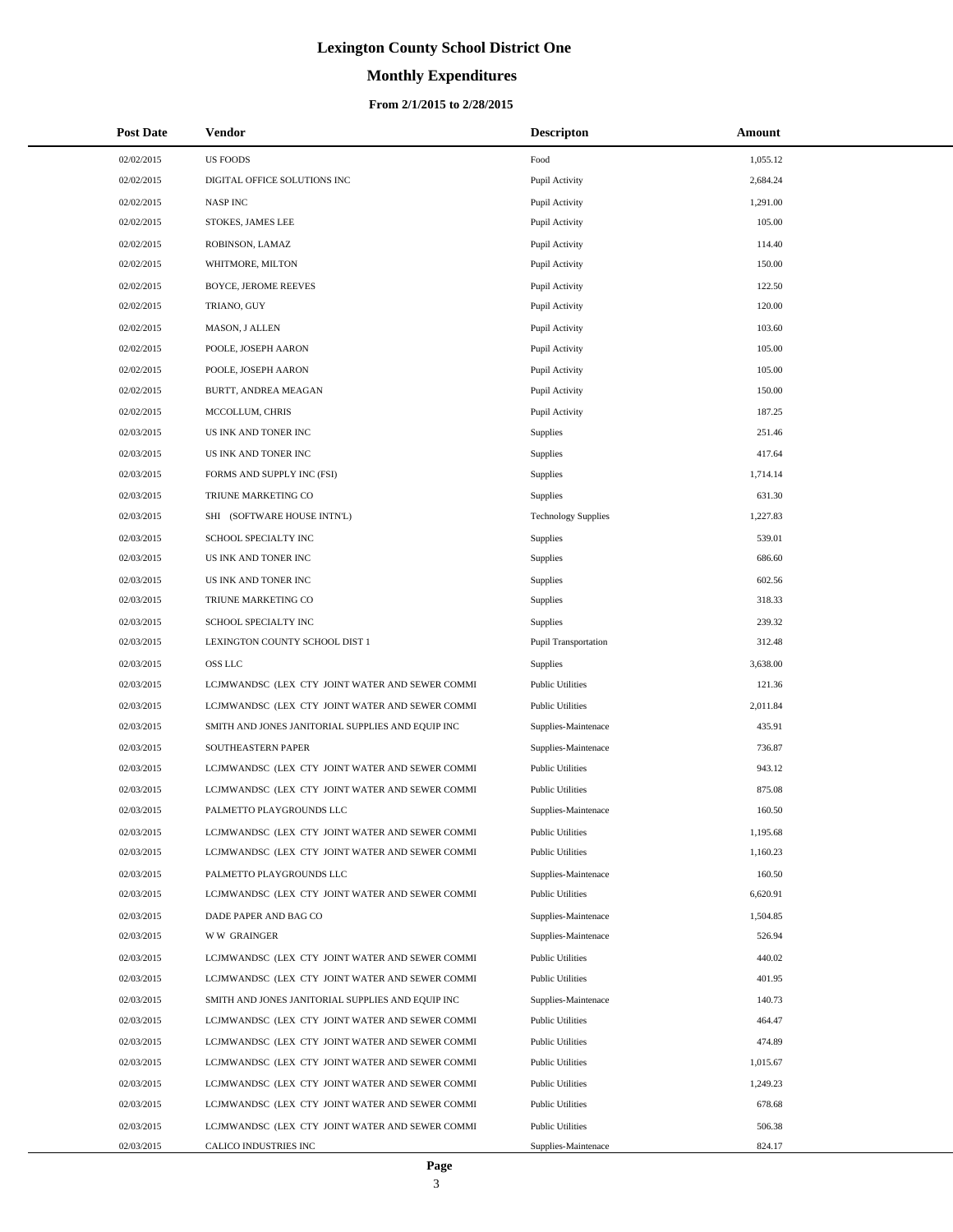# **Monthly Expenditures**

| <b>Post Date</b>         | <b>Vendor</b>                                                                                      | <b>Descripton</b>                              | Amount             |  |
|--------------------------|----------------------------------------------------------------------------------------------------|------------------------------------------------|--------------------|--|
| 02/02/2015               | <b>US FOODS</b>                                                                                    | Food                                           | 1,055.12           |  |
| 02/02/2015               | DIGITAL OFFICE SOLUTIONS INC                                                                       | Pupil Activity                                 | 2,684.24           |  |
| 02/02/2015               | <b>NASPINC</b>                                                                                     | Pupil Activity                                 | 1,291.00           |  |
| 02/02/2015               | STOKES, JAMES LEE                                                                                  | Pupil Activity                                 | 105.00             |  |
| 02/02/2015               | ROBINSON, LAMAZ                                                                                    | Pupil Activity                                 | 114.40             |  |
| 02/02/2015               | WHITMORE, MILTON                                                                                   | Pupil Activity                                 | 150.00             |  |
| 02/02/2015               | <b>BOYCE, JEROME REEVES</b>                                                                        | Pupil Activity                                 | 122.50             |  |
| 02/02/2015               | TRIANO, GUY                                                                                        | Pupil Activity                                 | 120.00             |  |
| 02/02/2015               | MASON, J ALLEN                                                                                     | Pupil Activity                                 | 103.60             |  |
| 02/02/2015               | POOLE, JOSEPH AARON                                                                                | Pupil Activity                                 | 105.00             |  |
| 02/02/2015               | POOLE, JOSEPH AARON                                                                                | Pupil Activity                                 | 105.00             |  |
| 02/02/2015               | BURTT, ANDREA MEAGAN                                                                               | Pupil Activity                                 | 150.00             |  |
| 02/02/2015               | MCCOLLUM, CHRIS                                                                                    | Pupil Activity                                 | 187.25             |  |
| 02/03/2015               | US INK AND TONER INC                                                                               | Supplies                                       | 251.46             |  |
| 02/03/2015               | US INK AND TONER INC                                                                               | Supplies                                       | 417.64             |  |
| 02/03/2015               | FORMS AND SUPPLY INC (FSI)                                                                         | <b>Supplies</b>                                | 1,714.14           |  |
| 02/03/2015               | TRIUNE MARKETING CO                                                                                | Supplies                                       | 631.30             |  |
| 02/03/2015               | SHI (SOFTWARE HOUSE INTN'L)                                                                        | <b>Technology Supplies</b>                     | 1,227.83           |  |
| 02/03/2015               | SCHOOL SPECIALTY INC                                                                               | Supplies                                       | 539.01             |  |
| 02/03/2015               | US INK AND TONER INC                                                                               | <b>Supplies</b>                                | 686.60             |  |
| 02/03/2015               | US INK AND TONER INC                                                                               | Supplies                                       | 602.56             |  |
| 02/03/2015               | TRIUNE MARKETING CO                                                                                | Supplies                                       | 318.33             |  |
| 02/03/2015               | SCHOOL SPECIALTY INC                                                                               | Supplies                                       | 239.32             |  |
| 02/03/2015               | LEXINGTON COUNTY SCHOOL DIST 1                                                                     | Pupil Transportation                           | 312.48             |  |
| 02/03/2015               | <b>OSS LLC</b>                                                                                     | Supplies                                       | 3,638.00           |  |
| 02/03/2015               | LCJMWANDSC (LEX CTY JOINT WATER AND SEWER COMMI                                                    | <b>Public Utilities</b>                        | 121.36             |  |
| 02/03/2015               | LCJMWANDSC (LEX CTY JOINT WATER AND SEWER COMMI                                                    | <b>Public Utilities</b>                        | 2,011.84           |  |
| 02/03/2015               | SMITH AND JONES JANITORIAL SUPPLIES AND EQUIP INC                                                  | Supplies-Maintenace                            | 435.91             |  |
| 02/03/2015               | SOUTHEASTERN PAPER                                                                                 | Supplies-Maintenace                            | 736.87             |  |
| 02/03/2015               | LCJMWANDSC (LEX CTY JOINT WATER AND SEWER COMMI                                                    | <b>Public Utilities</b>                        | 943.12             |  |
| 02/03/2015               | LCJMWANDSC (LEX CTY JOINT WATER AND SEWER COMMI                                                    | <b>Public Utilities</b>                        | 875.08             |  |
| 02/03/2015               | PALMETTO PLAYGROUNDS LLC                                                                           | Supplies-Maintenace                            | 160.50             |  |
| 02/03/2015<br>02/03/2015 | LCJMWANDSC (LEX CTY JOINT WATER AND SEWER COMMI<br>LCJMWANDSC (LEX CTY JOINT WATER AND SEWER COMMI | <b>Public Utilities</b>                        | 1,195.68           |  |
|                          |                                                                                                    | <b>Public Utilities</b>                        | 1,160.23           |  |
| 02/03/2015<br>02/03/2015 | PALMETTO PLAYGROUNDS LLC<br>LCJMWANDSC (LEX CTY JOINT WATER AND SEWER COMMI                        | Supplies-Maintenace<br><b>Public Utilities</b> | 160.50<br>6,620.91 |  |
| 02/03/2015               | DADE PAPER AND BAG CO                                                                              |                                                | 1,504.85           |  |
| 02/03/2015               | <b>WW GRAINGER</b>                                                                                 | Supplies-Maintenace<br>Supplies-Maintenace     | 526.94             |  |
| 02/03/2015               | LCJMWANDSC (LEX CTY JOINT WATER AND SEWER COMMI                                                    | <b>Public Utilities</b>                        | 440.02             |  |
| 02/03/2015               | LCJMWANDSC (LEX CTY JOINT WATER AND SEWER COMMI                                                    | <b>Public Utilities</b>                        | 401.95             |  |
| 02/03/2015               | SMITH AND JONES JANITORIAL SUPPLIES AND EQUIP INC                                                  | Supplies-Maintenace                            | 140.73             |  |
| 02/03/2015               | LCJMWANDSC (LEX CTY JOINT WATER AND SEWER COMMI                                                    | <b>Public Utilities</b>                        | 464.47             |  |
| 02/03/2015               | LCJMWANDSC (LEX CTY JOINT WATER AND SEWER COMMI                                                    | <b>Public Utilities</b>                        | 474.89             |  |
| 02/03/2015               | LCJMWANDSC (LEX CTY JOINT WATER AND SEWER COMMI                                                    | <b>Public Utilities</b>                        | 1,015.67           |  |
| 02/03/2015               | LCJMWANDSC (LEX CTY JOINT WATER AND SEWER COMMI                                                    | <b>Public Utilities</b>                        | 1,249.23           |  |
| 02/03/2015               | LCJMWANDSC (LEX CTY JOINT WATER AND SEWER COMMI                                                    | <b>Public Utilities</b>                        | 678.68             |  |
| 02/03/2015               | LCJMWANDSC (LEX CTY JOINT WATER AND SEWER COMMI                                                    | <b>Public Utilities</b>                        | 506.38             |  |
| 02/03/2015               | CALICO INDUSTRIES INC                                                                              | Supplies-Maintenace                            | 824.17             |  |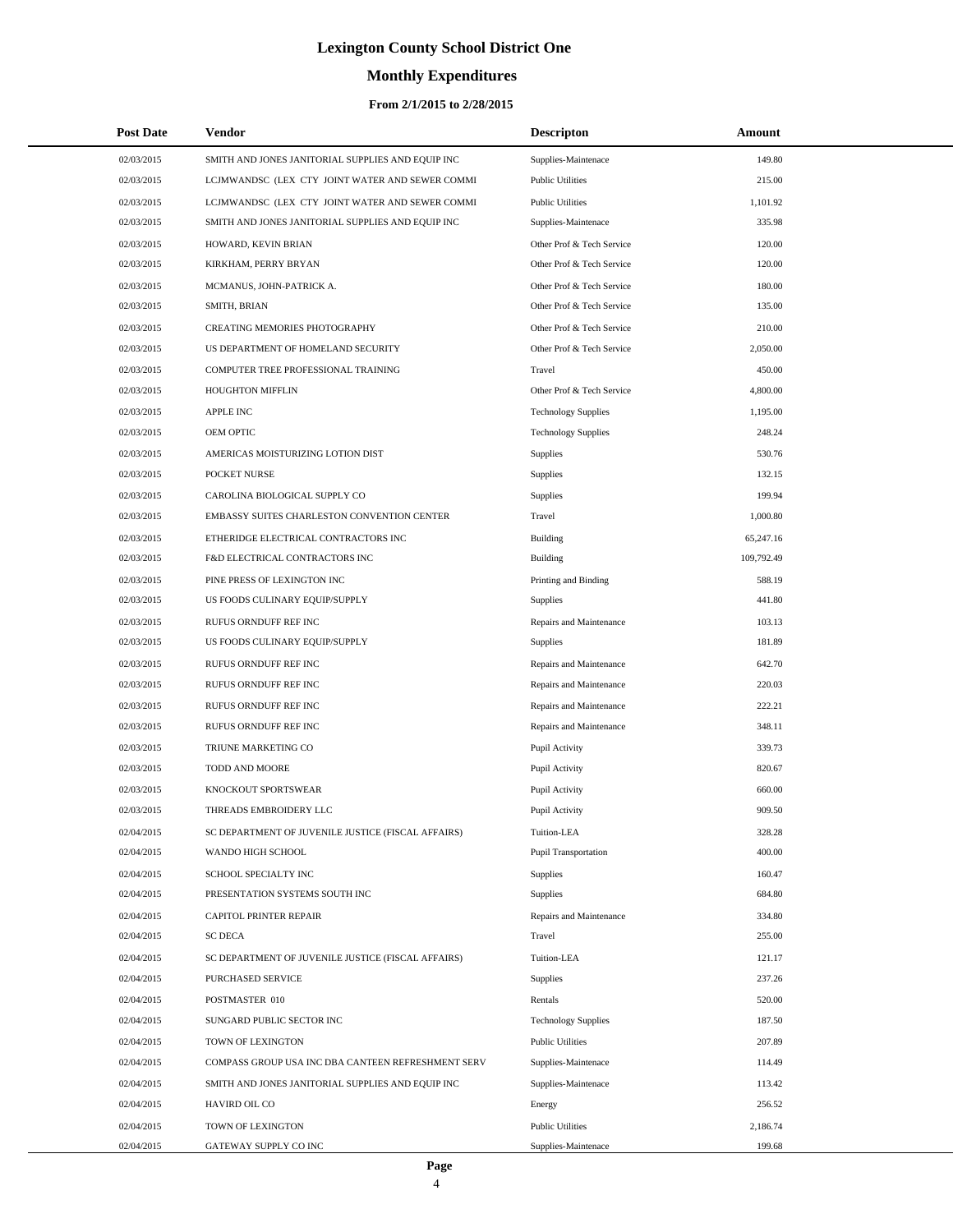# **Monthly Expenditures**

| <b>Post Date</b> | Vendor                                             | <b>Descripton</b>           | Amount     |  |
|------------------|----------------------------------------------------|-----------------------------|------------|--|
| 02/03/2015       | SMITH AND JONES JANITORIAL SUPPLIES AND EQUIP INC  | Supplies-Maintenace         | 149.80     |  |
| 02/03/2015       | LCJMWANDSC (LEX CTY JOINT WATER AND SEWER COMMI    | <b>Public Utilities</b>     | 215.00     |  |
| 02/03/2015       | LCJMWANDSC (LEX CTY JOINT WATER AND SEWER COMMI    | <b>Public Utilities</b>     | 1,101.92   |  |
| 02/03/2015       | SMITH AND JONES JANITORIAL SUPPLIES AND EQUIP INC  | Supplies-Maintenace         | 335.98     |  |
| 02/03/2015       | HOWARD, KEVIN BRIAN                                | Other Prof & Tech Service   | 120.00     |  |
| 02/03/2015       | KIRKHAM, PERRY BRYAN                               | Other Prof & Tech Service   | 120.00     |  |
| 02/03/2015       | MCMANUS, JOHN-PATRICK A.                           | Other Prof & Tech Service   | 180.00     |  |
| 02/03/2015       | SMITH, BRIAN                                       | Other Prof & Tech Service   | 135.00     |  |
| 02/03/2015       | CREATING MEMORIES PHOTOGRAPHY                      | Other Prof & Tech Service   | 210.00     |  |
| 02/03/2015       | US DEPARTMENT OF HOMELAND SECURITY                 | Other Prof & Tech Service   | 2,050.00   |  |
| 02/03/2015       | COMPUTER TREE PROFESSIONAL TRAINING                | Travel                      | 450.00     |  |
| 02/03/2015       | HOUGHTON MIFFLIN                                   | Other Prof & Tech Service   | 4,800.00   |  |
| 02/03/2015       | <b>APPLE INC</b>                                   | <b>Technology Supplies</b>  | 1,195.00   |  |
| 02/03/2015       | OEM OPTIC                                          | <b>Technology Supplies</b>  | 248.24     |  |
| 02/03/2015       | AMERICAS MOISTURIZING LOTION DIST                  | Supplies                    | 530.76     |  |
| 02/03/2015       | POCKET NURSE                                       | <b>Supplies</b>             | 132.15     |  |
| 02/03/2015       | CAROLINA BIOLOGICAL SUPPLY CO                      | <b>Supplies</b>             | 199.94     |  |
| 02/03/2015       | EMBASSY SUITES CHARLESTON CONVENTION CENTER        | Travel                      | 1,000.80   |  |
| 02/03/2015       | ETHERIDGE ELECTRICAL CONTRACTORS INC               | Building                    | 65,247.16  |  |
| 02/03/2015       | F&D ELECTRICAL CONTRACTORS INC                     | <b>Building</b>             | 109,792.49 |  |
| 02/03/2015       | PINE PRESS OF LEXINGTON INC                        | Printing and Binding        | 588.19     |  |
| 02/03/2015       | US FOODS CULINARY EQUIP/SUPPLY                     | Supplies                    | 441.80     |  |
| 02/03/2015       | RUFUS ORNDUFF REF INC                              | Repairs and Maintenance     | 103.13     |  |
| 02/03/2015       | US FOODS CULINARY EQUIP/SUPPLY                     | Supplies                    | 181.89     |  |
| 02/03/2015       | RUFUS ORNDUFF REF INC                              | Repairs and Maintenance     | 642.70     |  |
| 02/03/2015       | RUFUS ORNDUFF REF INC                              | Repairs and Maintenance     | 220.03     |  |
| 02/03/2015       | RUFUS ORNDUFF REF INC                              | Repairs and Maintenance     | 222.21     |  |
| 02/03/2015       | RUFUS ORNDUFF REF INC                              | Repairs and Maintenance     | 348.11     |  |
| 02/03/2015       | TRIUNE MARKETING CO                                | Pupil Activity              | 339.73     |  |
| 02/03/2015       | TODD AND MOORE                                     | Pupil Activity              | 820.67     |  |
| 02/03/2015       | KNOCKOUT SPORTSWEAR                                | Pupil Activity              | 660.00     |  |
| 02/03/2015       | THREADS EMBROIDERY LLC                             | Pupil Activity              | 909.50     |  |
| 02/04/2015       | SC DEPARTMENT OF JUVENILE JUSTICE (FISCAL AFFAIRS) | Tuition-LEA                 | 328.28     |  |
| 02/04/2015       | WANDO HIGH SCHOOL                                  | <b>Pupil Transportation</b> | 400.00     |  |
| 02/04/2015       | SCHOOL SPECIALTY INC                               | Supplies                    | 160.47     |  |
| 02/04/2015       | PRESENTATION SYSTEMS SOUTH INC                     | Supplies                    | 684.80     |  |
| 02/04/2015       | CAPITOL PRINTER REPAIR                             | Repairs and Maintenance     | 334.80     |  |
| 02/04/2015       | <b>SC DECA</b>                                     | Travel                      | 255.00     |  |
| 02/04/2015       | SC DEPARTMENT OF JUVENILE JUSTICE (FISCAL AFFAIRS) | Tuition-LEA                 | 121.17     |  |
| 02/04/2015       | PURCHASED SERVICE                                  | Supplies                    | 237.26     |  |
| 02/04/2015       | POSTMASTER 010                                     | Rentals                     | 520.00     |  |
| 02/04/2015       | SUNGARD PUBLIC SECTOR INC                          | <b>Technology Supplies</b>  | 187.50     |  |
| 02/04/2015       | TOWN OF LEXINGTON                                  | <b>Public Utilities</b>     | 207.89     |  |
| 02/04/2015       | COMPASS GROUP USA INC DBA CANTEEN REFRESHMENT SERV | Supplies-Maintenace         | 114.49     |  |
| 02/04/2015       | SMITH AND JONES JANITORIAL SUPPLIES AND EQUIP INC  | Supplies-Maintenace         | 113.42     |  |
| 02/04/2015       | HAVIRD OIL CO                                      | Energy                      | 256.52     |  |
| 02/04/2015       | TOWN OF LEXINGTON                                  | <b>Public Utilities</b>     | 2,186.74   |  |
| 02/04/2015       | GATEWAY SUPPLY CO INC                              | Supplies-Maintenace         | 199.68     |  |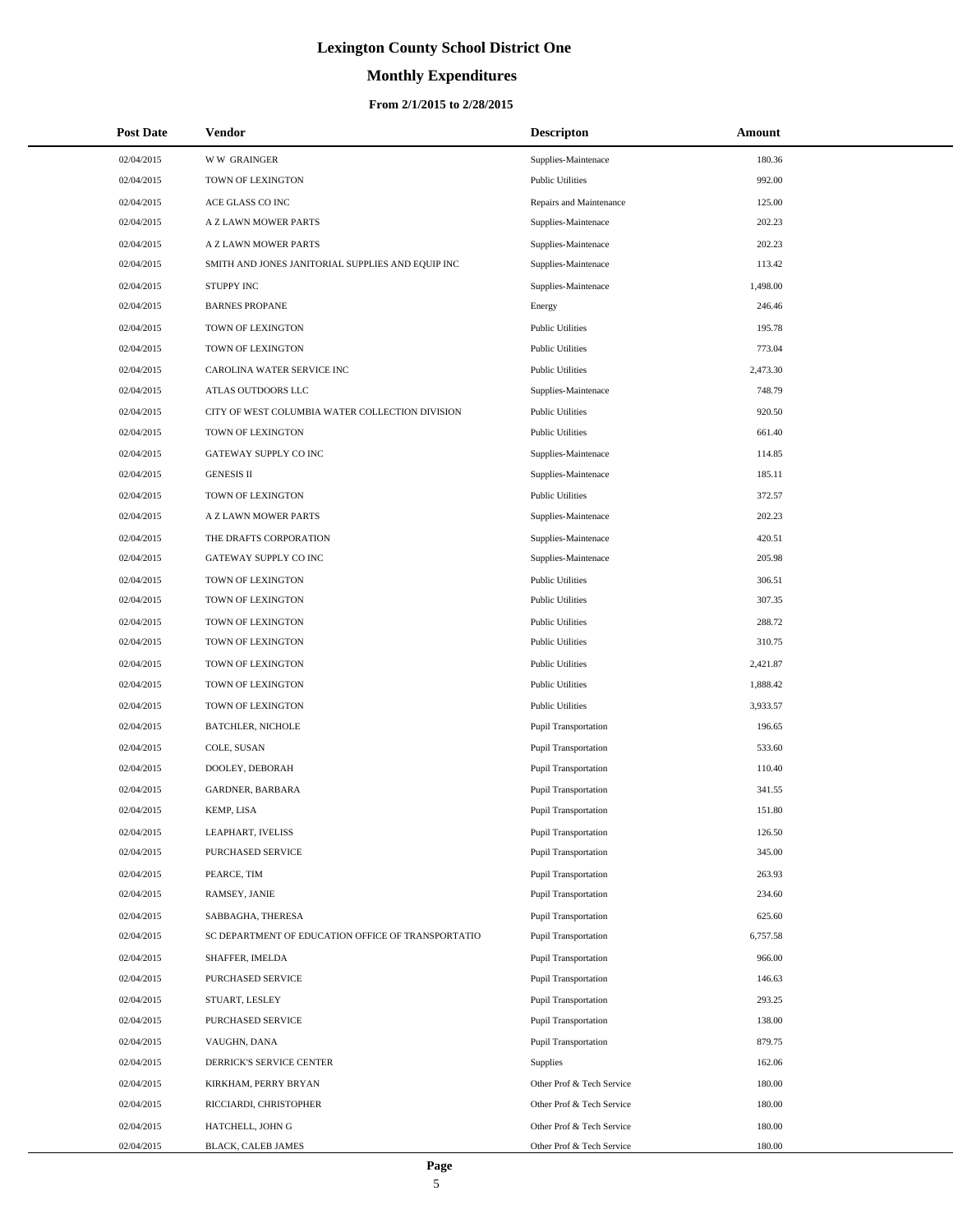# **Monthly Expenditures**

| <b>Post Date</b> | Vendor                                             | <b>Descripton</b>           | Amount   |
|------------------|----------------------------------------------------|-----------------------------|----------|
| 02/04/2015       | <b>WW GRAINGER</b>                                 | Supplies-Maintenace         | 180.36   |
| 02/04/2015       | TOWN OF LEXINGTON                                  | <b>Public Utilities</b>     | 992.00   |
| 02/04/2015       | ACE GLASS CO INC                                   | Repairs and Maintenance     | 125.00   |
| 02/04/2015       | A Z LAWN MOWER PARTS                               | Supplies-Maintenace         | 202.23   |
| 02/04/2015       | A Z LAWN MOWER PARTS                               | Supplies-Maintenace         | 202.23   |
| 02/04/2015       | SMITH AND JONES JANITORIAL SUPPLIES AND EQUIP INC  | Supplies-Maintenace         | 113.42   |
| 02/04/2015       | <b>STUPPY INC</b>                                  | Supplies-Maintenace         | 1,498.00 |
| 02/04/2015       | <b>BARNES PROPANE</b>                              | Energy                      | 246.46   |
| 02/04/2015       | TOWN OF LEXINGTON                                  | <b>Public Utilities</b>     | 195.78   |
| 02/04/2015       | TOWN OF LEXINGTON                                  | <b>Public Utilities</b>     | 773.04   |
| 02/04/2015       | CAROLINA WATER SERVICE INC                         | <b>Public Utilities</b>     | 2,473.30 |
| 02/04/2015       | ATLAS OUTDOORS LLC                                 | Supplies-Maintenace         | 748.79   |
| 02/04/2015       | CITY OF WEST COLUMBIA WATER COLLECTION DIVISION    | <b>Public Utilities</b>     | 920.50   |
| 02/04/2015       | TOWN OF LEXINGTON                                  | <b>Public Utilities</b>     | 661.40   |
| 02/04/2015       | GATEWAY SUPPLY CO INC                              | Supplies-Maintenace         | 114.85   |
| 02/04/2015       | <b>GENESIS II</b>                                  | Supplies-Maintenace         | 185.11   |
| 02/04/2015       | TOWN OF LEXINGTON                                  | <b>Public Utilities</b>     | 372.57   |
| 02/04/2015       | A Z LAWN MOWER PARTS                               | Supplies-Maintenace         | 202.23   |
| 02/04/2015       | THE DRAFTS CORPORATION                             | Supplies-Maintenace         | 420.51   |
| 02/04/2015       | GATEWAY SUPPLY CO INC                              | Supplies-Maintenace         | 205.98   |
| 02/04/2015       | TOWN OF LEXINGTON                                  | <b>Public Utilities</b>     | 306.51   |
| 02/04/2015       | TOWN OF LEXINGTON                                  | <b>Public Utilities</b>     | 307.35   |
| 02/04/2015       | TOWN OF LEXINGTON                                  | <b>Public Utilities</b>     | 288.72   |
| 02/04/2015       | TOWN OF LEXINGTON                                  | <b>Public Utilities</b>     | 310.75   |
| 02/04/2015       | TOWN OF LEXINGTON                                  | <b>Public Utilities</b>     | 2,421.87 |
| 02/04/2015       | TOWN OF LEXINGTON                                  | <b>Public Utilities</b>     | 1,888.42 |
| 02/04/2015       | TOWN OF LEXINGTON                                  | <b>Public Utilities</b>     | 3,933.57 |
| 02/04/2015       | <b>BATCHLER, NICHOLE</b>                           | <b>Pupil Transportation</b> | 196.65   |
| 02/04/2015       | COLE, SUSAN                                        | <b>Pupil Transportation</b> | 533.60   |
| 02/04/2015       | DOOLEY, DEBORAH                                    | Pupil Transportation        | 110.40   |
| 02/04/2015       | <b>GARDNER, BARBARA</b>                            | Pupil Transportation        | 341.55   |
| 02/04/2015       | KEMP, LISA                                         | Pupil Transportation        | 151.80   |
| 02/04/2015       | LEAPHART, IVELISS                                  | <b>Pupil Transportation</b> | 126.50   |
| 02/04/2015       | PURCHASED SERVICE                                  | <b>Pupil Transportation</b> | 345.00   |
| 02/04/2015       | PEARCE, TIM                                        | <b>Pupil Transportation</b> | 263.93   |
| 02/04/2015       | RAMSEY, JANIE                                      | <b>Pupil Transportation</b> | 234.60   |
| 02/04/2015       | SABBAGHA, THERESA                                  | <b>Pupil Transportation</b> | 625.60   |
| 02/04/2015       | SC DEPARTMENT OF EDUCATION OFFICE OF TRANSPORTATIO | <b>Pupil Transportation</b> | 6,757.58 |
| 02/04/2015       | SHAFFER, IMELDA                                    | <b>Pupil Transportation</b> | 966.00   |
| 02/04/2015       | PURCHASED SERVICE                                  | <b>Pupil Transportation</b> | 146.63   |
| 02/04/2015       | STUART, LESLEY                                     | <b>Pupil Transportation</b> | 293.25   |
| 02/04/2015       | PURCHASED SERVICE                                  | <b>Pupil Transportation</b> | 138.00   |
| 02/04/2015       | VAUGHN, DANA                                       | <b>Pupil Transportation</b> | 879.75   |
| 02/04/2015       | DERRICK'S SERVICE CENTER                           | <b>Supplies</b>             | 162.06   |
| 02/04/2015       | KIRKHAM, PERRY BRYAN                               | Other Prof & Tech Service   | 180.00   |
| 02/04/2015       | RICCIARDI, CHRISTOPHER                             | Other Prof & Tech Service   | 180.00   |
| 02/04/2015       | HATCHELL, JOHN G                                   | Other Prof & Tech Service   | 180.00   |
| 02/04/2015       | BLACK, CALEB JAMES                                 | Other Prof & Tech Service   | 180.00   |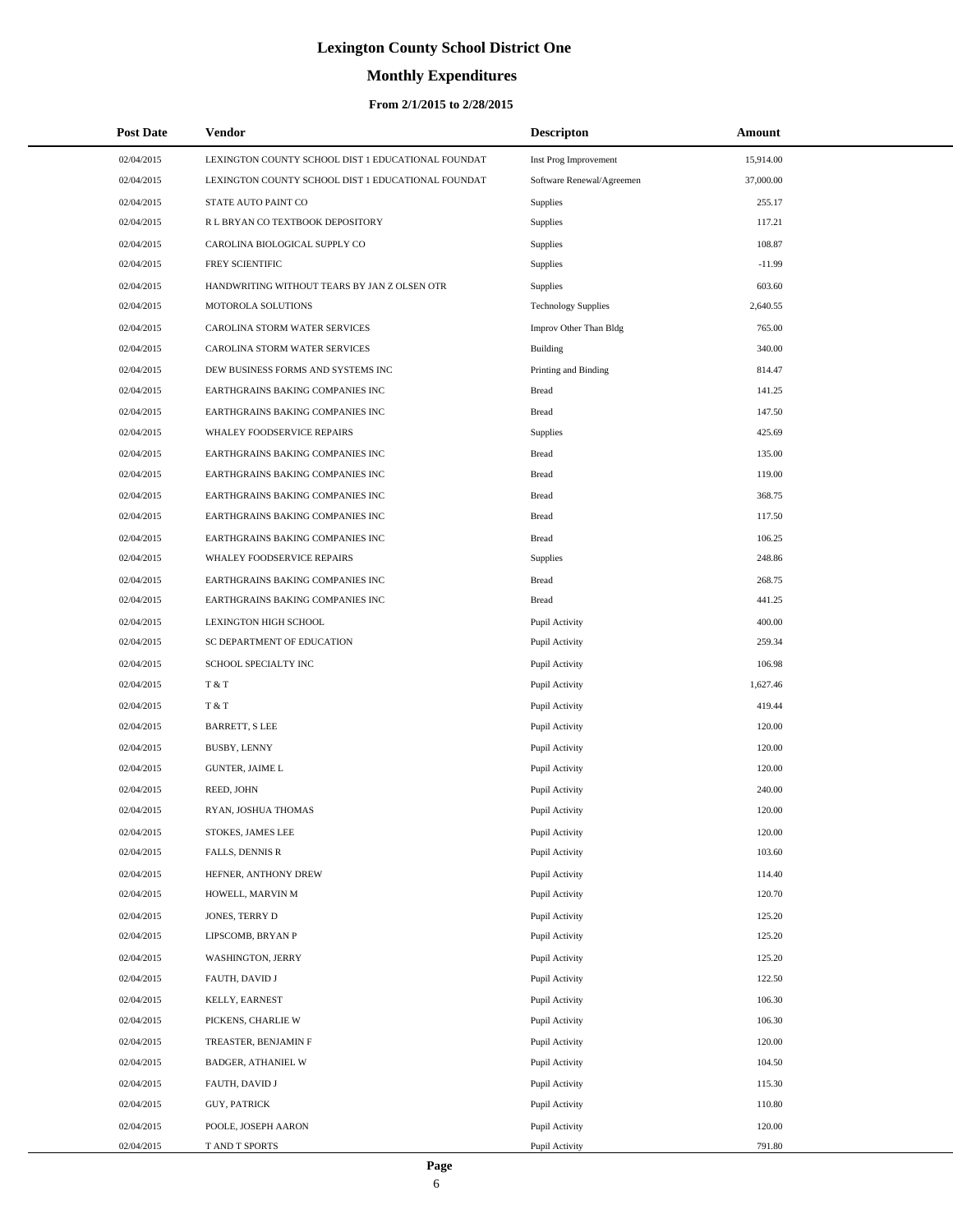# **Monthly Expenditures**

| <b>Post Date</b> | Vendor                                             | <b>Descripton</b>          | Amount    |
|------------------|----------------------------------------------------|----------------------------|-----------|
| 02/04/2015       | LEXINGTON COUNTY SCHOOL DIST 1 EDUCATIONAL FOUNDAT | Inst Prog Improvement      | 15,914.00 |
| 02/04/2015       | LEXINGTON COUNTY SCHOOL DIST 1 EDUCATIONAL FOUNDAT | Software Renewal/Agreemen  | 37,000.00 |
| 02/04/2015       | STATE AUTO PAINT CO                                | Supplies                   | 255.17    |
| 02/04/2015       | R L BRYAN CO TEXTBOOK DEPOSITORY                   | Supplies                   | 117.21    |
| 02/04/2015       | CAROLINA BIOLOGICAL SUPPLY CO                      | Supplies                   | 108.87    |
| 02/04/2015       | FREY SCIENTIFIC                                    | Supplies                   | $-11.99$  |
| 02/04/2015       | HANDWRITING WITHOUT TEARS BY JAN Z OLSEN OTR       | Supplies                   | 603.60    |
| 02/04/2015       | MOTOROLA SOLUTIONS                                 | <b>Technology Supplies</b> | 2,640.55  |
| 02/04/2015       | CAROLINA STORM WATER SERVICES                      | Improv Other Than Bldg     | 765.00    |
| 02/04/2015       | CAROLINA STORM WATER SERVICES                      | <b>Building</b>            | 340.00    |
| 02/04/2015       | DEW BUSINESS FORMS AND SYSTEMS INC                 | Printing and Binding       | 814.47    |
| 02/04/2015       | EARTHGRAINS BAKING COMPANIES INC                   | <b>Bread</b>               | 141.25    |
| 02/04/2015       | EARTHGRAINS BAKING COMPANIES INC                   | <b>Bread</b>               | 147.50    |
| 02/04/2015       | WHALEY FOODSERVICE REPAIRS                         | Supplies                   | 425.69    |
| 02/04/2015       | EARTHGRAINS BAKING COMPANIES INC                   | <b>Bread</b>               | 135.00    |
| 02/04/2015       | EARTHGRAINS BAKING COMPANIES INC                   | <b>Bread</b>               | 119.00    |
| 02/04/2015       | EARTHGRAINS BAKING COMPANIES INC                   | <b>Bread</b>               | 368.75    |
| 02/04/2015       | EARTHGRAINS BAKING COMPANIES INC                   | <b>Bread</b>               | 117.50    |
| 02/04/2015       | EARTHGRAINS BAKING COMPANIES INC                   | <b>Bread</b>               | 106.25    |
| 02/04/2015       | WHALEY FOODSERVICE REPAIRS                         | Supplies                   | 248.86    |
| 02/04/2015       | EARTHGRAINS BAKING COMPANIES INC                   | <b>Bread</b>               | 268.75    |
| 02/04/2015       | EARTHGRAINS BAKING COMPANIES INC                   | <b>Bread</b>               | 441.25    |
| 02/04/2015       | LEXINGTON HIGH SCHOOL                              | Pupil Activity             | 400.00    |
| 02/04/2015       | SC DEPARTMENT OF EDUCATION                         | Pupil Activity             | 259.34    |
| 02/04/2015       | SCHOOL SPECIALTY INC                               | Pupil Activity             | 106.98    |
| 02/04/2015       | T & T                                              | Pupil Activity             | 1,627.46  |
| 02/04/2015       | T & T                                              | Pupil Activity             | 419.44    |
| 02/04/2015       | <b>BARRETT, S LEE</b>                              | Pupil Activity             | 120.00    |
| 02/04/2015       | BUSBY, LENNY                                       | Pupil Activity             | 120.00    |
| 02/04/2015       | <b>GUNTER, JAIME L</b>                             | Pupil Activity             | 120.00    |
| 02/04/2015       | REED, JOHN                                         | Pupil Activity             | 240.00    |
| 02/04/2015       | RYAN, JOSHUA THOMAS                                | Pupil Activity             | 120.00    |
| 02/04/2015       | STOKES, JAMES LEE                                  | Pupil Activity             | 120.00    |
| 02/04/2015       | FALLS, DENNIS R                                    | Pupil Activity             | 103.60    |
| 02/04/2015       | HEFNER, ANTHONY DREW                               | Pupil Activity             | 114.40    |
| 02/04/2015       | HOWELL, MARVIN M                                   | Pupil Activity             | 120.70    |
| 02/04/2015       | JONES, TERRY D                                     | Pupil Activity             | 125.20    |
| 02/04/2015       | LIPSCOMB, BRYAN P                                  | Pupil Activity             | 125.20    |
| 02/04/2015       | WASHINGTON, JERRY                                  | Pupil Activity             | 125.20    |
| 02/04/2015       | FAUTH, DAVID J                                     | Pupil Activity             | 122.50    |
| 02/04/2015       | KELLY, EARNEST                                     | Pupil Activity             | 106.30    |
| 02/04/2015       | PICKENS, CHARLIE W                                 | Pupil Activity             | 106.30    |
| 02/04/2015       | TREASTER, BENJAMIN F                               | Pupil Activity             | 120.00    |
| 02/04/2015       | BADGER, ATHANIEL W                                 | Pupil Activity             | 104.50    |
| 02/04/2015       | FAUTH, DAVID J                                     | Pupil Activity             | 115.30    |
| 02/04/2015       | GUY, PATRICK                                       | Pupil Activity             | 110.80    |
| 02/04/2015       | POOLE, JOSEPH AARON                                | Pupil Activity             | 120.00    |
| 02/04/2015       | T AND T SPORTS                                     | Pupil Activity             | 791.80    |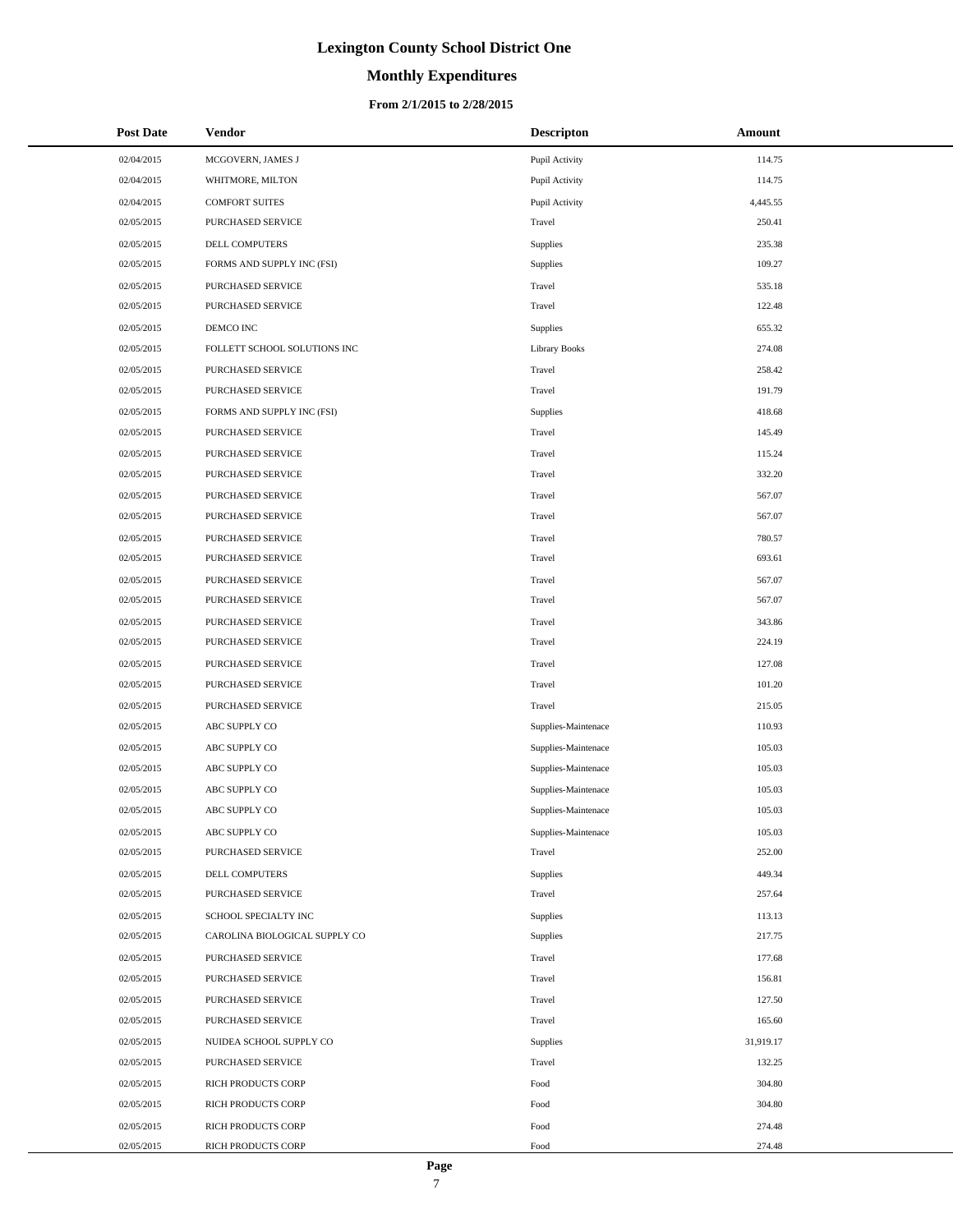# **Monthly Expenditures**

#### **From 2/1/2015 to 2/28/2015**

| <b>Post Date</b> | <b>Vendor</b>                 | <b>Descripton</b>   | Amount    |
|------------------|-------------------------------|---------------------|-----------|
| 02/04/2015       | MCGOVERN, JAMES J             | Pupil Activity      | 114.75    |
| 02/04/2015       | WHITMORE, MILTON              | Pupil Activity      | 114.75    |
| 02/04/2015       | <b>COMFORT SUITES</b>         | Pupil Activity      | 4,445.55  |
| 02/05/2015       | PURCHASED SERVICE             | Travel              | 250.41    |
| 02/05/2015       | DELL COMPUTERS                | <b>Supplies</b>     | 235.38    |
| 02/05/2015       | FORMS AND SUPPLY INC (FSI)    | <b>Supplies</b>     | 109.27    |
| 02/05/2015       | PURCHASED SERVICE             | Travel              | 535.18    |
| 02/05/2015       | PURCHASED SERVICE             | Travel              | 122.48    |
| 02/05/2015       | DEMCO INC                     | <b>Supplies</b>     | 655.32    |
| 02/05/2015       | FOLLETT SCHOOL SOLUTIONS INC  | Library Books       | 274.08    |
| 02/05/2015       | PURCHASED SERVICE             | Travel              | 258.42    |
| 02/05/2015       | PURCHASED SERVICE             | Travel              | 191.79    |
| 02/05/2015       | FORMS AND SUPPLY INC (FSI)    | <b>Supplies</b>     | 418.68    |
| 02/05/2015       | PURCHASED SERVICE             | Travel              | 145.49    |
| 02/05/2015       | PURCHASED SERVICE             | Travel              | 115.24    |
| 02/05/2015       | PURCHASED SERVICE             | Travel              | 332.20    |
| 02/05/2015       | PURCHASED SERVICE             | Travel              | 567.07    |
| 02/05/2015       | PURCHASED SERVICE             | Travel              | 567.07    |
| 02/05/2015       | PURCHASED SERVICE             | Travel              | 780.57    |
| 02/05/2015       | PURCHASED SERVICE             | Travel              | 693.61    |
| 02/05/2015       | PURCHASED SERVICE             | Travel              | 567.07    |
| 02/05/2015       | PURCHASED SERVICE             | Travel              | 567.07    |
| 02/05/2015       | PURCHASED SERVICE             | Travel              | 343.86    |
| 02/05/2015       | PURCHASED SERVICE             | Travel              | 224.19    |
| 02/05/2015       | PURCHASED SERVICE             | Travel              | 127.08    |
| 02/05/2015       | PURCHASED SERVICE             | Travel              | 101.20    |
| 02/05/2015       | PURCHASED SERVICE             | Travel              | 215.05    |
| 02/05/2015       | ABC SUPPLY CO                 | Supplies-Maintenace | 110.93    |
| 02/05/2015       | ABC SUPPLY CO                 | Supplies-Maintenace | 105.03    |
| 02/05/2015       | ABC SUPPLY CO                 | Supplies-Maintenace | 105.03    |
| 02/05/2015       | ABC SUPPLY CO                 | Supplies-Maintenace | 105.03    |
| 02/05/2015       | ABC SUPPLY CO                 | Supplies-Maintenace | 105.03    |
| 02/05/2015       | ABC SUPPLY CO                 | Supplies-Maintenace | 105.03    |
| 02/05/2015       | PURCHASED SERVICE             | Travel              | 252.00    |
| 02/05/2015       | DELL COMPUTERS                | Supplies            | 449.34    |
| 02/05/2015       | PURCHASED SERVICE             | Travel              | 257.64    |
| 02/05/2015       | SCHOOL SPECIALTY INC          | Supplies            | 113.13    |
| 02/05/2015       | CAROLINA BIOLOGICAL SUPPLY CO | <b>Supplies</b>     | 217.75    |
| 02/05/2015       | PURCHASED SERVICE             | Travel              | 177.68    |
| 02/05/2015       | PURCHASED SERVICE             | Travel              | 156.81    |
| 02/05/2015       | PURCHASED SERVICE             | Travel              | 127.50    |
| 02/05/2015       | PURCHASED SERVICE             | Travel              | 165.60    |
| 02/05/2015       | NUIDEA SCHOOL SUPPLY CO       | <b>Supplies</b>     | 31,919.17 |
| 02/05/2015       | PURCHASED SERVICE             | Travel              | 132.25    |
| 02/05/2015       | RICH PRODUCTS CORP            | Food                | 304.80    |
| 02/05/2015       | RICH PRODUCTS CORP            | Food                | 304.80    |
| 02/05/2015       | RICH PRODUCTS CORP            | Food                | 274.48    |
| 02/05/2015       | RICH PRODUCTS CORP            | Food                | 274.48    |

L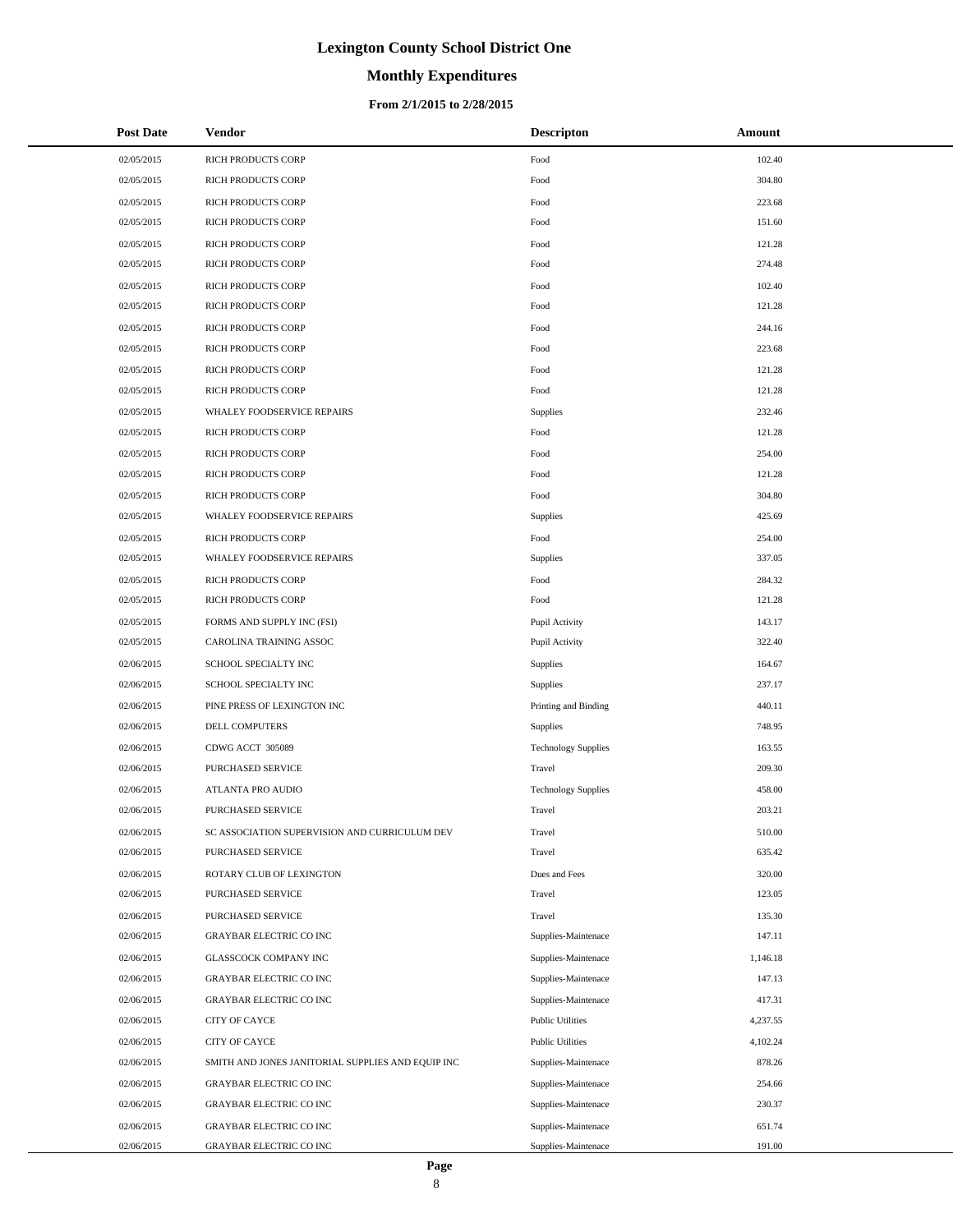# **Monthly Expenditures**

#### **From 2/1/2015 to 2/28/2015**

| <b>Post Date</b> | Vendor                                            | <b>Descripton</b>          | Amount   |
|------------------|---------------------------------------------------|----------------------------|----------|
| 02/05/2015       | RICH PRODUCTS CORP                                | Food                       | 102.40   |
| 02/05/2015       | RICH PRODUCTS CORP                                | Food                       | 304.80   |
| 02/05/2015       | RICH PRODUCTS CORP                                | Food                       | 223.68   |
| 02/05/2015       | RICH PRODUCTS CORP                                | Food                       | 151.60   |
| 02/05/2015       | RICH PRODUCTS CORP                                | Food                       | 121.28   |
| 02/05/2015       | RICH PRODUCTS CORP                                | Food                       | 274.48   |
| 02/05/2015       | RICH PRODUCTS CORP                                | Food                       | 102.40   |
| 02/05/2015       | RICH PRODUCTS CORP                                | Food                       | 121.28   |
| 02/05/2015       | RICH PRODUCTS CORP                                | Food                       | 244.16   |
| 02/05/2015       | <b>RICH PRODUCTS CORP</b>                         | Food                       | 223.68   |
| 02/05/2015       | RICH PRODUCTS CORP                                | Food                       | 121.28   |
| 02/05/2015       | RICH PRODUCTS CORP                                | Food                       | 121.28   |
| 02/05/2015       | WHALEY FOODSERVICE REPAIRS                        | Supplies                   | 232.46   |
| 02/05/2015       | <b>RICH PRODUCTS CORP</b>                         | Food                       | 121.28   |
| 02/05/2015       | RICH PRODUCTS CORP                                | Food                       | 254.00   |
| 02/05/2015       | RICH PRODUCTS CORP                                | Food                       | 121.28   |
| 02/05/2015       | RICH PRODUCTS CORP                                | Food                       | 304.80   |
| 02/05/2015       | <b>WHALEY FOODSERVICE REPAIRS</b>                 | Supplies                   | 425.69   |
| 02/05/2015       | <b>RICH PRODUCTS CORP</b>                         | Food                       | 254.00   |
| 02/05/2015       | WHALEY FOODSERVICE REPAIRS                        | Supplies                   | 337.05   |
| 02/05/2015       | RICH PRODUCTS CORP                                | Food                       | 284.32   |
| 02/05/2015       | RICH PRODUCTS CORP                                | Food                       | 121.28   |
| 02/05/2015       | FORMS AND SUPPLY INC (FSI)                        | Pupil Activity             | 143.17   |
| 02/05/2015       | CAROLINA TRAINING ASSOC                           | Pupil Activity             | 322.40   |
| 02/06/2015       | SCHOOL SPECIALTY INC                              | Supplies                   | 164.67   |
| 02/06/2015       | SCHOOL SPECIALTY INC                              | Supplies                   | 237.17   |
| 02/06/2015       | PINE PRESS OF LEXINGTON INC                       | Printing and Binding       | 440.11   |
| 02/06/2015       | DELL COMPUTERS                                    | Supplies                   | 748.95   |
| 02/06/2015       | CDWG ACCT 305089                                  | <b>Technology Supplies</b> | 163.55   |
| 02/06/2015       | <b>PURCHASED SERVICE</b>                          | Travel                     | 209.30   |
| 02/06/2015       | ATLANTA PRO AUDIO                                 | <b>Technology Supplies</b> | 458.00   |
| 02/06/2015       | <b>PURCHASED SERVICE</b>                          | Travel                     | 203.21   |
| 02/06/2015       | SC ASSOCIATION SUPERVISION AND CURRICULUM DEV     | Travel                     | 510.00   |
| 02/06/2015       | PURCHASED SERVICE                                 | Travel                     | 635.42   |
| 02/06/2015       | ROTARY CLUB OF LEXINGTON                          | Dues and Fees              | 320.00   |
| 02/06/2015       | PURCHASED SERVICE                                 | Travel                     | 123.05   |
| 02/06/2015       | PURCHASED SERVICE                                 | Travel                     | 135.30   |
| 02/06/2015       | <b>GRAYBAR ELECTRIC CO INC</b>                    | Supplies-Maintenace        | 147.11   |
| 02/06/2015       | GLASSCOCK COMPANY INC                             | Supplies-Maintenace        | 1,146.18 |
| 02/06/2015       | <b>GRAYBAR ELECTRIC CO INC</b>                    | Supplies-Maintenace        | 147.13   |
| 02/06/2015       | GRAYBAR ELECTRIC CO INC                           | Supplies-Maintenace        | 417.31   |
| 02/06/2015       | CITY OF CAYCE                                     | <b>Public Utilities</b>    | 4,237.55 |
| 02/06/2015       | CITY OF CAYCE                                     | <b>Public Utilities</b>    | 4,102.24 |
| 02/06/2015       | SMITH AND JONES JANITORIAL SUPPLIES AND EQUIP INC | Supplies-Maintenace        | 878.26   |
| 02/06/2015       | GRAYBAR ELECTRIC CO INC                           | Supplies-Maintenace        | 254.66   |
| 02/06/2015       | GRAYBAR ELECTRIC CO INC                           | Supplies-Maintenace        | 230.37   |
| 02/06/2015       | <b>GRAYBAR ELECTRIC CO INC</b>                    | Supplies-Maintenace        | 651.74   |
| 02/06/2015       | GRAYBAR ELECTRIC CO INC                           | Supplies-Maintenace        | 191.00   |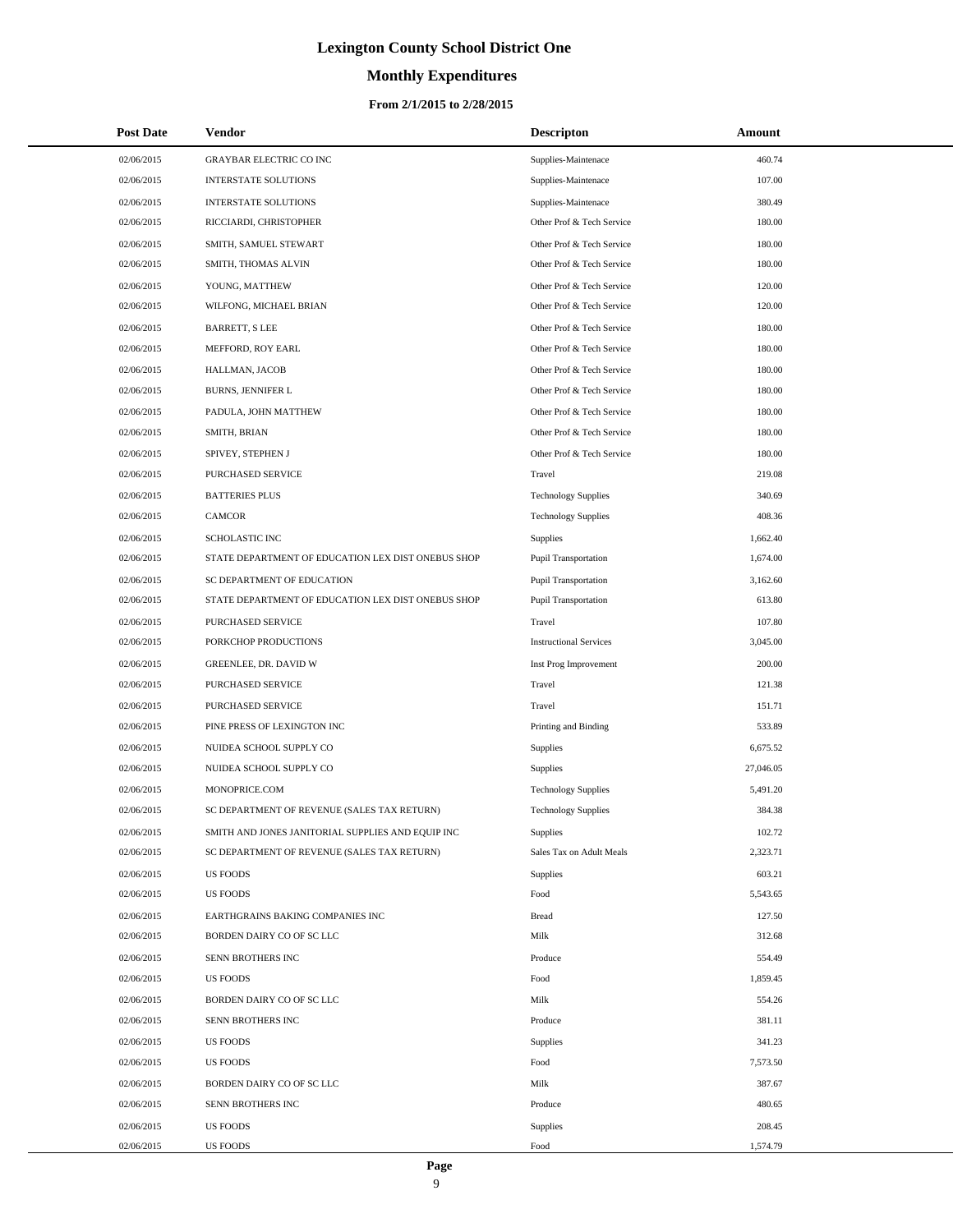# **Monthly Expenditures**

#### **From 2/1/2015 to 2/28/2015**

| <b>Post Date</b> | Vendor                                             | <b>Descripton</b>             | Amount    |
|------------------|----------------------------------------------------|-------------------------------|-----------|
| 02/06/2015       | <b>GRAYBAR ELECTRIC CO INC</b>                     | Supplies-Maintenace           | 460.74    |
| 02/06/2015       | <b>INTERSTATE SOLUTIONS</b>                        | Supplies-Maintenace           | 107.00    |
| 02/06/2015       | <b>INTERSTATE SOLUTIONS</b>                        | Supplies-Maintenace           | 380.49    |
| 02/06/2015       | RICCIARDI, CHRISTOPHER                             | Other Prof & Tech Service     | 180.00    |
| 02/06/2015       | SMITH, SAMUEL STEWART                              | Other Prof & Tech Service     | 180.00    |
| 02/06/2015       | SMITH, THOMAS ALVIN                                | Other Prof & Tech Service     | 180.00    |
| 02/06/2015       | YOUNG, MATTHEW                                     | Other Prof & Tech Service     | 120.00    |
| 02/06/2015       | WILFONG, MICHAEL BRIAN                             | Other Prof & Tech Service     | 120.00    |
| 02/06/2015       | <b>BARRETT, S LEE</b>                              | Other Prof & Tech Service     | 180.00    |
| 02/06/2015       | MEFFORD, ROY EARL                                  | Other Prof & Tech Service     | 180.00    |
| 02/06/2015       | HALLMAN, JACOB                                     | Other Prof & Tech Service     | 180.00    |
| 02/06/2015       | BURNS, JENNIFER L                                  | Other Prof & Tech Service     | 180.00    |
| 02/06/2015       | PADULA, JOHN MATTHEW                               | Other Prof & Tech Service     | 180.00    |
| 02/06/2015       | SMITH, BRIAN                                       | Other Prof & Tech Service     | 180.00    |
| 02/06/2015       | SPIVEY, STEPHEN J                                  | Other Prof & Tech Service     | 180.00    |
| 02/06/2015       | <b>PURCHASED SERVICE</b>                           | Travel                        | 219.08    |
| 02/06/2015       | <b>BATTERIES PLUS</b>                              | <b>Technology Supplies</b>    | 340.69    |
| 02/06/2015       | <b>CAMCOR</b>                                      | <b>Technology Supplies</b>    | 408.36    |
| 02/06/2015       | SCHOLASTIC INC                                     | Supplies                      | 1,662.40  |
| 02/06/2015       | STATE DEPARTMENT OF EDUCATION LEX DIST ONEBUS SHOP | <b>Pupil Transportation</b>   | 1,674.00  |
| 02/06/2015       | SC DEPARTMENT OF EDUCATION                         | <b>Pupil Transportation</b>   | 3,162.60  |
| 02/06/2015       | STATE DEPARTMENT OF EDUCATION LEX DIST ONEBUS SHOP | <b>Pupil Transportation</b>   | 613.80    |
| 02/06/2015       | PURCHASED SERVICE                                  | Travel                        | 107.80    |
| 02/06/2015       | PORKCHOP PRODUCTIONS                               | <b>Instructional Services</b> | 3,045.00  |
| 02/06/2015       | GREENLEE, DR. DAVID W                              | Inst Prog Improvement         | 200.00    |
| 02/06/2015       | PURCHASED SERVICE                                  | Travel                        | 121.38    |
| 02/06/2015       | PURCHASED SERVICE                                  | Travel                        | 151.71    |
| 02/06/2015       | PINE PRESS OF LEXINGTON INC                        | Printing and Binding          | 533.89    |
| 02/06/2015       | NUIDEA SCHOOL SUPPLY CO                            | Supplies                      | 6,675.52  |
| 02/06/2015       | NUIDEA SCHOOL SUPPLY CO                            | <b>Supplies</b>               | 27,046.05 |
| 02/06/2015       | MONOPRICE.COM                                      | <b>Technology Supplies</b>    | 5,491.20  |
| 02/06/2015       | SC DEPARTMENT OF REVENUE (SALES TAX RETURN)        | <b>Technology Supplies</b>    | 384.38    |
| 02/06/2015       | SMITH AND JONES JANITORIAL SUPPLIES AND EQUIP INC  | <b>Supplies</b>               | 102.72    |
| 02/06/2015       | SC DEPARTMENT OF REVENUE (SALES TAX RETURN)        | Sales Tax on Adult Meals      | 2,323.71  |
| 02/06/2015       | <b>US FOODS</b>                                    | <b>Supplies</b>               | 603.21    |
| 02/06/2015       | <b>US FOODS</b>                                    | Food                          | 5,543.65  |
| 02/06/2015       | EARTHGRAINS BAKING COMPANIES INC                   | <b>Bread</b>                  | 127.50    |
| 02/06/2015       | BORDEN DAIRY CO OF SC LLC                          | Milk                          | 312.68    |
| 02/06/2015       | SENN BROTHERS INC                                  | Produce                       | 554.49    |
| 02/06/2015       | <b>US FOODS</b>                                    | Food                          | 1,859.45  |
| 02/06/2015       | BORDEN DAIRY CO OF SC LLC                          | Milk                          | 554.26    |
| 02/06/2015       | SENN BROTHERS INC                                  | Produce                       | 381.11    |
| 02/06/2015       | <b>US FOODS</b>                                    | <b>Supplies</b>               | 341.23    |
| 02/06/2015       | <b>US FOODS</b>                                    | Food                          | 7,573.50  |
| 02/06/2015       | BORDEN DAIRY CO OF SC LLC                          | Milk                          | 387.67    |
| 02/06/2015       | SENN BROTHERS INC                                  | Produce                       | 480.65    |
| 02/06/2015       | <b>US FOODS</b>                                    | <b>Supplies</b>               | 208.45    |
| 02/06/2015       | US FOODS                                           | Food                          | 1,574.79  |

 $\overline{a}$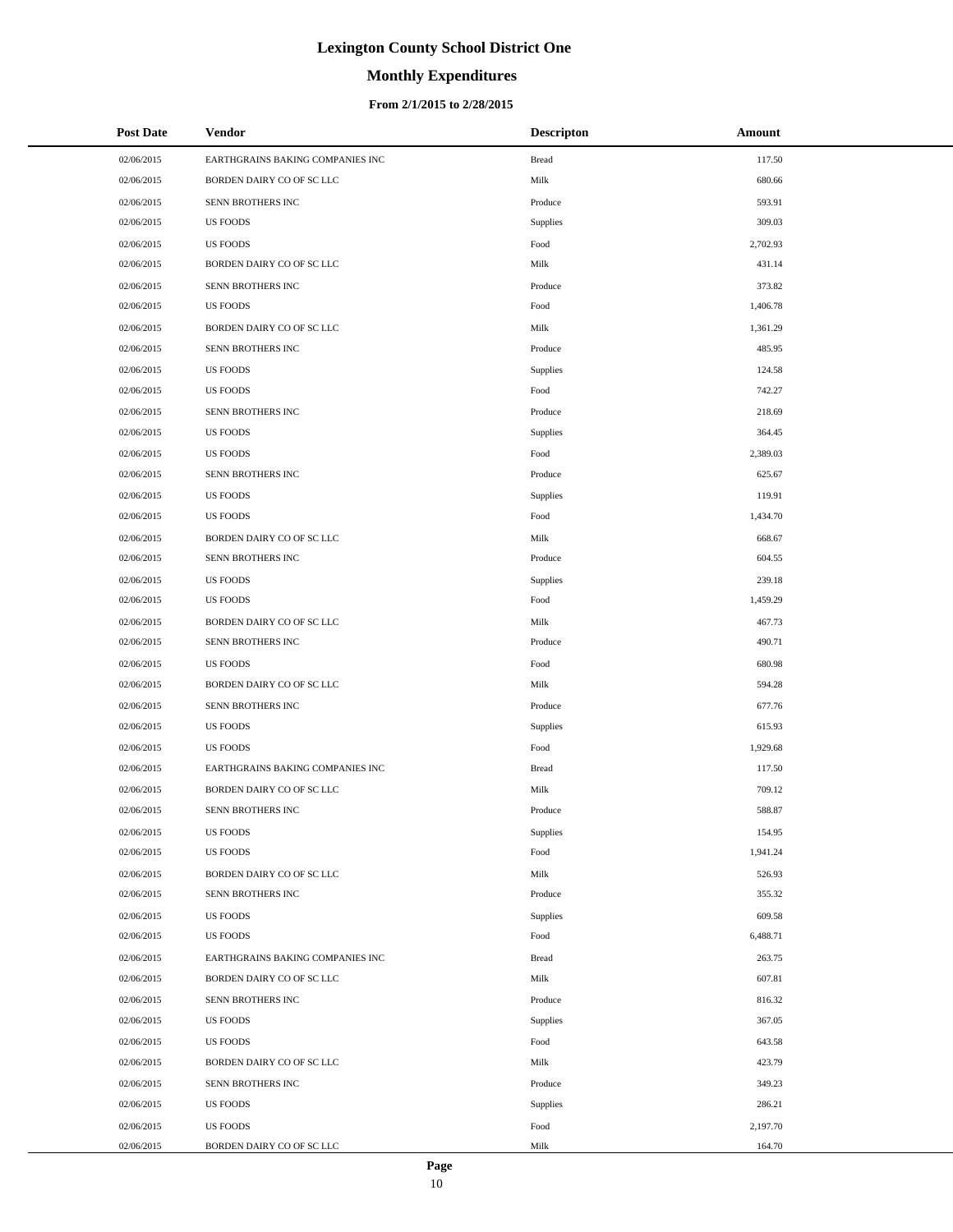# **Monthly Expenditures**

### **From 2/1/2015 to 2/28/2015**

| <b>Post Date</b> | Vendor                           | <b>Descripton</b> | Amount   |
|------------------|----------------------------------|-------------------|----------|
| 02/06/2015       | EARTHGRAINS BAKING COMPANIES INC | <b>Bread</b>      | 117.50   |
| 02/06/2015       | BORDEN DAIRY CO OF SC LLC        | Milk              | 680.66   |
| 02/06/2015       | SENN BROTHERS INC                | Produce           | 593.91   |
| 02/06/2015       | <b>US FOODS</b>                  | Supplies          | 309.03   |
| 02/06/2015       | <b>US FOODS</b>                  | Food              | 2,702.93 |
| 02/06/2015       | BORDEN DAIRY CO OF SC LLC        | Milk              | 431.14   |
| 02/06/2015       | SENN BROTHERS INC                | Produce           | 373.82   |
| 02/06/2015       | <b>US FOODS</b>                  | Food              | 1,406.78 |
| 02/06/2015       | BORDEN DAIRY CO OF SC LLC        | Milk              | 1,361.29 |
| 02/06/2015       | SENN BROTHERS INC                | Produce           | 485.95   |
| 02/06/2015       | <b>US FOODS</b>                  | Supplies          | 124.58   |
| 02/06/2015       | <b>US FOODS</b>                  | Food              | 742.27   |
| 02/06/2015       | SENN BROTHERS INC                | Produce           | 218.69   |
| 02/06/2015       | <b>US FOODS</b>                  | Supplies          | 364.45   |
| 02/06/2015       | <b>US FOODS</b>                  | Food              | 2,389.03 |
| 02/06/2015       | SENN BROTHERS INC                | Produce           | 625.67   |
| 02/06/2015       | <b>US FOODS</b>                  | Supplies          | 119.91   |
| 02/06/2015       | <b>US FOODS</b>                  | Food              | 1,434.70 |
| 02/06/2015       | BORDEN DAIRY CO OF SC LLC        | Milk              | 668.67   |
| 02/06/2015       | SENN BROTHERS INC                | Produce           | 604.55   |
| 02/06/2015       | <b>US FOODS</b>                  | Supplies          | 239.18   |
| 02/06/2015       | <b>US FOODS</b>                  | Food              | 1,459.29 |
| 02/06/2015       | BORDEN DAIRY CO OF SC LLC        | Milk              | 467.73   |
| 02/06/2015       | SENN BROTHERS INC                | Produce           | 490.71   |
| 02/06/2015       | <b>US FOODS</b>                  | Food              | 680.98   |
| 02/06/2015       | BORDEN DAIRY CO OF SC LLC        | Milk              | 594.28   |
| 02/06/2015       | SENN BROTHERS INC                | Produce           | 677.76   |
| 02/06/2015       | <b>US FOODS</b>                  | Supplies          | 615.93   |
| 02/06/2015       | <b>US FOODS</b>                  | Food              | 1,929.68 |
| 02/06/2015       | EARTHGRAINS BAKING COMPANIES INC | <b>Bread</b>      | 117.50   |
| 02/06/2015       | BORDEN DAIRY CO OF SC LLC        | Milk              | 709.12   |
| 02/06/2015       | SENN BROTHERS INC                | Produce           | 588.87   |
| 02/06/2015       | <b>US FOODS</b>                  | Supplies          | 154.95   |
| 02/06/2015       | <b>US FOODS</b>                  | Food              | 1,941.24 |
| 02/06/2015       | BORDEN DAIRY CO OF SC LLC        | Milk              | 526.93   |
| 02/06/2015       | SENN BROTHERS INC                | Produce           | 355.32   |
| 02/06/2015       | <b>US FOODS</b>                  | Supplies          | 609.58   |
| 02/06/2015       | <b>US FOODS</b>                  | Food              | 6,488.71 |
| 02/06/2015       | EARTHGRAINS BAKING COMPANIES INC | <b>Bread</b>      | 263.75   |
| 02/06/2015       | BORDEN DAIRY CO OF SC LLC        | Milk              | 607.81   |
| 02/06/2015       | SENN BROTHERS INC                | Produce           | 816.32   |
| 02/06/2015       | <b>US FOODS</b>                  | Supplies          | 367.05   |
| 02/06/2015       | <b>US FOODS</b>                  | Food              | 643.58   |
| 02/06/2015       | BORDEN DAIRY CO OF SC LLC        | Milk              | 423.79   |
| 02/06/2015       | SENN BROTHERS INC                | Produce           | 349.23   |
| 02/06/2015       | <b>US FOODS</b>                  | Supplies          | 286.21   |
| 02/06/2015       | <b>US FOODS</b>                  | Food              | 2,197.70 |
| 02/06/2015       | BORDEN DAIRY CO OF SC LLC        | Milk              | 164.70   |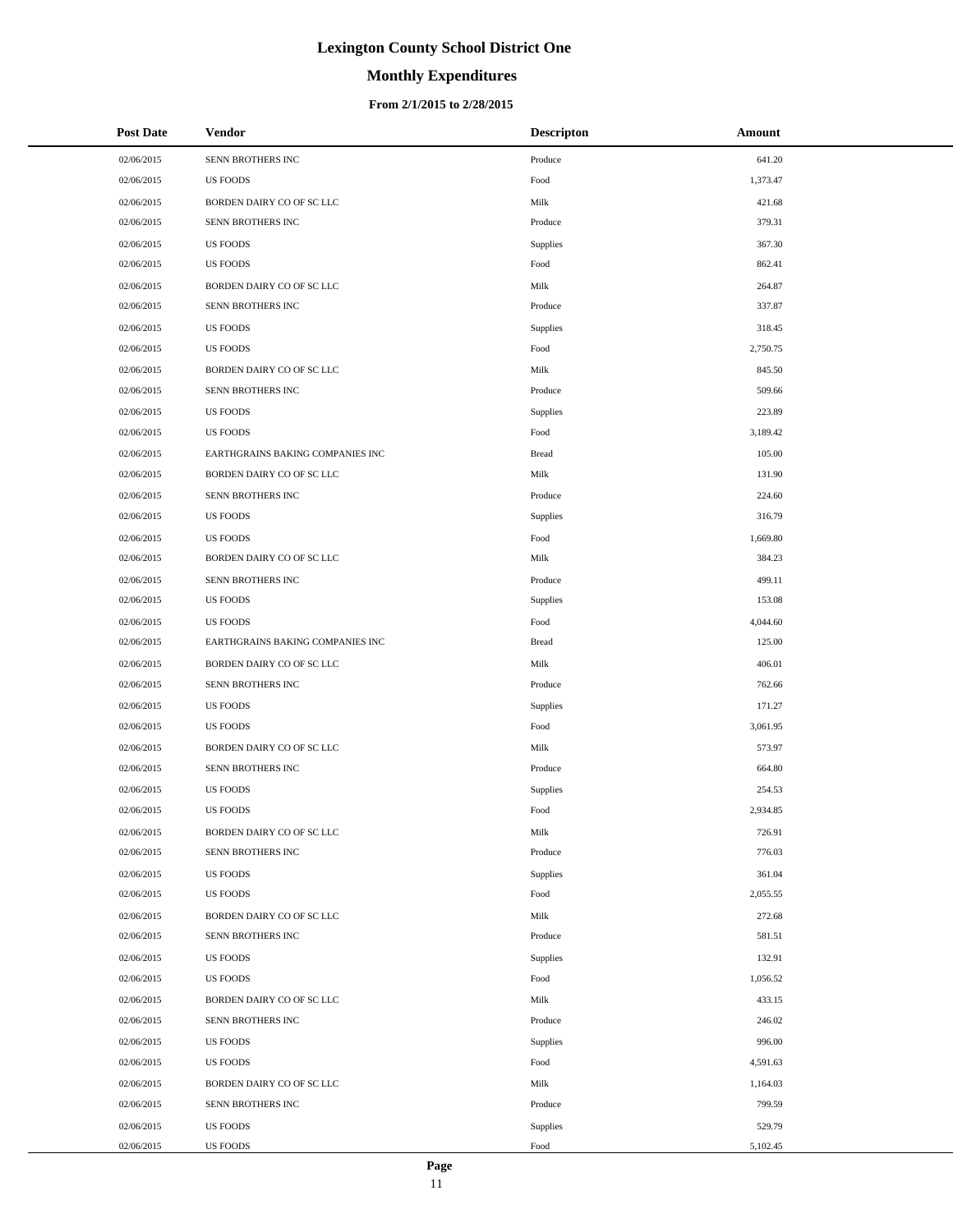# **Monthly Expenditures**

### **From 2/1/2015 to 2/28/2015**

| <b>Post Date</b> | <b>Vendor</b>                    | <b>Descripton</b> | Amount   |
|------------------|----------------------------------|-------------------|----------|
| 02/06/2015       | SENN BROTHERS INC                | Produce           | 641.20   |
| 02/06/2015       | <b>US FOODS</b>                  | Food              | 1,373.47 |
| 02/06/2015       | BORDEN DAIRY CO OF SC LLC        | Milk              | 421.68   |
| 02/06/2015       | SENN BROTHERS INC                | Produce           | 379.31   |
| 02/06/2015       | <b>US FOODS</b>                  | Supplies          | 367.30   |
| 02/06/2015       | <b>US FOODS</b>                  | Food              | 862.41   |
| 02/06/2015       | BORDEN DAIRY CO OF SC LLC        | Milk              | 264.87   |
| 02/06/2015       | SENN BROTHERS INC                | Produce           | 337.87   |
| 02/06/2015       | <b>US FOODS</b>                  | <b>Supplies</b>   | 318.45   |
| 02/06/2015       | <b>US FOODS</b>                  | Food              | 2,750.75 |
| 02/06/2015       | BORDEN DAIRY CO OF SC LLC        | Milk              | 845.50   |
| 02/06/2015       | SENN BROTHERS INC                | Produce           | 509.66   |
| 02/06/2015       | <b>US FOODS</b>                  | Supplies          | 223.89   |
| 02/06/2015       | <b>US FOODS</b>                  | Food              | 3,189.42 |
| 02/06/2015       | EARTHGRAINS BAKING COMPANIES INC | <b>Bread</b>      | 105.00   |
| 02/06/2015       | BORDEN DAIRY CO OF SC LLC        | Milk              | 131.90   |
| 02/06/2015       | SENN BROTHERS INC                | Produce           | 224.60   |
| 02/06/2015       | <b>US FOODS</b>                  | Supplies          | 316.79   |
| 02/06/2015       | <b>US FOODS</b>                  | Food              | 1,669.80 |
| 02/06/2015       | BORDEN DAIRY CO OF SC LLC        | Milk              | 384.23   |
| 02/06/2015       | SENN BROTHERS INC                | Produce           | 499.11   |
| 02/06/2015       | <b>US FOODS</b>                  | Supplies          | 153.08   |
| 02/06/2015       | <b>US FOODS</b>                  | Food              | 4,044.60 |
| 02/06/2015       | EARTHGRAINS BAKING COMPANIES INC | <b>Bread</b>      | 125.00   |
| 02/06/2015       | BORDEN DAIRY CO OF SC LLC        | Milk              | 406.01   |
| 02/06/2015       | SENN BROTHERS INC                | Produce           | 762.66   |
| 02/06/2015       | <b>US FOODS</b>                  | Supplies          | 171.27   |
| 02/06/2015       | <b>US FOODS</b>                  | Food              | 3,061.95 |
| 02/06/2015       | BORDEN DAIRY CO OF SC LLC        | Milk              | 573.97   |
| 02/06/2015       | SENN BROTHERS INC                | Produce           | 664.80   |
| 02/06/2015       | <b>US FOODS</b>                  | Supplies          | 254.53   |
| 02/06/2015       | <b>US FOODS</b>                  | Food              | 2,934.85 |
| 02/06/2015       | BORDEN DAIRY CO OF SC LLC        | Milk              | 726.91   |
| 02/06/2015       | SENN BROTHERS INC                | Produce           | 776.03   |
| 02/06/2015       | <b>US FOODS</b>                  | Supplies          | 361.04   |
| 02/06/2015       | <b>US FOODS</b>                  | Food              | 2,055.55 |
| 02/06/2015       | BORDEN DAIRY CO OF SC LLC        | Milk              | 272.68   |
| 02/06/2015       | SENN BROTHERS INC                | Produce           | 581.51   |
| 02/06/2015       | <b>US FOODS</b>                  | Supplies          | 132.91   |
| 02/06/2015       | <b>US FOODS</b>                  | Food              | 1,056.52 |
| 02/06/2015       | BORDEN DAIRY CO OF SC LLC        | Milk              | 433.15   |
| 02/06/2015       | SENN BROTHERS INC                | Produce           | 246.02   |
| 02/06/2015       | <b>US FOODS</b>                  | Supplies          | 996.00   |
| 02/06/2015       | <b>US FOODS</b>                  | Food              | 4,591.63 |
| 02/06/2015       | BORDEN DAIRY CO OF SC LLC        | Milk              | 1,164.03 |
| 02/06/2015       | SENN BROTHERS INC                | Produce           | 799.59   |
| 02/06/2015       | <b>US FOODS</b>                  | Supplies          | 529.79   |
| 02/06/2015       | <b>US FOODS</b>                  | Food              | 5,102.45 |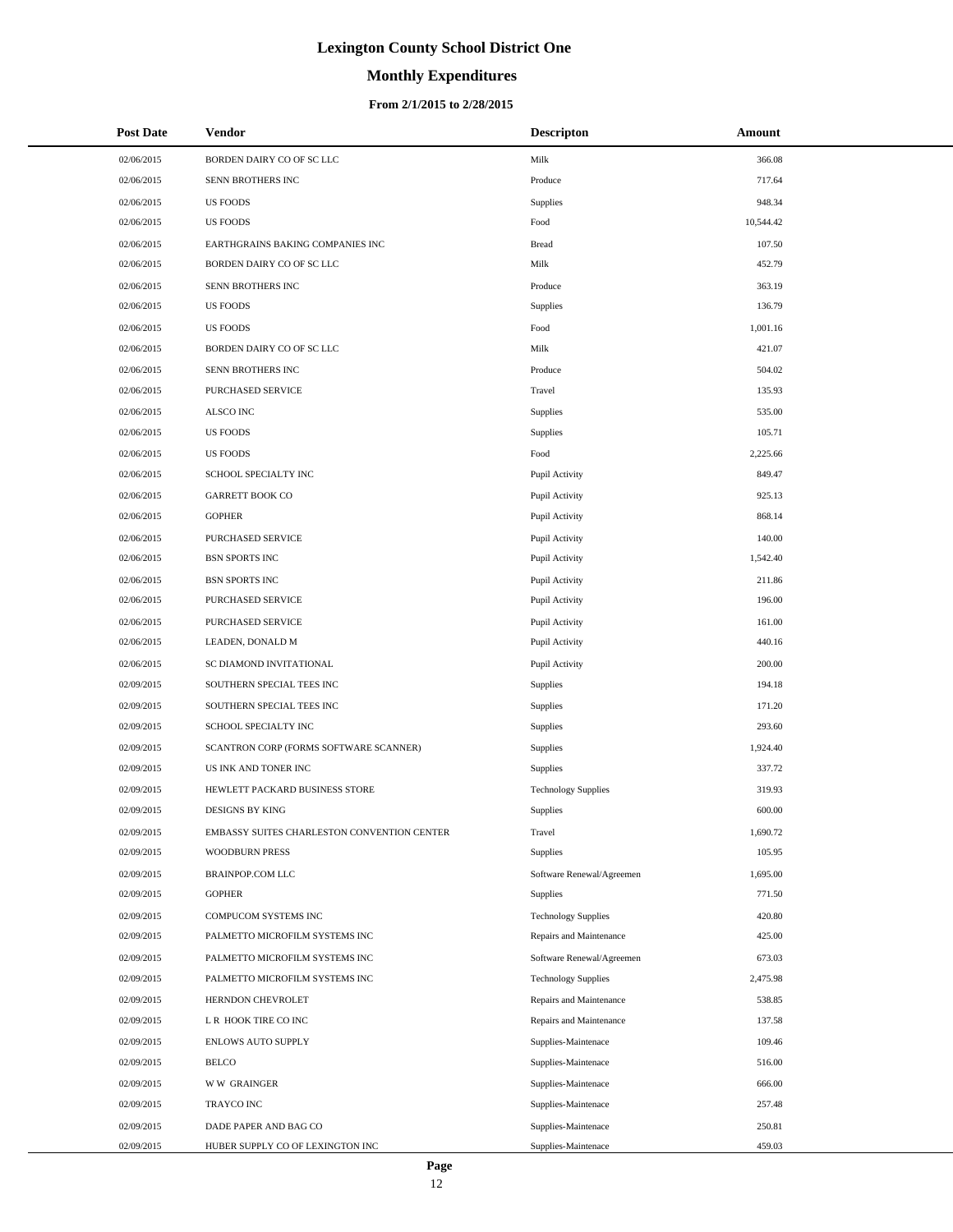# **Monthly Expenditures**

#### **From 2/1/2015 to 2/28/2015**

| <b>Post Date</b> | <b>Vendor</b>                               | <b>Descripton</b>          | Amount    |
|------------------|---------------------------------------------|----------------------------|-----------|
| 02/06/2015       | BORDEN DAIRY CO OF SC LLC                   | Milk                       | 366.08    |
| 02/06/2015       | SENN BROTHERS INC                           | Produce                    | 717.64    |
| 02/06/2015       | <b>US FOODS</b>                             | Supplies                   | 948.34    |
| 02/06/2015       | <b>US FOODS</b>                             | Food                       | 10,544.42 |
| 02/06/2015       | EARTHGRAINS BAKING COMPANIES INC            | <b>Bread</b>               | 107.50    |
| 02/06/2015       | BORDEN DAIRY CO OF SC LLC                   | Milk                       | 452.79    |
| 02/06/2015       | SENN BROTHERS INC                           | Produce                    | 363.19    |
| 02/06/2015       | <b>US FOODS</b>                             | Supplies                   | 136.79    |
| 02/06/2015       | <b>US FOODS</b>                             | Food                       | 1,001.16  |
| 02/06/2015       | BORDEN DAIRY CO OF SC LLC                   | Milk                       | 421.07    |
| 02/06/2015       | SENN BROTHERS INC                           | Produce                    | 504.02    |
| 02/06/2015       | PURCHASED SERVICE                           | Travel                     | 135.93    |
| 02/06/2015       | ALSCO INC                                   | Supplies                   | 535.00    |
| 02/06/2015       | <b>US FOODS</b>                             | Supplies                   | 105.71    |
| 02/06/2015       | <b>US FOODS</b>                             | Food                       | 2,225.66  |
| 02/06/2015       | SCHOOL SPECIALTY INC                        | Pupil Activity             | 849.47    |
| 02/06/2015       | <b>GARRETT BOOK CO</b>                      | Pupil Activity             | 925.13    |
| 02/06/2015       | <b>GOPHER</b>                               | Pupil Activity             | 868.14    |
| 02/06/2015       | <b>PURCHASED SERVICE</b>                    | Pupil Activity             | 140.00    |
| 02/06/2015       | <b>BSN SPORTS INC</b>                       | Pupil Activity             | 1,542.40  |
| 02/06/2015       | <b>BSN SPORTS INC</b>                       | Pupil Activity             | 211.86    |
| 02/06/2015       | PURCHASED SERVICE                           | Pupil Activity             | 196.00    |
| 02/06/2015       | PURCHASED SERVICE                           | Pupil Activity             | 161.00    |
| 02/06/2015       | LEADEN, DONALD M                            | Pupil Activity             | 440.16    |
| 02/06/2015       | SC DIAMOND INVITATIONAL                     | Pupil Activity             | 200.00    |
| 02/09/2015       | SOUTHERN SPECIAL TEES INC                   | Supplies                   | 194.18    |
| 02/09/2015       | SOUTHERN SPECIAL TEES INC                   | Supplies                   | 171.20    |
| 02/09/2015       | SCHOOL SPECIALTY INC                        | Supplies                   | 293.60    |
| 02/09/2015       | SCANTRON CORP (FORMS SOFTWARE SCANNER)      | Supplies                   | 1,924.40  |
| 02/09/2015       | US INK AND TONER INC                        | Supplies                   | 337.72    |
| 02/09/2015       | HEWLETT PACKARD BUSINESS STORE              | <b>Technology Supplies</b> | 319.93    |
| 02/09/2015       | <b>DESIGNS BY KING</b>                      | Supplies                   | 600.00    |
| 02/09/2015       | EMBASSY SUITES CHARLESTON CONVENTION CENTER | Travel                     | 1,690.72  |
| 02/09/2015       | <b>WOODBURN PRESS</b>                       | Supplies                   | 105.95    |
| 02/09/2015       | <b>BRAINPOP.COM LLC</b>                     | Software Renewal/Agreemen  | 1,695.00  |
| 02/09/2015       | <b>GOPHER</b>                               | Supplies                   | 771.50    |
| 02/09/2015       | COMPUCOM SYSTEMS INC                        | <b>Technology Supplies</b> | 420.80    |
| 02/09/2015       | PALMETTO MICROFILM SYSTEMS INC              | Repairs and Maintenance    | 425.00    |
| 02/09/2015       | PALMETTO MICROFILM SYSTEMS INC              | Software Renewal/Agreemen  | 673.03    |
| 02/09/2015       | PALMETTO MICROFILM SYSTEMS INC              | <b>Technology Supplies</b> | 2,475.98  |
| 02/09/2015       | HERNDON CHEVROLET                           | Repairs and Maintenance    | 538.85    |
| 02/09/2015       | L R HOOK TIRE CO INC                        | Repairs and Maintenance    | 137.58    |
| 02/09/2015       | <b>ENLOWS AUTO SUPPLY</b>                   | Supplies-Maintenace        | 109.46    |
| 02/09/2015       | <b>BELCO</b>                                | Supplies-Maintenace        | 516.00    |
| 02/09/2015       | <b>WW GRAINGER</b>                          | Supplies-Maintenace        | 666.00    |
| 02/09/2015       | <b>TRAYCO INC</b>                           | Supplies-Maintenace        | 257.48    |
| 02/09/2015       | DADE PAPER AND BAG CO                       | Supplies-Maintenace        | 250.81    |
| 02/09/2015       | HUBER SUPPLY CO OF LEXINGTON INC            | Supplies-Maintenace        | 459.03    |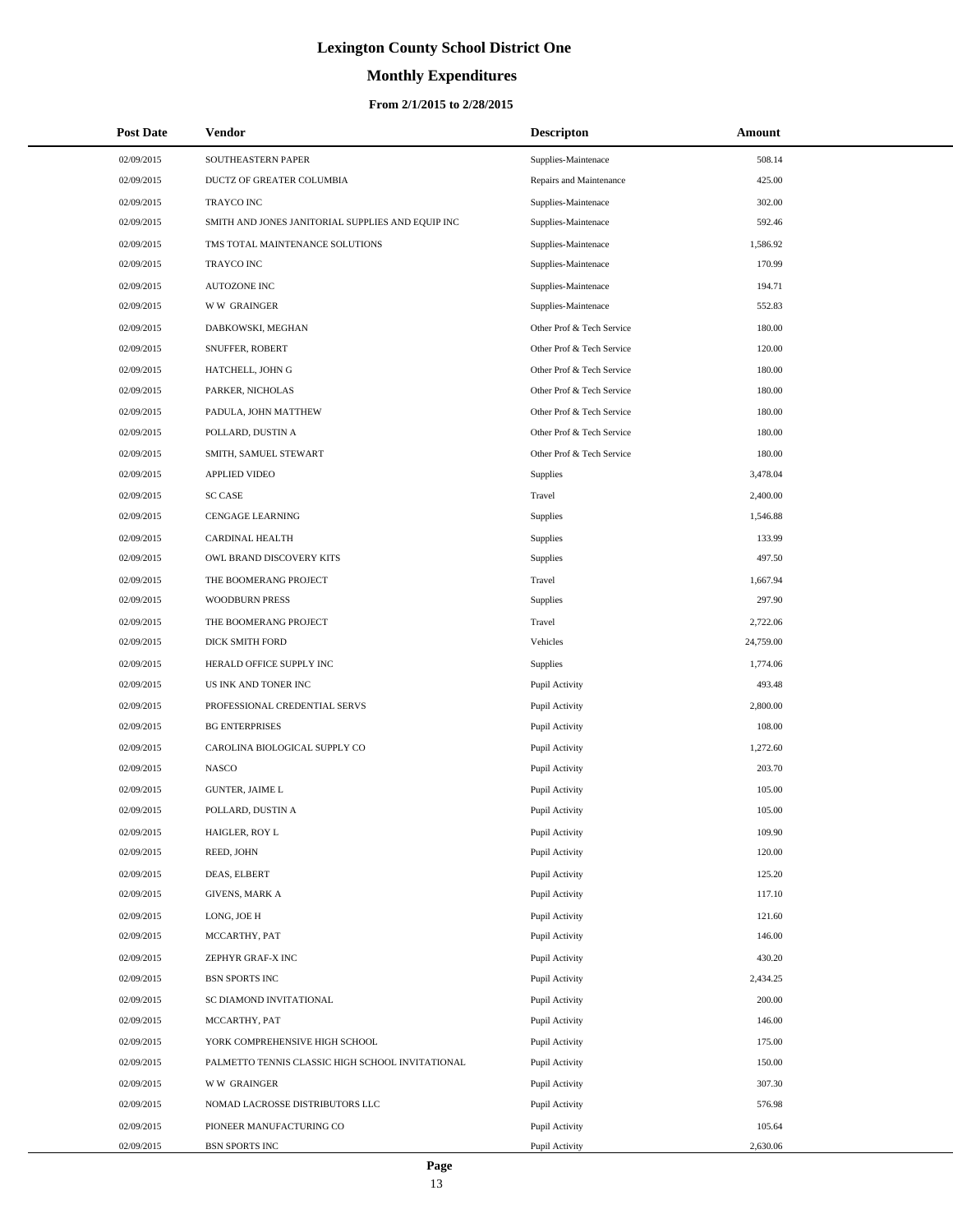# **Monthly Expenditures**

### **From 2/1/2015 to 2/28/2015**

| <b>Post Date</b> | Vendor                                            | <b>Descripton</b>         | Amount    |
|------------------|---------------------------------------------------|---------------------------|-----------|
| 02/09/2015       | SOUTHEASTERN PAPER                                | Supplies-Maintenace       | 508.14    |
| 02/09/2015       | DUCTZ OF GREATER COLUMBIA                         | Repairs and Maintenance   | 425.00    |
| 02/09/2015       | TRAYCO INC                                        | Supplies-Maintenace       | 302.00    |
| 02/09/2015       | SMITH AND JONES JANITORIAL SUPPLIES AND EQUIP INC | Supplies-Maintenace       | 592.46    |
| 02/09/2015       | TMS TOTAL MAINTENANCE SOLUTIONS                   | Supplies-Maintenace       | 1,586.92  |
| 02/09/2015       | TRAYCO INC                                        | Supplies-Maintenace       | 170.99    |
| 02/09/2015       | AUTOZONE INC                                      | Supplies-Maintenace       | 194.71    |
| 02/09/2015       | <b>WW GRAINGER</b>                                | Supplies-Maintenace       | 552.83    |
| 02/09/2015       | DABKOWSKI, MEGHAN                                 | Other Prof & Tech Service | 180.00    |
| 02/09/2015       | SNUFFER, ROBERT                                   | Other Prof & Tech Service | 120.00    |
| 02/09/2015       | HATCHELL, JOHN G                                  | Other Prof & Tech Service | 180.00    |
| 02/09/2015       | PARKER, NICHOLAS                                  | Other Prof & Tech Service | 180.00    |
| 02/09/2015       | PADULA, JOHN MATTHEW                              | Other Prof & Tech Service | 180.00    |
| 02/09/2015       | POLLARD, DUSTIN A                                 | Other Prof & Tech Service | 180.00    |
| 02/09/2015       | SMITH, SAMUEL STEWART                             | Other Prof & Tech Service | 180.00    |
| 02/09/2015       | <b>APPLIED VIDEO</b>                              | Supplies                  | 3,478.04  |
| 02/09/2015       | <b>SC CASE</b>                                    | Travel                    | 2,400.00  |
| 02/09/2015       | CENGAGE LEARNING                                  | Supplies                  | 1,546.88  |
| 02/09/2015       | <b>CARDINAL HEALTH</b>                            | Supplies                  | 133.99    |
| 02/09/2015       | OWL BRAND DISCOVERY KITS                          | Supplies                  | 497.50    |
| 02/09/2015       | THE BOOMERANG PROJECT                             | Travel                    | 1,667.94  |
| 02/09/2015       | <b>WOODBURN PRESS</b>                             | Supplies                  | 297.90    |
| 02/09/2015       | THE BOOMERANG PROJECT                             | Travel                    | 2,722.06  |
| 02/09/2015       | DICK SMITH FORD                                   | Vehicles                  | 24,759.00 |
| 02/09/2015       | HERALD OFFICE SUPPLY INC                          | Supplies                  | 1,774.06  |
| 02/09/2015       | US INK AND TONER INC                              | Pupil Activity            | 493.48    |
| 02/09/2015       | PROFESSIONAL CREDENTIAL SERVS                     | Pupil Activity            | 2,800.00  |
| 02/09/2015       | <b>BG ENTERPRISES</b>                             | Pupil Activity            | 108.00    |
| 02/09/2015       | CAROLINA BIOLOGICAL SUPPLY CO                     | Pupil Activity            | 1,272.60  |
| 02/09/2015       | <b>NASCO</b>                                      | Pupil Activity            | 203.70    |
| 02/09/2015       | <b>GUNTER, JAIME L</b>                            | Pupil Activity            | 105.00    |
| 02/09/2015       | POLLARD, DUSTIN A                                 | Pupil Activity            | 105.00    |
| 02/09/2015       | HAIGLER, ROY L                                    | Pupil Activity            | 109.90    |
| 02/09/2015       | REED, JOHN                                        | Pupil Activity            | 120.00    |
| 02/09/2015       | DEAS, ELBERT                                      | Pupil Activity            | 125.20    |
| 02/09/2015       | <b>GIVENS, MARK A</b>                             | Pupil Activity            | 117.10    |
| 02/09/2015       | LONG, JOE H                                       | Pupil Activity            | 121.60    |
| 02/09/2015       | MCCARTHY, PAT                                     | Pupil Activity            | 146.00    |
| 02/09/2015       | ZEPHYR GRAF-X INC                                 | Pupil Activity            | 430.20    |
| 02/09/2015       | BSN SPORTS INC                                    | Pupil Activity            | 2,434.25  |
| 02/09/2015       | SC DIAMOND INVITATIONAL                           | Pupil Activity            | 200.00    |
| 02/09/2015       | MCCARTHY, PAT                                     | Pupil Activity            | 146.00    |
| 02/09/2015       | YORK COMPREHENSIVE HIGH SCHOOL                    | Pupil Activity            | 175.00    |
| 02/09/2015       | PALMETTO TENNIS CLASSIC HIGH SCHOOL INVITATIONAL  | Pupil Activity            | 150.00    |
| 02/09/2015       | <b>WW GRAINGER</b>                                | Pupil Activity            | 307.30    |
| 02/09/2015       | NOMAD LACROSSE DISTRIBUTORS LLC                   | Pupil Activity            | 576.98    |
| 02/09/2015       | PIONEER MANUFACTURING CO                          | Pupil Activity            | 105.64    |
| 02/09/2015       | <b>BSN SPORTS INC</b>                             | Pupil Activity            | 2,630.06  |

 $\overline{a}$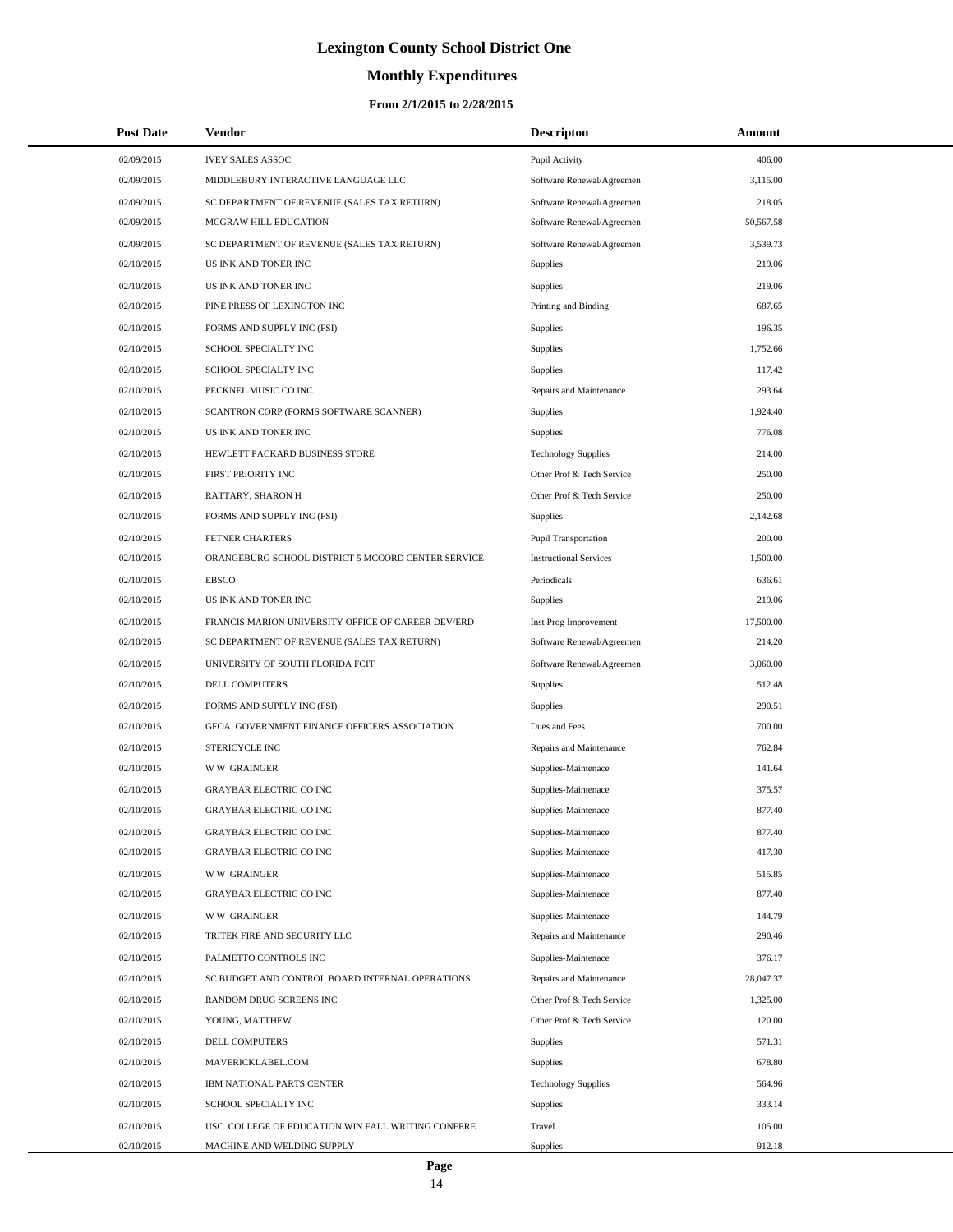# **Monthly Expenditures**

### **From 2/1/2015 to 2/28/2015**

| <b>Post Date</b> | <b>Vendor</b>                                      | <b>Descripton</b>             | Amount    |  |
|------------------|----------------------------------------------------|-------------------------------|-----------|--|
| 02/09/2015       | <b>IVEY SALES ASSOC</b>                            | Pupil Activity                | 406.00    |  |
| 02/09/2015       | MIDDLEBURY INTERACTIVE LANGUAGE LLC                | Software Renewal/Agreemen     | 3,115.00  |  |
| 02/09/2015       | SC DEPARTMENT OF REVENUE (SALES TAX RETURN)        | Software Renewal/Agreemen     | 218.05    |  |
| 02/09/2015       | MCGRAW HILL EDUCATION                              | Software Renewal/Agreemen     | 50,567.58 |  |
| 02/09/2015       | SC DEPARTMENT OF REVENUE (SALES TAX RETURN)        | Software Renewal/Agreemen     | 3,539.73  |  |
| 02/10/2015       | US INK AND TONER INC                               | Supplies                      | 219.06    |  |
| 02/10/2015       | US INK AND TONER INC                               | Supplies                      | 219.06    |  |
| 02/10/2015       | PINE PRESS OF LEXINGTON INC                        | Printing and Binding          | 687.65    |  |
| 02/10/2015       | FORMS AND SUPPLY INC (FSI)                         | Supplies                      | 196.35    |  |
| 02/10/2015       | SCHOOL SPECIALTY INC                               | Supplies                      | 1,752.66  |  |
| 02/10/2015       | SCHOOL SPECIALTY INC                               | Supplies                      | 117.42    |  |
| 02/10/2015       | PECKNEL MUSIC CO INC                               | Repairs and Maintenance       | 293.64    |  |
| 02/10/2015       | SCANTRON CORP (FORMS SOFTWARE SCANNER)             | Supplies                      | 1,924.40  |  |
| 02/10/2015       | US INK AND TONER INC                               | Supplies                      | 776.08    |  |
| 02/10/2015       | HEWLETT PACKARD BUSINESS STORE                     | <b>Technology Supplies</b>    | 214.00    |  |
| 02/10/2015       | FIRST PRIORITY INC                                 | Other Prof & Tech Service     | 250.00    |  |
| 02/10/2015       | RATTARY, SHARON H                                  | Other Prof & Tech Service     | 250.00    |  |
| 02/10/2015       | FORMS AND SUPPLY INC (FSI)                         | Supplies                      | 2,142.68  |  |
| 02/10/2015       | FETNER CHARTERS                                    | Pupil Transportation          | 200.00    |  |
| 02/10/2015       | ORANGEBURG SCHOOL DISTRICT 5 MCCORD CENTER SERVICE | <b>Instructional Services</b> | 1,500.00  |  |
| 02/10/2015       | <b>EBSCO</b>                                       | Periodicals                   | 636.61    |  |
| 02/10/2015       | US INK AND TONER INC                               | Supplies                      | 219.06    |  |
| 02/10/2015       | FRANCIS MARION UNIVERSITY OFFICE OF CAREER DEV/ERD | Inst Prog Improvement         | 17,500.00 |  |
| 02/10/2015       | SC DEPARTMENT OF REVENUE (SALES TAX RETURN)        | Software Renewal/Agreemen     | 214.20    |  |
| 02/10/2015       | UNIVERSITY OF SOUTH FLORIDA FCIT                   | Software Renewal/Agreemen     | 3,060.00  |  |
| 02/10/2015       | DELL COMPUTERS                                     | Supplies                      | 512.48    |  |
| 02/10/2015       | FORMS AND SUPPLY INC (FSI)                         | Supplies                      | 290.51    |  |
| 02/10/2015       | GFOA GOVERNMENT FINANCE OFFICERS ASSOCIATION       | Dues and Fees                 | 700.00    |  |
| 02/10/2015       | STERICYCLE INC                                     | Repairs and Maintenance       | 762.84    |  |
| 02/10/2015       | <b>WW GRAINGER</b>                                 | Supplies-Maintenace           | 141.64    |  |
| 02/10/2015       | <b>GRAYBAR ELECTRIC CO INC</b>                     | Supplies-Maintenace           | 375.57    |  |
| 02/10/2015       | <b>GRAYBAR ELECTRIC CO INC</b>                     | Supplies-Maintenace           | 877.40    |  |
| 02/10/2015       | <b>GRAYBAR ELECTRIC CO INC</b>                     | Supplies-Maintenace           | 877.40    |  |
| 02/10/2015       | <b>GRAYBAR ELECTRIC CO INC</b>                     | Supplies-Maintenace           | 417.30    |  |
| 02/10/2015       | <b>WW GRAINGER</b>                                 | Supplies-Maintenace           | 515.85    |  |
| 02/10/2015       | <b>GRAYBAR ELECTRIC CO INC</b>                     | Supplies-Maintenace           | 877.40    |  |
| 02/10/2015       | <b>WW GRAINGER</b>                                 | Supplies-Maintenace           | 144.79    |  |
| 02/10/2015       | TRITEK FIRE AND SECURITY LLC                       | Repairs and Maintenance       | 290.46    |  |
| 02/10/2015       | PALMETTO CONTROLS INC                              | Supplies-Maintenace           | 376.17    |  |
| 02/10/2015       | SC BUDGET AND CONTROL BOARD INTERNAL OPERATIONS    | Repairs and Maintenance       | 28,047.37 |  |
| 02/10/2015       | RANDOM DRUG SCREENS INC                            | Other Prof & Tech Service     | 1,325.00  |  |
| 02/10/2015       | YOUNG, MATTHEW                                     | Other Prof & Tech Service     | 120.00    |  |
| 02/10/2015       | DELL COMPUTERS                                     | Supplies                      | 571.31    |  |
| 02/10/2015       | MAVERICKLABEL.COM                                  | Supplies                      | 678.80    |  |
| 02/10/2015       | IBM NATIONAL PARTS CENTER                          | <b>Technology Supplies</b>    | 564.96    |  |
| 02/10/2015       | SCHOOL SPECIALTY INC                               | Supplies                      | 333.14    |  |
| 02/10/2015       | USC COLLEGE OF EDUCATION WIN FALL WRITING CONFERE  | Travel                        | 105.00    |  |
| 02/10/2015       | MACHINE AND WELDING SUPPLY                         | Supplies                      | 912.18    |  |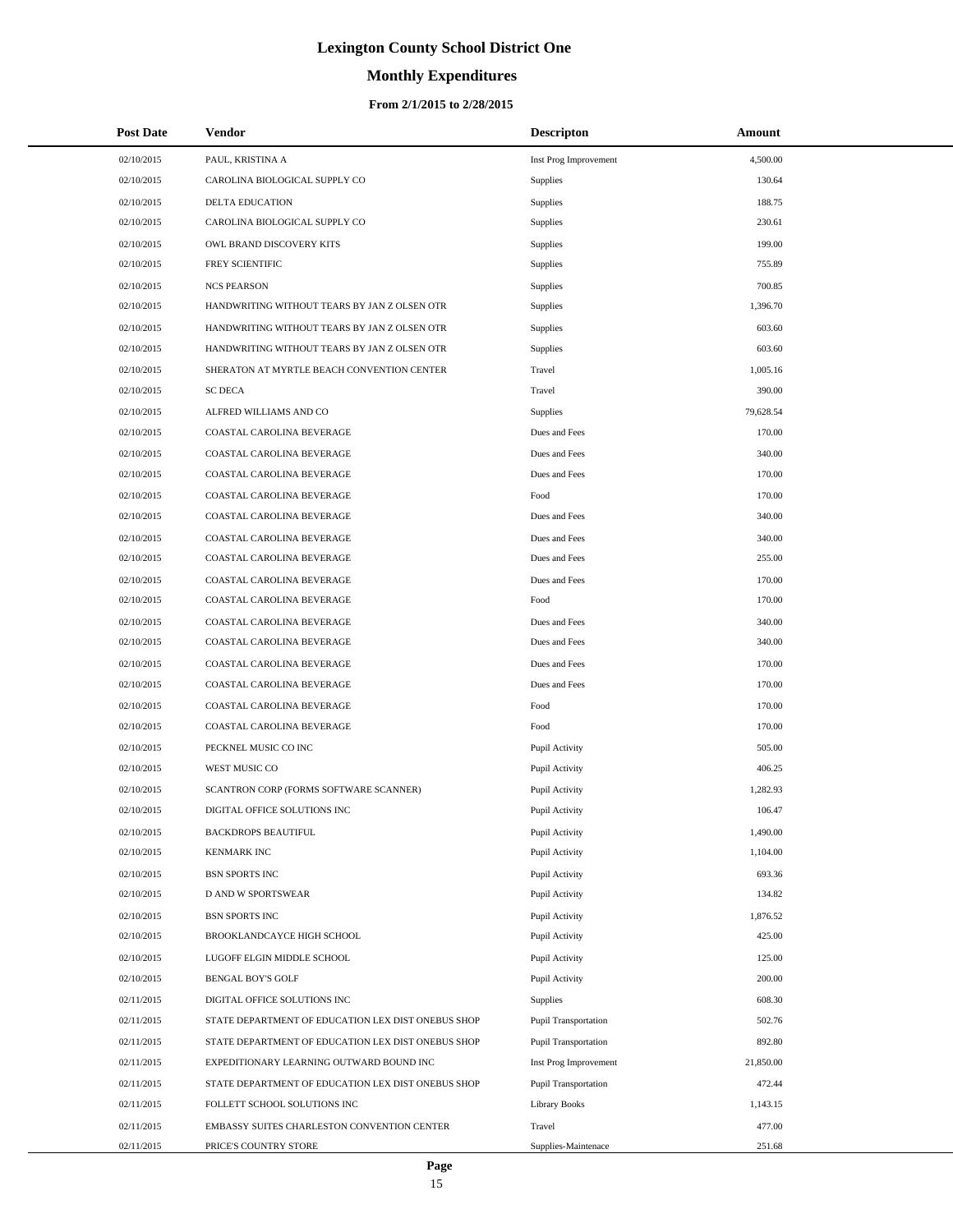# **Monthly Expenditures**

| <b>Post Date</b> | <b>Vendor</b>                                      | <b>Descripton</b>           | Amount    |
|------------------|----------------------------------------------------|-----------------------------|-----------|
| 02/10/2015       | PAUL, KRISTINA A                                   | Inst Prog Improvement       | 4,500.00  |
| 02/10/2015       | CAROLINA BIOLOGICAL SUPPLY CO                      | Supplies                    | 130.64    |
| 02/10/2015       | DELTA EDUCATION                                    | Supplies                    | 188.75    |
| 02/10/2015       | CAROLINA BIOLOGICAL SUPPLY CO                      | Supplies                    | 230.61    |
| 02/10/2015       | OWL BRAND DISCOVERY KITS                           | Supplies                    | 199.00    |
| 02/10/2015       | FREY SCIENTIFIC                                    | Supplies                    | 755.89    |
| 02/10/2015       | <b>NCS PEARSON</b>                                 | Supplies                    | 700.85    |
| 02/10/2015       | HANDWRITING WITHOUT TEARS BY JAN Z OLSEN OTR       | Supplies                    | 1,396.70  |
| 02/10/2015       | HANDWRITING WITHOUT TEARS BY JAN Z OLSEN OTR       | Supplies                    | 603.60    |
| 02/10/2015       | HANDWRITING WITHOUT TEARS BY JAN Z OLSEN OTR       | Supplies                    | 603.60    |
| 02/10/2015       | SHERATON AT MYRTLE BEACH CONVENTION CENTER         | Travel                      | 1,005.16  |
| 02/10/2015       | <b>SC DECA</b>                                     | Travel                      | 390.00    |
| 02/10/2015       | ALFRED WILLIAMS AND CO                             | Supplies                    | 79,628.54 |
| 02/10/2015       | COASTAL CAROLINA BEVERAGE                          | Dues and Fees               | 170.00    |
| 02/10/2015       | COASTAL CAROLINA BEVERAGE                          | Dues and Fees               | 340.00    |
| 02/10/2015       | COASTAL CAROLINA BEVERAGE                          | Dues and Fees               | 170.00    |
| 02/10/2015       | COASTAL CAROLINA BEVERAGE                          | Food                        | 170.00    |
| 02/10/2015       | COASTAL CAROLINA BEVERAGE                          | Dues and Fees               | 340.00    |
| 02/10/2015       | COASTAL CAROLINA BEVERAGE                          | Dues and Fees               | 340.00    |
| 02/10/2015       | COASTAL CAROLINA BEVERAGE                          | Dues and Fees               | 255.00    |
| 02/10/2015       | COASTAL CAROLINA BEVERAGE                          | Dues and Fees               | 170.00    |
| 02/10/2015       | COASTAL CAROLINA BEVERAGE                          | Food                        | 170.00    |
| 02/10/2015       | COASTAL CAROLINA BEVERAGE                          | Dues and Fees               | 340.00    |
| 02/10/2015       | COASTAL CAROLINA BEVERAGE                          | Dues and Fees               | 340.00    |
| 02/10/2015       | COASTAL CAROLINA BEVERAGE                          | Dues and Fees               | 170.00    |
| 02/10/2015       | COASTAL CAROLINA BEVERAGE                          | Dues and Fees               | 170.00    |
| 02/10/2015       | COASTAL CAROLINA BEVERAGE                          | Food                        | 170.00    |
| 02/10/2015       | COASTAL CAROLINA BEVERAGE                          | Food                        | 170.00    |
| 02/10/2015       | PECKNEL MUSIC CO INC                               | Pupil Activity              | 505.00    |
| 02/10/2015       | WEST MUSIC CO                                      | Pupil Activity              | 406.25    |
| 02/10/2015       | SCANTRON CORP (FORMS SOFTWARE SCANNER)             | Pupil Activity              | 1,282.93  |
| 02/10/2015       | DIGITAL OFFICE SOLUTIONS INC                       | Pupil Activity              | 106.47    |
| 02/10/2015       | <b>BACKDROPS BEAUTIFUL</b>                         | Pupil Activity              | 1,490.00  |
| 02/10/2015       | <b>KENMARK INC</b>                                 | Pupil Activity              | 1,104.00  |
| 02/10/2015       | <b>BSN SPORTS INC</b>                              | Pupil Activity              | 693.36    |
| 02/10/2015       | D AND W SPORTSWEAR                                 | Pupil Activity              | 134.82    |
| 02/10/2015       | <b>BSN SPORTS INC</b>                              | Pupil Activity              | 1,876.52  |
| 02/10/2015       | BROOKLANDCAYCE HIGH SCHOOL                         | Pupil Activity              | 425.00    |
| 02/10/2015       | LUGOFF ELGIN MIDDLE SCHOOL                         | Pupil Activity              | 125.00    |
| 02/10/2015       | <b>BENGAL BOY'S GOLF</b>                           | Pupil Activity              | 200.00    |
| 02/11/2015       | DIGITAL OFFICE SOLUTIONS INC                       | Supplies                    | 608.30    |
| 02/11/2015       | STATE DEPARTMENT OF EDUCATION LEX DIST ONEBUS SHOP | <b>Pupil Transportation</b> | 502.76    |
| 02/11/2015       | STATE DEPARTMENT OF EDUCATION LEX DIST ONEBUS SHOP | <b>Pupil Transportation</b> | 892.80    |
| 02/11/2015       | EXPEDITIONARY LEARNING OUTWARD BOUND INC           | Inst Prog Improvement       | 21,850.00 |
| 02/11/2015       | STATE DEPARTMENT OF EDUCATION LEX DIST ONEBUS SHOP | <b>Pupil Transportation</b> | 472.44    |
| 02/11/2015       | FOLLETT SCHOOL SOLUTIONS INC                       | <b>Library Books</b>        | 1,143.15  |
| 02/11/2015       | EMBASSY SUITES CHARLESTON CONVENTION CENTER        | Travel                      | 477.00    |
| 02/11/2015       | PRICE'S COUNTRY STORE                              | Supplies-Maintenace         | 251.68    |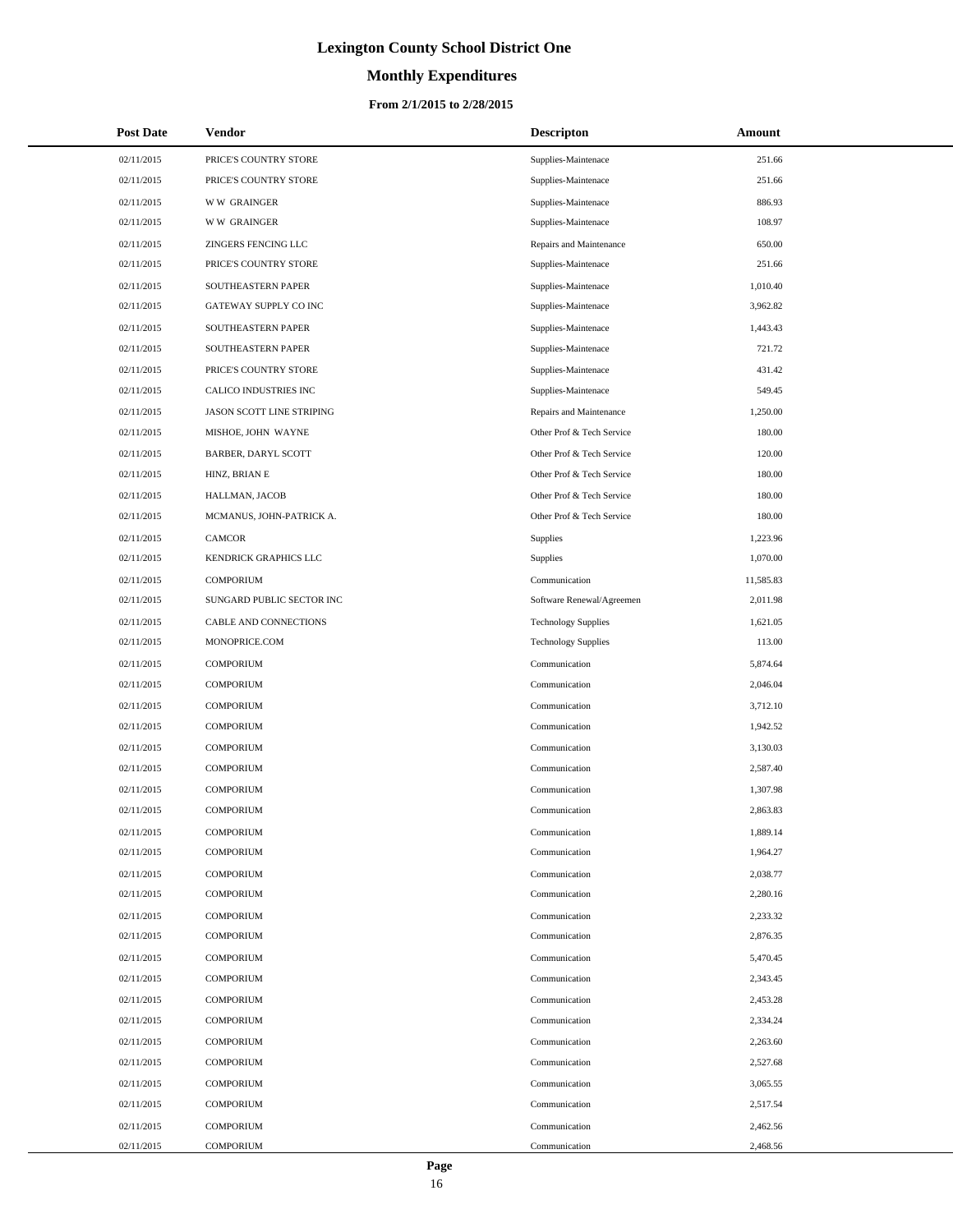# **Monthly Expenditures**

### **From 2/1/2015 to 2/28/2015**

| <b>Post Date</b> | <b>Vendor</b>              | <b>Descripton</b>          | Amount    |
|------------------|----------------------------|----------------------------|-----------|
| 02/11/2015       | PRICE'S COUNTRY STORE      | Supplies-Maintenace        | 251.66    |
| 02/11/2015       | PRICE'S COUNTRY STORE      | Supplies-Maintenace        | 251.66    |
| 02/11/2015       | <b>WW GRAINGER</b>         | Supplies-Maintenace        | 886.93    |
| 02/11/2015       | <b>WW GRAINGER</b>         | Supplies-Maintenace        | 108.97    |
| 02/11/2015       | ZINGERS FENCING LLC        | Repairs and Maintenance    | 650.00    |
| 02/11/2015       | PRICE'S COUNTRY STORE      | Supplies-Maintenace        | 251.66    |
| 02/11/2015       | SOUTHEASTERN PAPER         | Supplies-Maintenace        | 1,010.40  |
| 02/11/2015       | GATEWAY SUPPLY CO INC      | Supplies-Maintenace        | 3,962.82  |
| 02/11/2015       | SOUTHEASTERN PAPER         | Supplies-Maintenace        | 1,443.43  |
| 02/11/2015       | SOUTHEASTERN PAPER         | Supplies-Maintenace        | 721.72    |
| 02/11/2015       | PRICE'S COUNTRY STORE      | Supplies-Maintenace        | 431.42    |
| 02/11/2015       | CALICO INDUSTRIES INC      | Supplies-Maintenace        | 549.45    |
| 02/11/2015       | JASON SCOTT LINE STRIPING  | Repairs and Maintenance    | 1,250.00  |
| 02/11/2015       | MISHOE, JOHN WAYNE         | Other Prof & Tech Service  | 180.00    |
| 02/11/2015       | <b>BARBER, DARYL SCOTT</b> | Other Prof & Tech Service  | 120.00    |
| 02/11/2015       | HINZ, BRIAN E              | Other Prof & Tech Service  | 180.00    |
| 02/11/2015       | HALLMAN, JACOB             | Other Prof & Tech Service  | 180.00    |
| 02/11/2015       | MCMANUS, JOHN-PATRICK A.   | Other Prof & Tech Service  | 180.00    |
| 02/11/2015       | CAMCOR                     | Supplies                   | 1,223.96  |
| 02/11/2015       | KENDRICK GRAPHICS LLC      | Supplies                   | 1,070.00  |
| 02/11/2015       | <b>COMPORIUM</b>           | Communication              | 11,585.83 |
| 02/11/2015       | SUNGARD PUBLIC SECTOR INC  | Software Renewal/Agreemen  | 2,011.98  |
| 02/11/2015       | CABLE AND CONNECTIONS      | <b>Technology Supplies</b> | 1,621.05  |
| 02/11/2015       | MONOPRICE.COM              | <b>Technology Supplies</b> | 113.00    |
| 02/11/2015       | <b>COMPORIUM</b>           | Communication              | 5,874.64  |
| 02/11/2015       | <b>COMPORIUM</b>           | Communication              | 2,046.04  |
| 02/11/2015       | <b>COMPORIUM</b>           | Communication              | 3,712.10  |
| 02/11/2015       | <b>COMPORIUM</b>           | Communication              | 1,942.52  |
| 02/11/2015       | <b>COMPORIUM</b>           | Communication              | 3,130.03  |
| 02/11/2015       | <b>COMPORIUM</b>           | Communication              | 2,587.40  |
| 02/11/2015       | <b>COMPORIUM</b>           | Communication              | 1,307.98  |
| 02/11/2015       | <b>COMPORIUM</b>           | Communication              | 2,863.83  |
| 02/11/2015       | <b>COMPORIUM</b>           | Communication              | 1,889.14  |
| 02/11/2015       | <b>COMPORIUM</b>           | Communication              | 1,964.27  |
| 02/11/2015       | <b>COMPORIUM</b>           | Communication              | 2,038.77  |
| 02/11/2015       | <b>COMPORIUM</b>           | Communication              | 2,280.16  |
| 02/11/2015       | <b>COMPORIUM</b>           | Communication              | 2,233.32  |
| 02/11/2015       | <b>COMPORIUM</b>           | Communication              | 2,876.35  |
| 02/11/2015       | <b>COMPORIUM</b>           | Communication              | 5,470.45  |
| 02/11/2015       | <b>COMPORIUM</b>           | Communication              | 2,343.45  |
| 02/11/2015       | <b>COMPORIUM</b>           | Communication              | 2,453.28  |
| 02/11/2015       | <b>COMPORIUM</b>           | Communication              | 2,334.24  |
| 02/11/2015       | <b>COMPORIUM</b>           | Communication              | 2,263.60  |
| 02/11/2015       | <b>COMPORIUM</b>           | Communication              | 2,527.68  |
| 02/11/2015       | <b>COMPORIUM</b>           | Communication              | 3,065.55  |
| 02/11/2015       | <b>COMPORIUM</b>           | Communication              | 2,517.54  |
| 02/11/2015       | <b>COMPORIUM</b>           | Communication              | 2,462.56  |
| 02/11/2015       | <b>COMPORIUM</b>           | Communication              | 2,468.56  |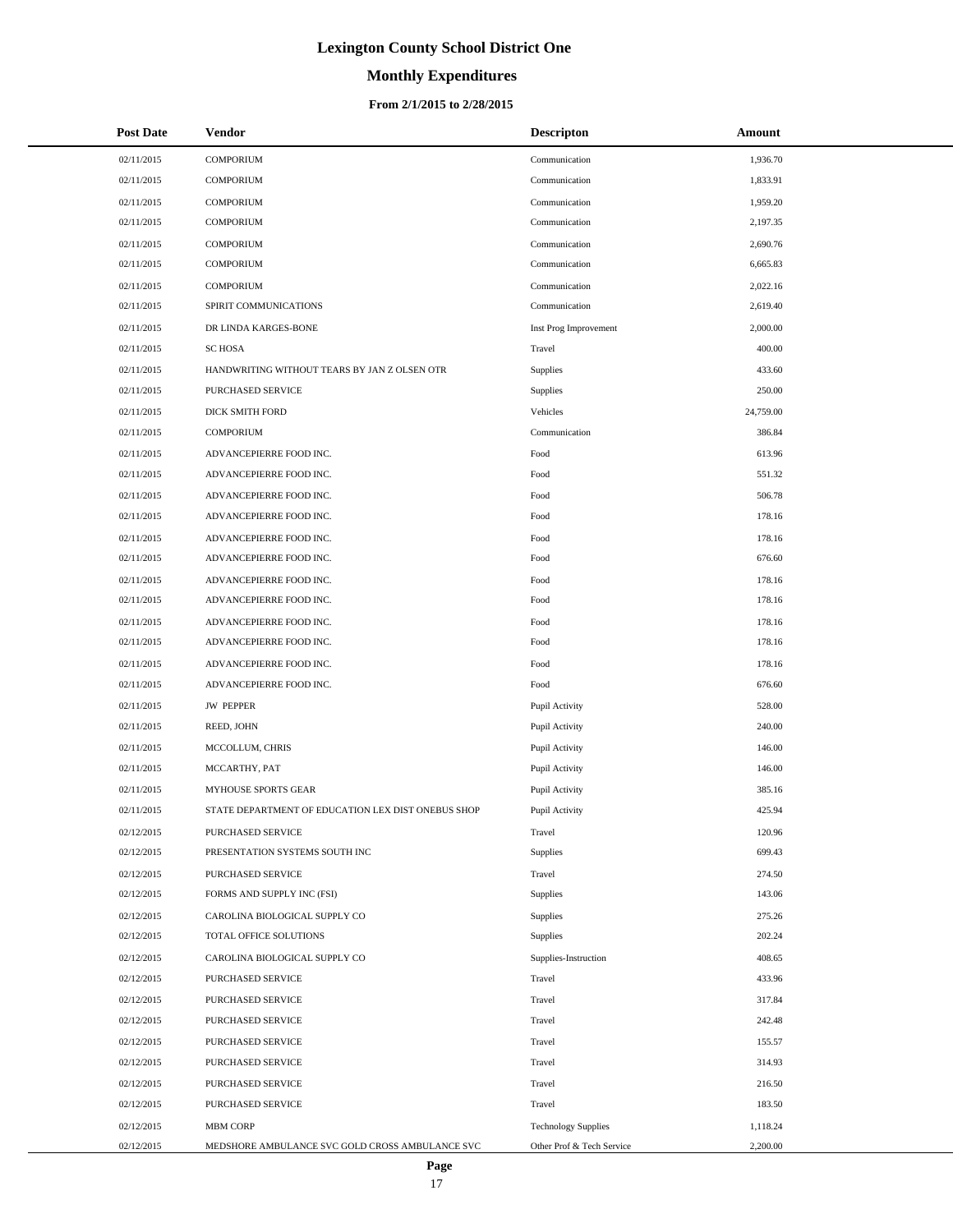# **Monthly Expenditures**

### **From 2/1/2015 to 2/28/2015**

| <b>Post Date</b> | <b>Vendor</b>                                      | <b>Descripton</b>          | Amount    |
|------------------|----------------------------------------------------|----------------------------|-----------|
| 02/11/2015       | <b>COMPORIUM</b>                                   | Communication              | 1,936.70  |
| 02/11/2015       | <b>COMPORIUM</b>                                   | Communication              | 1,833.91  |
| 02/11/2015       | <b>COMPORIUM</b>                                   | Communication              | 1,959.20  |
| 02/11/2015       | <b>COMPORIUM</b>                                   | Communication              | 2,197.35  |
| 02/11/2015       | <b>COMPORIUM</b>                                   | Communication              | 2,690.76  |
| 02/11/2015       | <b>COMPORIUM</b>                                   | Communication              | 6,665.83  |
| 02/11/2015       | <b>COMPORIUM</b>                                   | Communication              | 2,022.16  |
| 02/11/2015       | SPIRIT COMMUNICATIONS                              | Communication              | 2,619.40  |
| 02/11/2015       | DR LINDA KARGES-BONE                               | Inst Prog Improvement      | 2,000.00  |
| 02/11/2015       | <b>SC HOSA</b>                                     | Travel                     | 400.00    |
| 02/11/2015       | HANDWRITING WITHOUT TEARS BY JAN Z OLSEN OTR       | Supplies                   | 433.60    |
| 02/11/2015       | PURCHASED SERVICE                                  | Supplies                   | 250.00    |
| 02/11/2015       | DICK SMITH FORD                                    | Vehicles                   | 24,759.00 |
| 02/11/2015       | <b>COMPORIUM</b>                                   | Communication              | 386.84    |
| 02/11/2015       | ADVANCEPIERRE FOOD INC.                            | Food                       | 613.96    |
| 02/11/2015       | ADVANCEPIERRE FOOD INC.                            | Food                       | 551.32    |
| 02/11/2015       | ADVANCEPIERRE FOOD INC.                            | Food                       | 506.78    |
| 02/11/2015       | ADVANCEPIERRE FOOD INC.                            | Food                       | 178.16    |
| 02/11/2015       | ADVANCEPIERRE FOOD INC.                            | Food                       | 178.16    |
| 02/11/2015       | ADVANCEPIERRE FOOD INC.                            | Food                       | 676.60    |
| 02/11/2015       | ADVANCEPIERRE FOOD INC.                            | Food                       | 178.16    |
| 02/11/2015       | ADVANCEPIERRE FOOD INC.                            | Food                       | 178.16    |
| 02/11/2015       | ADVANCEPIERRE FOOD INC.                            | Food                       | 178.16    |
| 02/11/2015       | ADVANCEPIERRE FOOD INC.                            | Food                       | 178.16    |
| 02/11/2015       | ADVANCEPIERRE FOOD INC.                            | Food                       | 178.16    |
| 02/11/2015       | ADVANCEPIERRE FOOD INC.                            | Food                       | 676.60    |
| 02/11/2015       | <b>JW PEPPER</b>                                   | Pupil Activity             | 528.00    |
| 02/11/2015       | REED, JOHN                                         | Pupil Activity             | 240.00    |
| 02/11/2015       | MCCOLLUM, CHRIS                                    | Pupil Activity             | 146.00    |
| 02/11/2015       | MCCARTHY, PAT                                      | Pupil Activity             | 146.00    |
| 02/11/2015       | MYHOUSE SPORTS GEAR                                | Pupil Activity             | 385.16    |
| 02/11/2015       | STATE DEPARTMENT OF EDUCATION LEX DIST ONEBUS SHOP | Pupil Activity             | 425.94    |
| 02/12/2015       | PURCHASED SERVICE                                  | Travel                     | 120.96    |
| 02/12/2015       | PRESENTATION SYSTEMS SOUTH INC                     | Supplies                   | 699.43    |
| 02/12/2015       | PURCHASED SERVICE                                  | Travel                     | 274.50    |
| 02/12/2015       | FORMS AND SUPPLY INC (FSI)                         | Supplies                   | 143.06    |
| 02/12/2015       | CAROLINA BIOLOGICAL SUPPLY CO                      | Supplies                   | 275.26    |
| 02/12/2015       | TOTAL OFFICE SOLUTIONS                             | Supplies                   | 202.24    |
| 02/12/2015       | CAROLINA BIOLOGICAL SUPPLY CO                      | Supplies-Instruction       | 408.65    |
| 02/12/2015       | PURCHASED SERVICE                                  | Travel                     | 433.96    |
| 02/12/2015       | PURCHASED SERVICE                                  | Travel                     | 317.84    |
| 02/12/2015       | PURCHASED SERVICE                                  | Travel                     | 242.48    |
| 02/12/2015       | PURCHASED SERVICE                                  | Travel                     | 155.57    |
| 02/12/2015       | PURCHASED SERVICE                                  | Travel                     | 314.93    |
| 02/12/2015       | PURCHASED SERVICE                                  | Travel                     | 216.50    |
| 02/12/2015       | PURCHASED SERVICE                                  | Travel                     | 183.50    |
| 02/12/2015       | MBM CORP                                           | <b>Technology Supplies</b> | 1,118.24  |
| 02/12/2015       | MEDSHORE AMBULANCE SVC GOLD CROSS AMBULANCE SVC    | Other Prof & Tech Service  | 2,200.00  |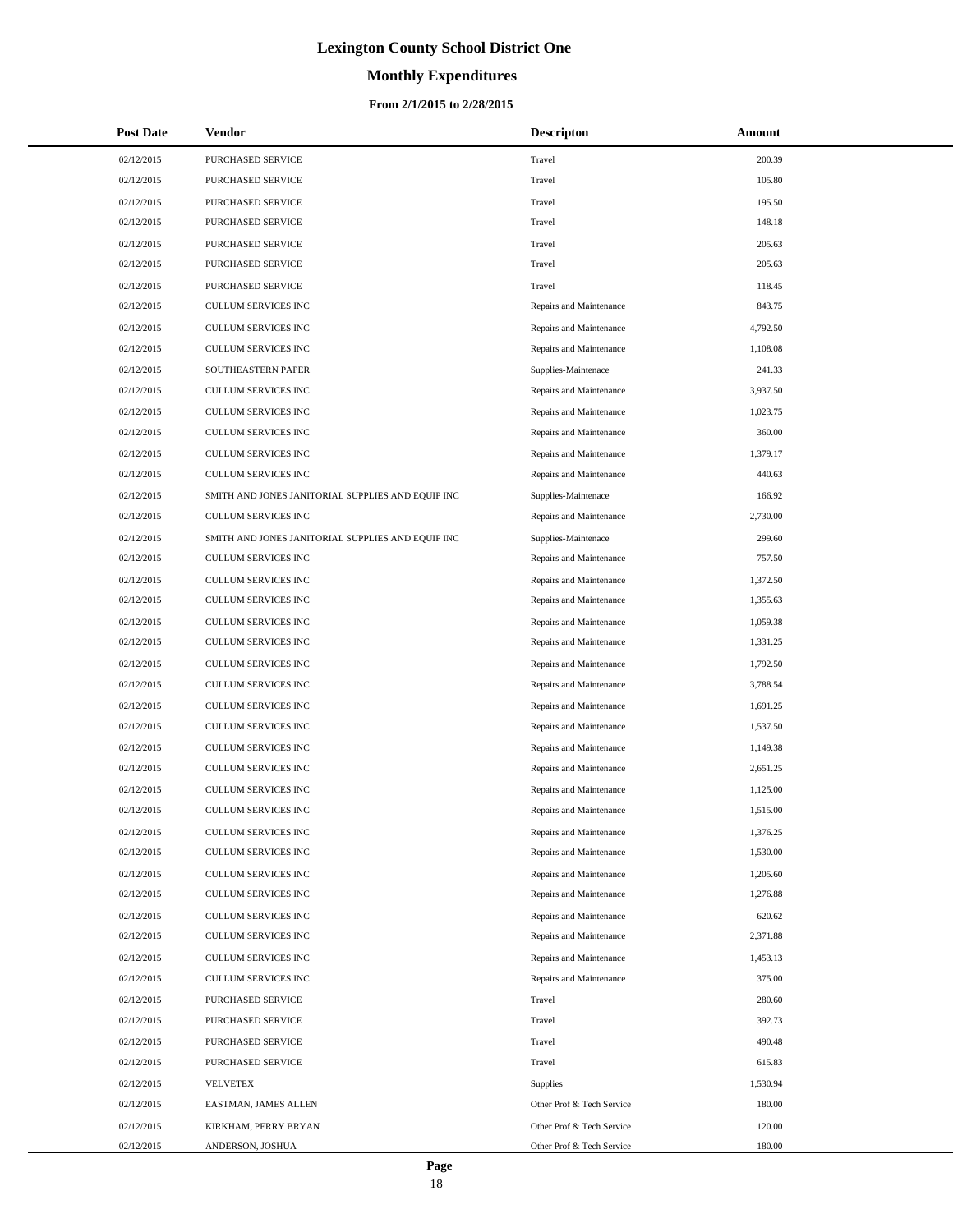# **Monthly Expenditures**

### **From 2/1/2015 to 2/28/2015**

| <b>Post Date</b> | Vendor                                            | <b>Descripton</b>         | Amount   |
|------------------|---------------------------------------------------|---------------------------|----------|
| 02/12/2015       | PURCHASED SERVICE                                 | Travel                    | 200.39   |
| 02/12/2015       | PURCHASED SERVICE                                 | Travel                    | 105.80   |
| 02/12/2015       | PURCHASED SERVICE                                 | Travel                    | 195.50   |
| 02/12/2015       | PURCHASED SERVICE                                 | Travel                    | 148.18   |
| 02/12/2015       | PURCHASED SERVICE                                 | Travel                    | 205.63   |
| 02/12/2015       | PURCHASED SERVICE                                 | Travel                    | 205.63   |
| 02/12/2015       | PURCHASED SERVICE                                 | Travel                    | 118.45   |
| 02/12/2015       | <b>CULLUM SERVICES INC</b>                        | Repairs and Maintenance   | 843.75   |
| 02/12/2015       | CULLUM SERVICES INC                               | Repairs and Maintenance   | 4,792.50 |
| 02/12/2015       | CULLUM SERVICES INC                               | Repairs and Maintenance   | 1,108.08 |
| 02/12/2015       | SOUTHEASTERN PAPER                                | Supplies-Maintenace       | 241.33   |
| 02/12/2015       | CULLUM SERVICES INC                               | Repairs and Maintenance   | 3,937.50 |
| 02/12/2015       | CULLUM SERVICES INC                               | Repairs and Maintenance   | 1,023.75 |
| 02/12/2015       | CULLUM SERVICES INC                               | Repairs and Maintenance   | 360.00   |
| 02/12/2015       | <b>CULLUM SERVICES INC</b>                        | Repairs and Maintenance   | 1,379.17 |
| 02/12/2015       | CULLUM SERVICES INC                               | Repairs and Maintenance   | 440.63   |
| 02/12/2015       | SMITH AND JONES JANITORIAL SUPPLIES AND EQUIP INC | Supplies-Maintenace       | 166.92   |
| 02/12/2015       | CULLUM SERVICES INC                               | Repairs and Maintenance   | 2,730.00 |
| 02/12/2015       | SMITH AND JONES JANITORIAL SUPPLIES AND EQUIP INC | Supplies-Maintenace       | 299.60   |
| 02/12/2015       | CULLUM SERVICES INC                               | Repairs and Maintenance   | 757.50   |
| 02/12/2015       | CULLUM SERVICES INC                               | Repairs and Maintenance   | 1,372.50 |
| 02/12/2015       | CULLUM SERVICES INC                               | Repairs and Maintenance   | 1,355.63 |
| 02/12/2015       | CULLUM SERVICES INC                               | Repairs and Maintenance   | 1,059.38 |
| 02/12/2015       | CULLUM SERVICES INC                               | Repairs and Maintenance   | 1,331.25 |
| 02/12/2015       | CULLUM SERVICES INC                               | Repairs and Maintenance   | 1,792.50 |
| 02/12/2015       | CULLUM SERVICES INC                               | Repairs and Maintenance   | 3,788.54 |
| 02/12/2015       | CULLUM SERVICES INC                               | Repairs and Maintenance   | 1,691.25 |
| 02/12/2015       | CULLUM SERVICES INC                               | Repairs and Maintenance   | 1,537.50 |
| 02/12/2015       | CULLUM SERVICES INC                               | Repairs and Maintenance   | 1,149.38 |
| 02/12/2015       | CULLUM SERVICES INC                               | Repairs and Maintenance   | 2,651.25 |
| 02/12/2015       | CULLUM SERVICES INC                               | Repairs and Maintenance   | 1,125.00 |
| 02/12/2015       | <b>CULLUM SERVICES INC</b>                        | Repairs and Maintenance   | 1,515.00 |
| 02/12/2015       | CULLUM SERVICES INC                               | Repairs and Maintenance   | 1,376.25 |
| 02/12/2015       | CULLUM SERVICES INC                               | Repairs and Maintenance   | 1,530.00 |
| 02/12/2015       | CULLUM SERVICES INC                               | Repairs and Maintenance   | 1,205.60 |
| 02/12/2015       | CULLUM SERVICES INC                               | Repairs and Maintenance   | 1,276.88 |
| 02/12/2015       | <b>CULLUM SERVICES INC</b>                        | Repairs and Maintenance   | 620.62   |
| 02/12/2015       | CULLUM SERVICES INC                               | Repairs and Maintenance   | 2,371.88 |
| 02/12/2015       | CULLUM SERVICES INC                               | Repairs and Maintenance   | 1,453.13 |
| 02/12/2015       | CULLUM SERVICES INC                               | Repairs and Maintenance   | 375.00   |
| 02/12/2015       | PURCHASED SERVICE                                 | Travel                    | 280.60   |
| 02/12/2015       | PURCHASED SERVICE                                 | Travel                    | 392.73   |
| 02/12/2015       | PURCHASED SERVICE                                 | Travel                    | 490.48   |
| 02/12/2015       | PURCHASED SERVICE                                 | Travel                    | 615.83   |
| 02/12/2015       | <b>VELVETEX</b>                                   | Supplies                  | 1,530.94 |
| 02/12/2015       | EASTMAN, JAMES ALLEN                              | Other Prof & Tech Service | 180.00   |
| 02/12/2015       | KIRKHAM, PERRY BRYAN                              | Other Prof & Tech Service | 120.00   |
| 02/12/2015       | ANDERSON, JOSHUA                                  | Other Prof & Tech Service | 180.00   |

÷.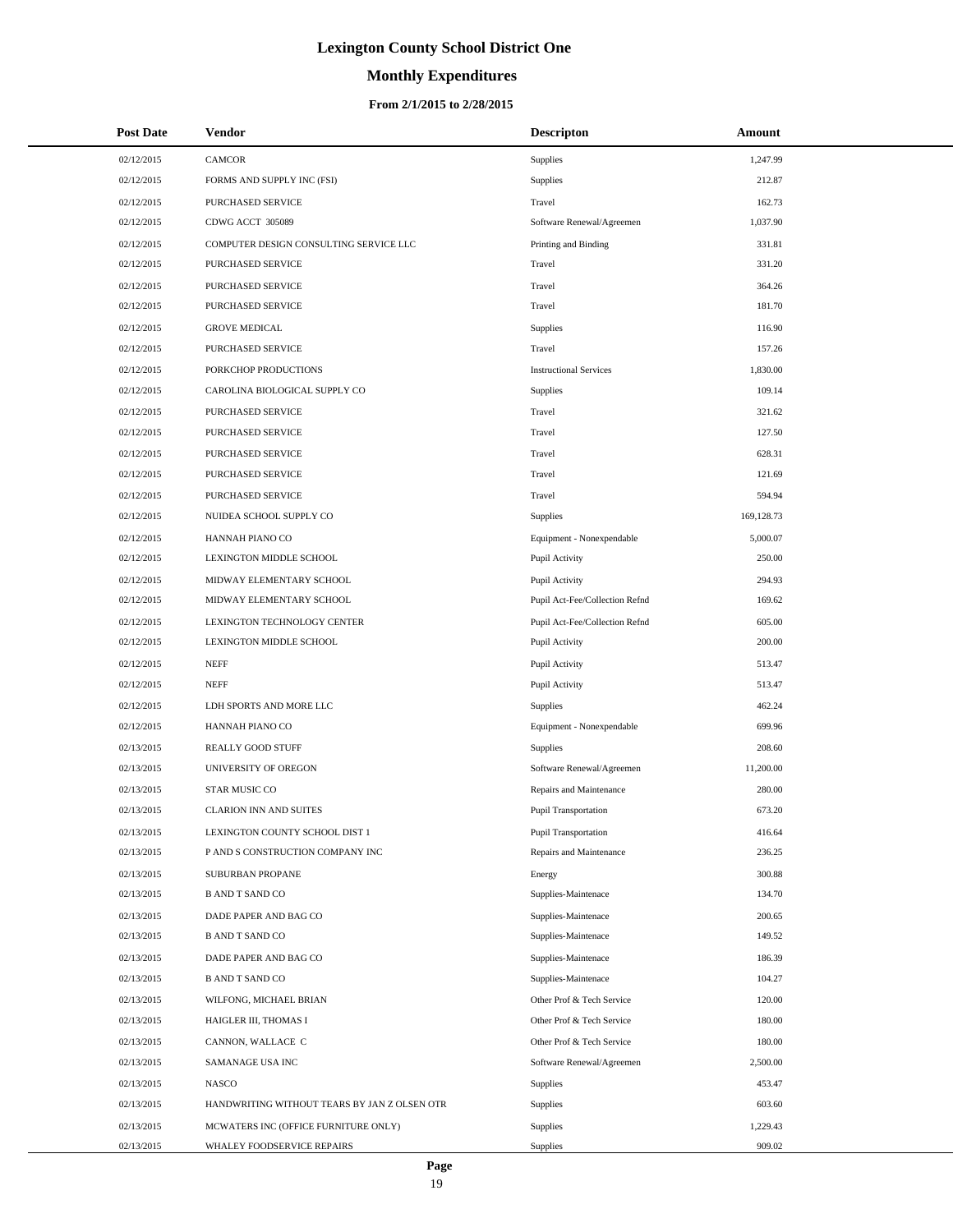# **Monthly Expenditures**

### **From 2/1/2015 to 2/28/2015**

| <b>Post Date</b> | <b>Vendor</b>                                | <b>Descripton</b>              | Amount     |
|------------------|----------------------------------------------|--------------------------------|------------|
| 02/12/2015       | CAMCOR                                       | Supplies                       | 1,247.99   |
| 02/12/2015       | FORMS AND SUPPLY INC (FSI)                   | Supplies                       | 212.87     |
| 02/12/2015       | PURCHASED SERVICE                            | Travel                         | 162.73     |
| 02/12/2015       | CDWG ACCT 305089                             | Software Renewal/Agreemen      | 1,037.90   |
| 02/12/2015       | COMPUTER DESIGN CONSULTING SERVICE LLC       | Printing and Binding           | 331.81     |
| 02/12/2015       | PURCHASED SERVICE                            | Travel                         | 331.20     |
| 02/12/2015       | PURCHASED SERVICE                            | Travel                         | 364.26     |
| 02/12/2015       | PURCHASED SERVICE                            | Travel                         | 181.70     |
| 02/12/2015       | <b>GROVE MEDICAL</b>                         | Supplies                       | 116.90     |
| 02/12/2015       | <b>PURCHASED SERVICE</b>                     | Travel                         | 157.26     |
| 02/12/2015       | PORKCHOP PRODUCTIONS                         | <b>Instructional Services</b>  | 1,830.00   |
| 02/12/2015       | CAROLINA BIOLOGICAL SUPPLY CO                | Supplies                       | 109.14     |
| 02/12/2015       | PURCHASED SERVICE                            | Travel                         | 321.62     |
| 02/12/2015       | <b>PURCHASED SERVICE</b>                     | Travel                         | 127.50     |
| 02/12/2015       | PURCHASED SERVICE                            | Travel                         | 628.31     |
| 02/12/2015       | <b>PURCHASED SERVICE</b>                     | Travel                         | 121.69     |
| 02/12/2015       | <b>PURCHASED SERVICE</b>                     | Travel                         | 594.94     |
| 02/12/2015       | NUIDEA SCHOOL SUPPLY CO                      | Supplies                       | 169,128.73 |
| 02/12/2015       | HANNAH PIANO CO                              | Equipment - Nonexpendable      | 5,000.07   |
| 02/12/2015       | LEXINGTON MIDDLE SCHOOL                      | Pupil Activity                 | 250.00     |
| 02/12/2015       | MIDWAY ELEMENTARY SCHOOL                     | Pupil Activity                 | 294.93     |
| 02/12/2015       | MIDWAY ELEMENTARY SCHOOL                     | Pupil Act-Fee/Collection Refnd | 169.62     |
| 02/12/2015       | LEXINGTON TECHNOLOGY CENTER                  | Pupil Act-Fee/Collection Refnd | 605.00     |
| 02/12/2015       | LEXINGTON MIDDLE SCHOOL                      | Pupil Activity                 | 200.00     |
| 02/12/2015       | <b>NEFF</b>                                  | Pupil Activity                 | 513.47     |
| 02/12/2015       | <b>NEFF</b>                                  | Pupil Activity                 | 513.47     |
| 02/12/2015       | LDH SPORTS AND MORE LLC                      | Supplies                       | 462.24     |
| 02/12/2015       | HANNAH PIANO CO                              | Equipment - Nonexpendable      | 699.96     |
| 02/13/2015       | REALLY GOOD STUFF                            | Supplies                       | 208.60     |
| 02/13/2015       | UNIVERSITY OF OREGON                         | Software Renewal/Agreemen      | 11,200.00  |
| 02/13/2015       | STAR MUSIC CO                                | Repairs and Maintenance        | 280.00     |
| 02/13/2015       | <b>CLARION INN AND SUITES</b>                | <b>Pupil Transportation</b>    | 673.20     |
| 02/13/2015       | LEXINGTON COUNTY SCHOOL DIST 1               | Pupil Transportation           | 416.64     |
| 02/13/2015       | P AND S CONSTRUCTION COMPANY INC             | Repairs and Maintenance        | 236.25     |
| 02/13/2015       | SUBURBAN PROPANE                             | Energy                         | 300.88     |
| 02/13/2015       | <b>B AND T SAND CO</b>                       | Supplies-Maintenace            | 134.70     |
| 02/13/2015       | DADE PAPER AND BAG CO                        | Supplies-Maintenace            | 200.65     |
| 02/13/2015       | <b>B AND T SAND CO</b>                       | Supplies-Maintenace            | 149.52     |
| 02/13/2015       | DADE PAPER AND BAG CO                        | Supplies-Maintenace            | 186.39     |
| 02/13/2015       | <b>B AND T SAND CO</b>                       | Supplies-Maintenace            | 104.27     |
| 02/13/2015       | WILFONG, MICHAEL BRIAN                       | Other Prof & Tech Service      | 120.00     |
| 02/13/2015       | HAIGLER III, THOMAS I                        | Other Prof & Tech Service      | 180.00     |
| 02/13/2015       | CANNON, WALLACE C                            | Other Prof & Tech Service      | 180.00     |
| 02/13/2015       | SAMANAGE USA INC                             | Software Renewal/Agreemen      | 2,500.00   |
| 02/13/2015       | NASCO                                        | <b>Supplies</b>                | 453.47     |
| 02/13/2015       | HANDWRITING WITHOUT TEARS BY JAN Z OLSEN OTR | <b>Supplies</b>                | 603.60     |
| 02/13/2015       | MCWATERS INC (OFFICE FURNITURE ONLY)         | Supplies                       | 1,229.43   |
| 02/13/2015       | WHALEY FOODSERVICE REPAIRS                   | Supplies                       | 909.02     |

L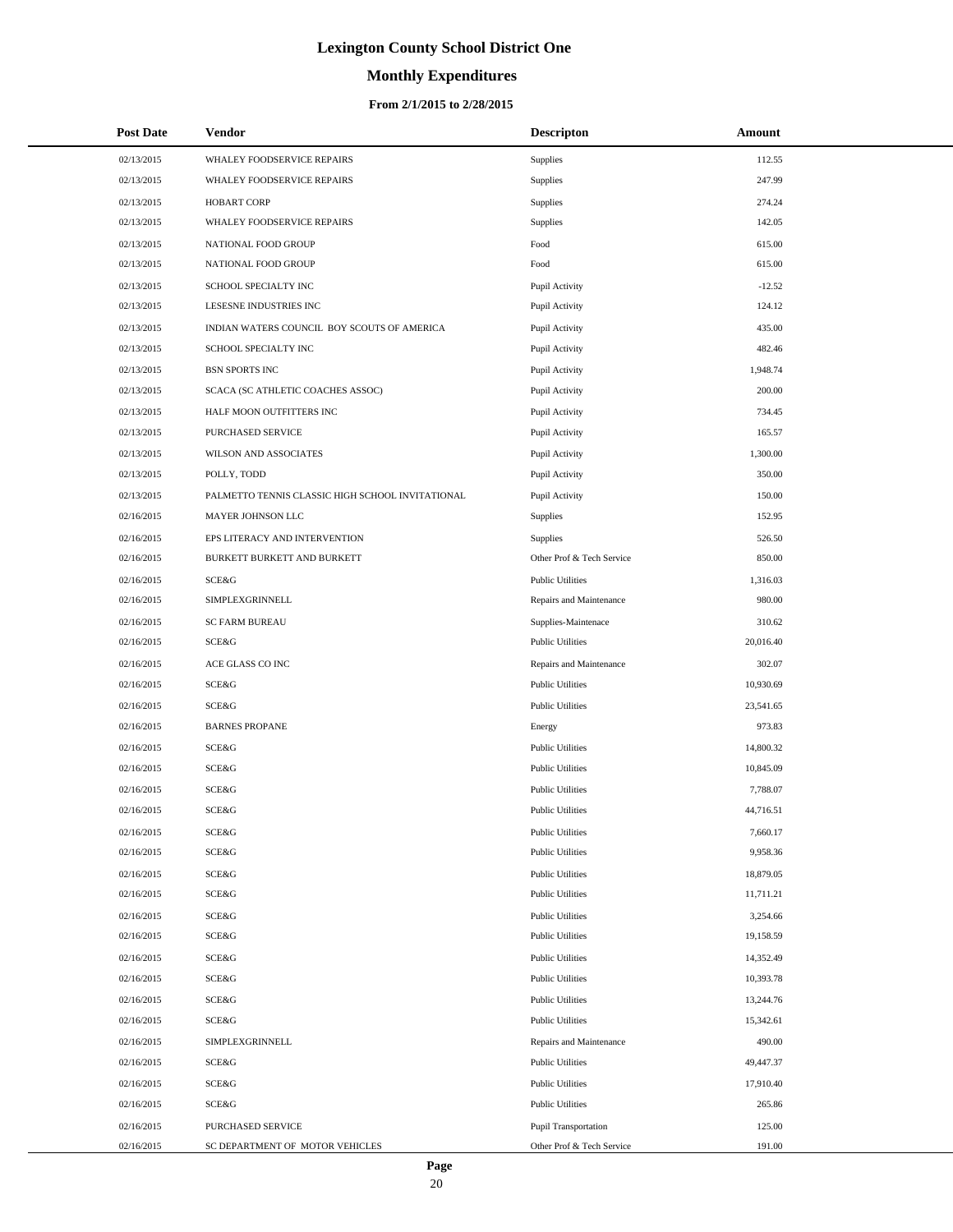# **Monthly Expenditures**

### **From 2/1/2015 to 2/28/2015**

| <b>Post Date</b> | Vendor                                           | <b>Descripton</b>         | Amount    |
|------------------|--------------------------------------------------|---------------------------|-----------|
| 02/13/2015       | WHALEY FOODSERVICE REPAIRS                       | <b>Supplies</b>           | 112.55    |
| 02/13/2015       | WHALEY FOODSERVICE REPAIRS                       | <b>Supplies</b>           | 247.99    |
| 02/13/2015       | <b>HOBART CORP</b>                               | <b>Supplies</b>           | 274.24    |
| 02/13/2015       | WHALEY FOODSERVICE REPAIRS                       | Supplies                  | 142.05    |
| 02/13/2015       | NATIONAL FOOD GROUP                              | Food                      | 615.00    |
| 02/13/2015       | NATIONAL FOOD GROUP                              | Food                      | 615.00    |
| 02/13/2015       | SCHOOL SPECIALTY INC                             | Pupil Activity            | $-12.52$  |
| 02/13/2015       | LESESNE INDUSTRIES INC                           | Pupil Activity            | 124.12    |
| 02/13/2015       | INDIAN WATERS COUNCIL BOY SCOUTS OF AMERICA      | Pupil Activity            | 435.00    |
| 02/13/2015       | SCHOOL SPECIALTY INC                             | Pupil Activity            | 482.46    |
| 02/13/2015       | <b>BSN SPORTS INC</b>                            | Pupil Activity            | 1,948.74  |
| 02/13/2015       | SCACA (SC ATHLETIC COACHES ASSOC)                | Pupil Activity            | 200.00    |
| 02/13/2015       | HALF MOON OUTFITTERS INC                         | Pupil Activity            | 734.45    |
| 02/13/2015       | PURCHASED SERVICE                                | Pupil Activity            | 165.57    |
| 02/13/2015       | WILSON AND ASSOCIATES                            | Pupil Activity            | 1,300.00  |
| 02/13/2015       | POLLY, TODD                                      | Pupil Activity            | 350.00    |
| 02/13/2015       | PALMETTO TENNIS CLASSIC HIGH SCHOOL INVITATIONAL | Pupil Activity            | 150.00    |
| 02/16/2015       | MAYER JOHNSON LLC                                | <b>Supplies</b>           | 152.95    |
| 02/16/2015       | EPS LITERACY AND INTERVENTION                    | <b>Supplies</b>           | 526.50    |
| 02/16/2015       | BURKETT BURKETT AND BURKETT                      | Other Prof & Tech Service | 850.00    |
| 02/16/2015       | <b>SCE&amp;G</b>                                 | <b>Public Utilities</b>   | 1,316.03  |
| 02/16/2015       | SIMPLEXGRINNELL                                  | Repairs and Maintenance   | 980.00    |
| 02/16/2015       | <b>SC FARM BUREAU</b>                            | Supplies-Maintenace       | 310.62    |
| 02/16/2015       | SCE&G                                            | <b>Public Utilities</b>   | 20,016.40 |
| 02/16/2015       | ACE GLASS CO INC                                 | Repairs and Maintenance   | 302.07    |
| 02/16/2015       | SCE&G                                            | <b>Public Utilities</b>   | 10,930.69 |
| 02/16/2015       | <b>SCE&amp;G</b>                                 | <b>Public Utilities</b>   | 23,541.65 |
| 02/16/2015       | <b>BARNES PROPANE</b>                            | Energy                    | 973.83    |
| 02/16/2015       | <b>SCE&amp;G</b>                                 | <b>Public Utilities</b>   | 14,800.32 |
| 02/16/2015       | SCE&G                                            | <b>Public Utilities</b>   | 10,845.09 |
| 02/16/2015       | <b>SCE&amp;G</b>                                 | <b>Public Utilities</b>   | 7,788.07  |
| 02/16/2015       | <b>SCE&amp;G</b>                                 | <b>Public Utilities</b>   | 44,716.51 |
| 02/16/2015       | SCE&G                                            | <b>Public Utilities</b>   | 7,660.17  |
| 02/16/2015       | SCE&G                                            | <b>Public Utilities</b>   | 9,958.36  |
| 02/16/2015       | <b>SCE&amp;G</b>                                 | <b>Public Utilities</b>   | 18,879.05 |
| 02/16/2015       | SCE&G                                            | <b>Public Utilities</b>   | 11,711.21 |
| 02/16/2015       | SCE&G                                            | <b>Public Utilities</b>   | 3,254.66  |
| 02/16/2015       | SCE&G                                            | <b>Public Utilities</b>   | 19,158.59 |
| 02/16/2015       | <b>SCE&amp;G</b>                                 | <b>Public Utilities</b>   | 14,352.49 |
| 02/16/2015       | SCE&G                                            | <b>Public Utilities</b>   | 10,393.78 |
| 02/16/2015       | <b>SCE&amp;G</b>                                 | <b>Public Utilities</b>   | 13,244.76 |
| 02/16/2015       | SCE&G                                            | <b>Public Utilities</b>   | 15,342.61 |
| 02/16/2015       | SIMPLEXGRINNELL                                  | Repairs and Maintenance   | 490.00    |
| 02/16/2015       | SCE&G                                            | <b>Public Utilities</b>   | 49,447.37 |
| 02/16/2015       | SCE&G                                            | <b>Public Utilities</b>   | 17,910.40 |
| 02/16/2015       | SCE&G                                            | <b>Public Utilities</b>   | 265.86    |
| 02/16/2015       | PURCHASED SERVICE                                | Pupil Transportation      | 125.00    |
| 02/16/2015       | SC DEPARTMENT OF MOTOR VEHICLES                  | Other Prof & Tech Service | 191.00    |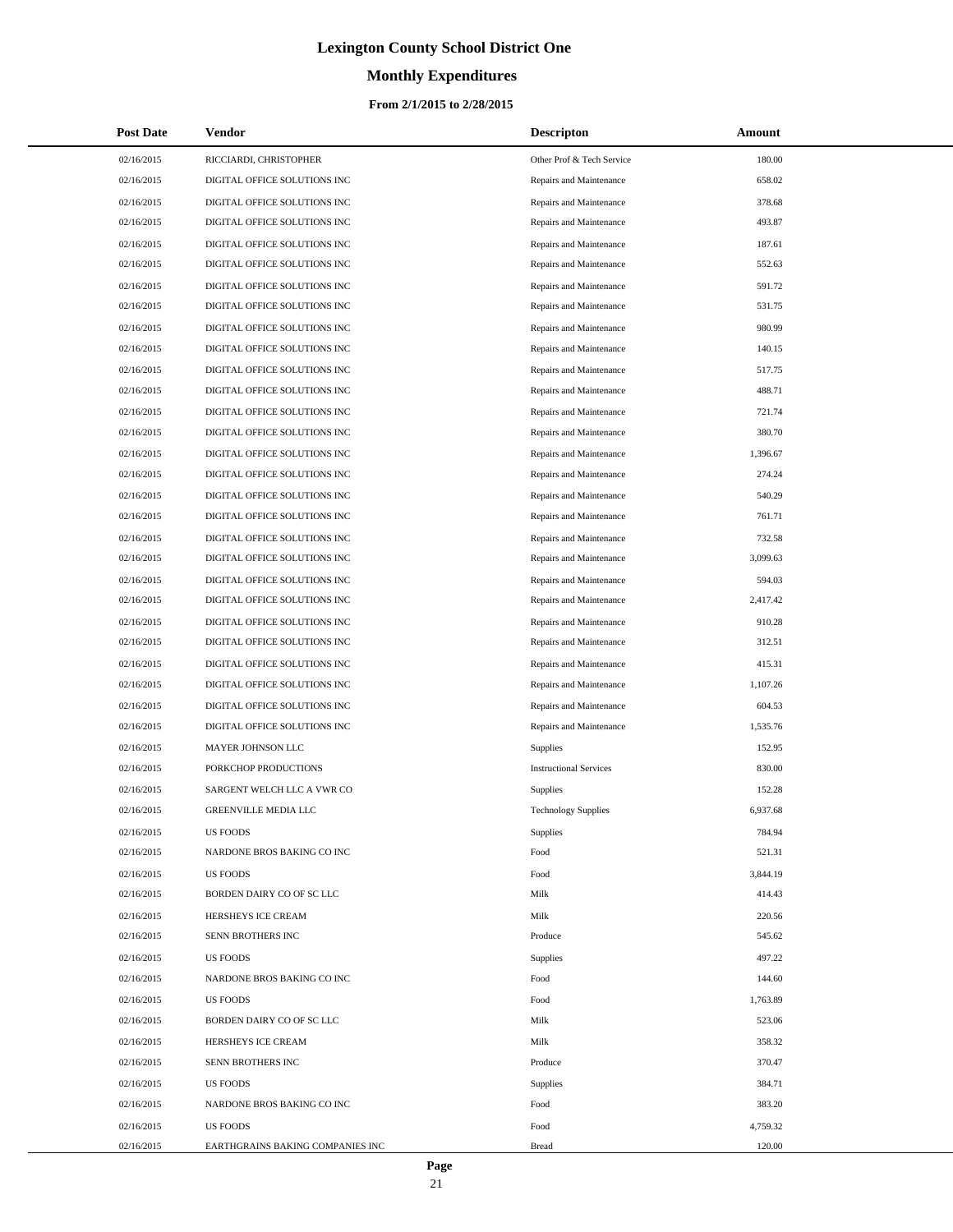# **Monthly Expenditures**

### **From 2/1/2015 to 2/28/2015**

| <b>Post Date</b> | <b>Vendor</b>                    | <b>Descripton</b>             | Amount   |
|------------------|----------------------------------|-------------------------------|----------|
| 02/16/2015       | RICCIARDI, CHRISTOPHER           | Other Prof & Tech Service     | 180.00   |
| 02/16/2015       | DIGITAL OFFICE SOLUTIONS INC     | Repairs and Maintenance       | 658.02   |
| 02/16/2015       | DIGITAL OFFICE SOLUTIONS INC     | Repairs and Maintenance       | 378.68   |
| 02/16/2015       | DIGITAL OFFICE SOLUTIONS INC     | Repairs and Maintenance       | 493.87   |
| 02/16/2015       | DIGITAL OFFICE SOLUTIONS INC     | Repairs and Maintenance       | 187.61   |
| 02/16/2015       | DIGITAL OFFICE SOLUTIONS INC     | Repairs and Maintenance       | 552.63   |
| 02/16/2015       | DIGITAL OFFICE SOLUTIONS INC     | Repairs and Maintenance       | 591.72   |
| 02/16/2015       | DIGITAL OFFICE SOLUTIONS INC     | Repairs and Maintenance       | 531.75   |
| 02/16/2015       | DIGITAL OFFICE SOLUTIONS INC     | Repairs and Maintenance       | 980.99   |
| 02/16/2015       | DIGITAL OFFICE SOLUTIONS INC     | Repairs and Maintenance       | 140.15   |
| 02/16/2015       | DIGITAL OFFICE SOLUTIONS INC     | Repairs and Maintenance       | 517.75   |
| 02/16/2015       | DIGITAL OFFICE SOLUTIONS INC     | Repairs and Maintenance       | 488.71   |
| 02/16/2015       | DIGITAL OFFICE SOLUTIONS INC     | Repairs and Maintenance       | 721.74   |
| 02/16/2015       | DIGITAL OFFICE SOLUTIONS INC     | Repairs and Maintenance       | 380.70   |
| 02/16/2015       | DIGITAL OFFICE SOLUTIONS INC     | Repairs and Maintenance       | 1,396.67 |
| 02/16/2015       | DIGITAL OFFICE SOLUTIONS INC     | Repairs and Maintenance       | 274.24   |
| 02/16/2015       | DIGITAL OFFICE SOLUTIONS INC     | Repairs and Maintenance       | 540.29   |
| 02/16/2015       | DIGITAL OFFICE SOLUTIONS INC     | Repairs and Maintenance       | 761.71   |
| 02/16/2015       | DIGITAL OFFICE SOLUTIONS INC     | Repairs and Maintenance       | 732.58   |
| 02/16/2015       | DIGITAL OFFICE SOLUTIONS INC     | Repairs and Maintenance       | 3,099.63 |
| 02/16/2015       | DIGITAL OFFICE SOLUTIONS INC     | Repairs and Maintenance       | 594.03   |
| 02/16/2015       | DIGITAL OFFICE SOLUTIONS INC     | Repairs and Maintenance       | 2,417.42 |
| 02/16/2015       | DIGITAL OFFICE SOLUTIONS INC     | Repairs and Maintenance       | 910.28   |
| 02/16/2015       | DIGITAL OFFICE SOLUTIONS INC     | Repairs and Maintenance       | 312.51   |
| 02/16/2015       | DIGITAL OFFICE SOLUTIONS INC     | Repairs and Maintenance       | 415.31   |
| 02/16/2015       | DIGITAL OFFICE SOLUTIONS INC     | Repairs and Maintenance       | 1,107.26 |
| 02/16/2015       | DIGITAL OFFICE SOLUTIONS INC     | Repairs and Maintenance       | 604.53   |
| 02/16/2015       | DIGITAL OFFICE SOLUTIONS INC     | Repairs and Maintenance       | 1,535.76 |
| 02/16/2015       | MAYER JOHNSON LLC                | <b>Supplies</b>               | 152.95   |
| 02/16/2015       | PORKCHOP PRODUCTIONS             | <b>Instructional Services</b> | 830.00   |
| 02/16/2015       | SARGENT WELCH LLC A VWR CO       | Supplies                      | 152.28   |
| 02/16/2015       | <b>GREENVILLE MEDIA LLC</b>      | <b>Technology Supplies</b>    | 6,937.68 |
| 02/16/2015       | <b>US FOODS</b>                  | Supplies                      | 784.94   |
| 02/16/2015       | NARDONE BROS BAKING CO INC       | Food                          | 521.31   |
| 02/16/2015       | <b>US FOODS</b>                  | Food                          | 3,844.19 |
| 02/16/2015       | BORDEN DAIRY CO OF SC LLC        | Milk                          | 414.43   |
| 02/16/2015       | HERSHEYS ICE CREAM               | Milk                          | 220.56   |
| 02/16/2015       | SENN BROTHERS INC                | Produce                       | 545.62   |
| 02/16/2015       | <b>US FOODS</b>                  | Supplies                      | 497.22   |
| 02/16/2015       | NARDONE BROS BAKING CO INC       | Food                          | 144.60   |
| 02/16/2015       | <b>US FOODS</b>                  | Food                          | 1,763.89 |
| 02/16/2015       | BORDEN DAIRY CO OF SC LLC        | Milk                          | 523.06   |
| 02/16/2015       | HERSHEYS ICE CREAM               | Milk                          | 358.32   |
| 02/16/2015       | SENN BROTHERS INC                | Produce                       | 370.47   |
| 02/16/2015       | <b>US FOODS</b>                  | Supplies                      | 384.71   |
| 02/16/2015       | NARDONE BROS BAKING CO INC       | Food                          | 383.20   |
| 02/16/2015       | <b>US FOODS</b>                  | Food                          | 4,759.32 |
| 02/16/2015       | EARTHGRAINS BAKING COMPANIES INC | <b>Bread</b>                  | 120.00   |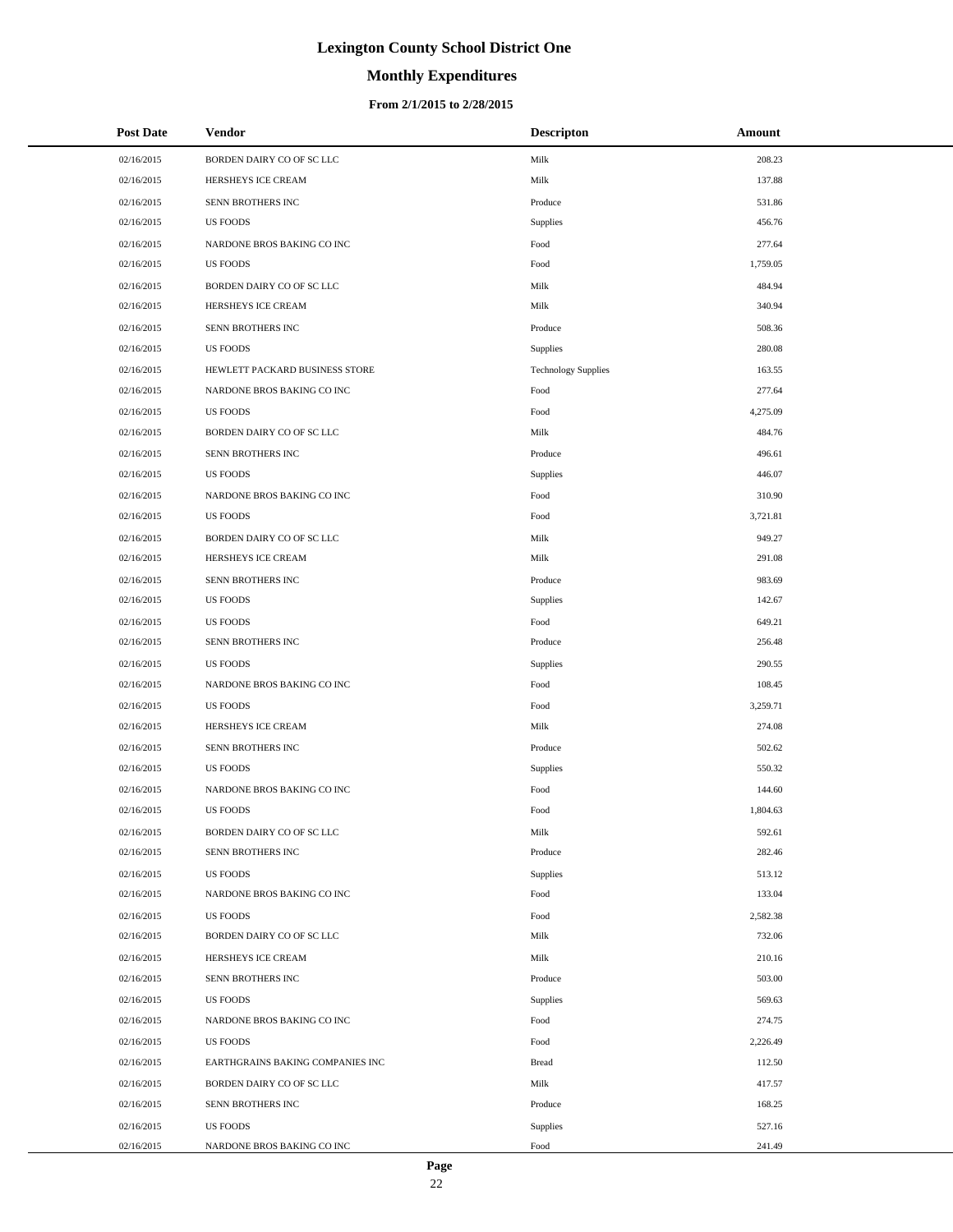# **Monthly Expenditures**

#### **From 2/1/2015 to 2/28/2015**

| <b>Post Date</b> | Vendor                           | <b>Descripton</b>          | Amount   |
|------------------|----------------------------------|----------------------------|----------|
| 02/16/2015       | BORDEN DAIRY CO OF SC LLC        | Milk                       | 208.23   |
| 02/16/2015       | HERSHEYS ICE CREAM               | Milk                       | 137.88   |
| 02/16/2015       | SENN BROTHERS INC                | Produce                    | 531.86   |
| 02/16/2015       | <b>US FOODS</b>                  | Supplies                   | 456.76   |
| 02/16/2015       | NARDONE BROS BAKING CO INC       | Food                       | 277.64   |
| 02/16/2015       | <b>US FOODS</b>                  | Food                       | 1,759.05 |
| 02/16/2015       | BORDEN DAIRY CO OF SC LLC        | Milk                       | 484.94   |
| 02/16/2015       | HERSHEYS ICE CREAM               | Milk                       | 340.94   |
| 02/16/2015       | SENN BROTHERS INC                | Produce                    | 508.36   |
| 02/16/2015       | <b>US FOODS</b>                  | Supplies                   | 280.08   |
| 02/16/2015       | HEWLETT PACKARD BUSINESS STORE   | <b>Technology Supplies</b> | 163.55   |
| 02/16/2015       | NARDONE BROS BAKING CO INC       | Food                       | 277.64   |
| 02/16/2015       | <b>US FOODS</b>                  | Food                       | 4,275.09 |
| 02/16/2015       | BORDEN DAIRY CO OF SC LLC        | Milk                       | 484.76   |
| 02/16/2015       | SENN BROTHERS INC                | Produce                    | 496.61   |
| 02/16/2015       | <b>US FOODS</b>                  | Supplies                   | 446.07   |
| 02/16/2015       | NARDONE BROS BAKING CO INC       | Food                       | 310.90   |
| 02/16/2015       | <b>US FOODS</b>                  | Food                       | 3,721.81 |
| 02/16/2015       | BORDEN DAIRY CO OF SC LLC        | Milk                       | 949.27   |
| 02/16/2015       | HERSHEYS ICE CREAM               | Milk                       | 291.08   |
| 02/16/2015       | SENN BROTHERS INC                | Produce                    | 983.69   |
| 02/16/2015       | <b>US FOODS</b>                  | Supplies                   | 142.67   |
| 02/16/2015       | <b>US FOODS</b>                  | Food                       | 649.21   |
| 02/16/2015       | SENN BROTHERS INC                | Produce                    | 256.48   |
| 02/16/2015       | <b>US FOODS</b>                  | Supplies                   | 290.55   |
| 02/16/2015       | NARDONE BROS BAKING CO INC       | Food                       | 108.45   |
| 02/16/2015       | <b>US FOODS</b>                  | Food                       | 3,259.71 |
| 02/16/2015       | HERSHEYS ICE CREAM               | Milk                       | 274.08   |
| 02/16/2015       | SENN BROTHERS INC                | Produce                    | 502.62   |
| 02/16/2015       | <b>US FOODS</b>                  | Supplies                   | 550.32   |
| 02/16/2015       | NARDONE BROS BAKING CO INC       | Food                       | 144.60   |
| 02/16/2015       | <b>US FOODS</b>                  | Food                       | 1,804.63 |
| 02/16/2015       | BORDEN DAIRY CO OF SC LLC        | Milk                       | 592.61   |
| 02/16/2015       | SENN BROTHERS INC                | Produce                    | 282.46   |
| 02/16/2015       | <b>US FOODS</b>                  | Supplies                   | 513.12   |
| 02/16/2015       | NARDONE BROS BAKING CO INC       | Food                       | 133.04   |
| 02/16/2015       | <b>US FOODS</b>                  | Food                       | 2,582.38 |
| 02/16/2015       | BORDEN DAIRY CO OF SC LLC        | Milk                       | 732.06   |
| 02/16/2015       | HERSHEYS ICE CREAM               | Milk                       | 210.16   |
| 02/16/2015       | SENN BROTHERS INC                | Produce                    | 503.00   |
| 02/16/2015       | <b>US FOODS</b>                  | Supplies                   | 569.63   |
| 02/16/2015       | NARDONE BROS BAKING CO INC       | Food                       | 274.75   |
| 02/16/2015       | US FOODS                         | Food                       | 2,226.49 |
| 02/16/2015       | EARTHGRAINS BAKING COMPANIES INC | <b>Bread</b>               | 112.50   |
| 02/16/2015       | BORDEN DAIRY CO OF SC LLC        | Milk                       | 417.57   |
| 02/16/2015       | SENN BROTHERS INC                | Produce                    | 168.25   |
| 02/16/2015       | <b>US FOODS</b>                  | Supplies                   | 527.16   |
| 02/16/2015       | NARDONE BROS BAKING CO INC       | Food                       | 241.49   |

L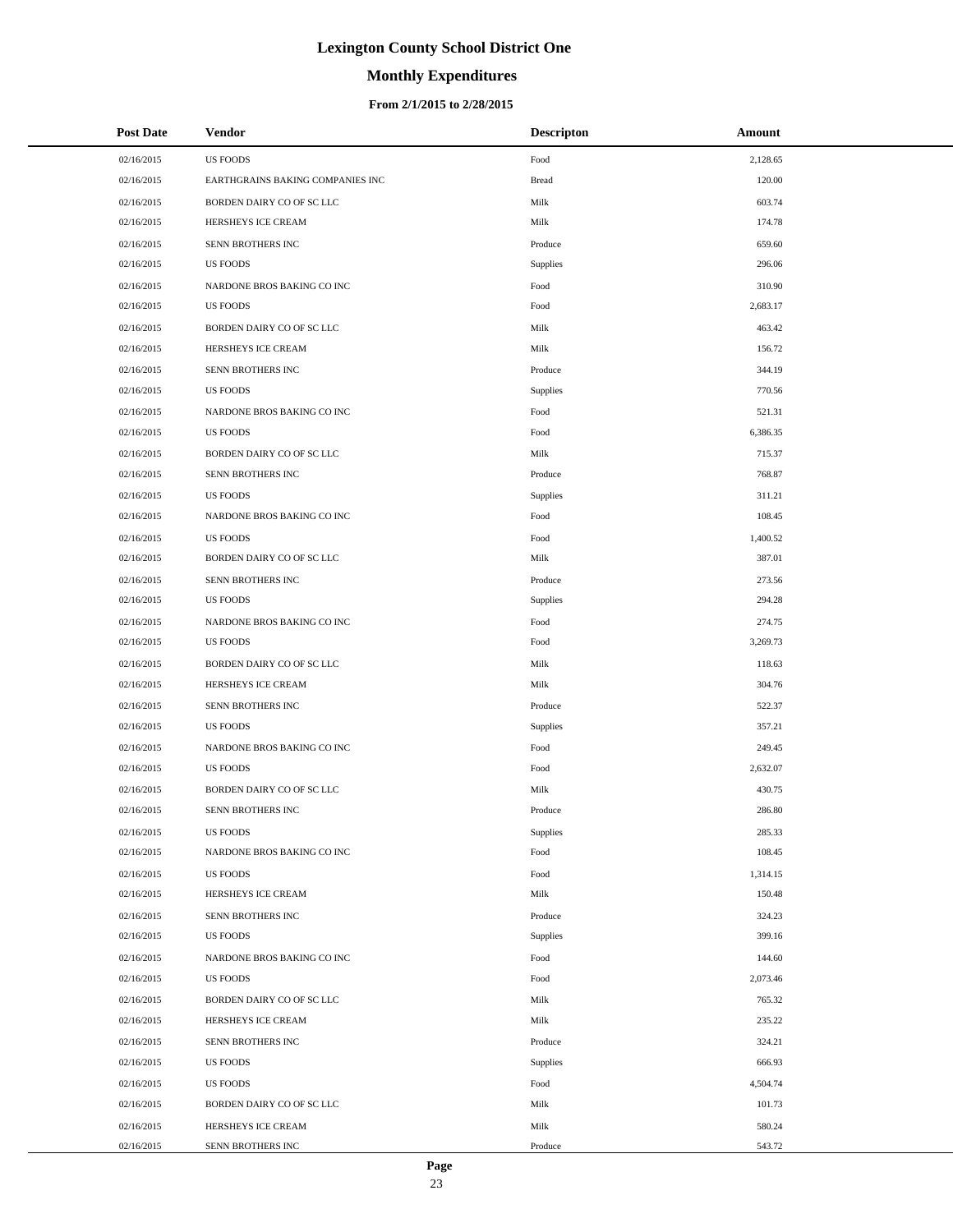# **Monthly Expenditures**

| <b>Post Date</b> | Vendor                           | <b>Descripton</b> | Amount   |  |
|------------------|----------------------------------|-------------------|----------|--|
| 02/16/2015       | <b>US FOODS</b>                  | Food              | 2,128.65 |  |
| 02/16/2015       | EARTHGRAINS BAKING COMPANIES INC | <b>Bread</b>      | 120.00   |  |
| 02/16/2015       | BORDEN DAIRY CO OF SC LLC        | Milk              | 603.74   |  |
| 02/16/2015       | HERSHEYS ICE CREAM               | Milk              | 174.78   |  |
| 02/16/2015       | SENN BROTHERS INC                | Produce           | 659.60   |  |
| 02/16/2015       | <b>US FOODS</b>                  | Supplies          | 296.06   |  |
| 02/16/2015       | NARDONE BROS BAKING CO INC       | Food              | 310.90   |  |
| 02/16/2015       | <b>US FOODS</b>                  | Food              | 2,683.17 |  |
| 02/16/2015       | BORDEN DAIRY CO OF SC LLC        | Milk              | 463.42   |  |
| 02/16/2015       | HERSHEYS ICE CREAM               | Milk              | 156.72   |  |
| 02/16/2015       | SENN BROTHERS INC                | Produce           | 344.19   |  |
| 02/16/2015       | <b>US FOODS</b>                  | Supplies          | 770.56   |  |
| 02/16/2015       | NARDONE BROS BAKING CO INC       | Food              | 521.31   |  |
| 02/16/2015       | <b>US FOODS</b>                  | Food              | 6,386.35 |  |
| 02/16/2015       | BORDEN DAIRY CO OF SC LLC        | Milk              | 715.37   |  |
| 02/16/2015       | SENN BROTHERS INC                | Produce           | 768.87   |  |
| 02/16/2015       | <b>US FOODS</b>                  | <b>Supplies</b>   | 311.21   |  |
| 02/16/2015       | NARDONE BROS BAKING CO INC       | Food              | 108.45   |  |
| 02/16/2015       | <b>US FOODS</b>                  | Food              | 1,400.52 |  |
| 02/16/2015       | BORDEN DAIRY CO OF SC LLC        | Milk              | 387.01   |  |
| 02/16/2015       | SENN BROTHERS INC                | Produce           | 273.56   |  |
| 02/16/2015       | <b>US FOODS</b>                  | <b>Supplies</b>   | 294.28   |  |
| 02/16/2015       | NARDONE BROS BAKING CO INC       | Food              | 274.75   |  |
| 02/16/2015       | <b>US FOODS</b>                  | Food              | 3,269.73 |  |
| 02/16/2015       | BORDEN DAIRY CO OF SC LLC        | Milk              | 118.63   |  |
| 02/16/2015       | HERSHEYS ICE CREAM               | Milk              | 304.76   |  |
| 02/16/2015       | SENN BROTHERS INC                | Produce           | 522.37   |  |
| 02/16/2015       | <b>US FOODS</b>                  | <b>Supplies</b>   | 357.21   |  |
| 02/16/2015       | NARDONE BROS BAKING CO INC       | Food              | 249.45   |  |
| 02/16/2015       | <b>US FOODS</b>                  | Food              | 2,632.07 |  |
| 02/16/2015       | BORDEN DAIRY CO OF SC LLC        | Milk              | 430.75   |  |
| 02/16/2015       | SENN BROTHERS INC                | Produce           | 286.80   |  |
| 02/16/2015       | <b>US FOODS</b>                  | <b>Supplies</b>   | 285.33   |  |
| 02/16/2015       | NARDONE BROS BAKING CO INC       | Food              | 108.45   |  |
| 02/16/2015       | <b>US FOODS</b>                  | Food              | 1,314.15 |  |
| 02/16/2015       | HERSHEYS ICE CREAM               | Milk              | 150.48   |  |
| 02/16/2015       | SENN BROTHERS INC                | Produce           | 324.23   |  |
| 02/16/2015       | US FOODS                         | <b>Supplies</b>   | 399.16   |  |
| 02/16/2015       | NARDONE BROS BAKING CO INC       | Food              | 144.60   |  |
| 02/16/2015       | US FOODS                         | Food              | 2,073.46 |  |
| 02/16/2015       | BORDEN DAIRY CO OF SC LLC        | Milk              | 765.32   |  |
| 02/16/2015       | HERSHEYS ICE CREAM               | Milk              | 235.22   |  |
| 02/16/2015       | SENN BROTHERS INC                | Produce           | 324.21   |  |
| 02/16/2015       | US FOODS                         | <b>Supplies</b>   | 666.93   |  |
| 02/16/2015       | US FOODS                         | Food              | 4,504.74 |  |
| 02/16/2015       | BORDEN DAIRY CO OF SC LLC        | Milk              | 101.73   |  |
| 02/16/2015       | HERSHEYS ICE CREAM               | Milk              | 580.24   |  |
| 02/16/2015       | SENN BROTHERS INC                | Produce           | 543.72   |  |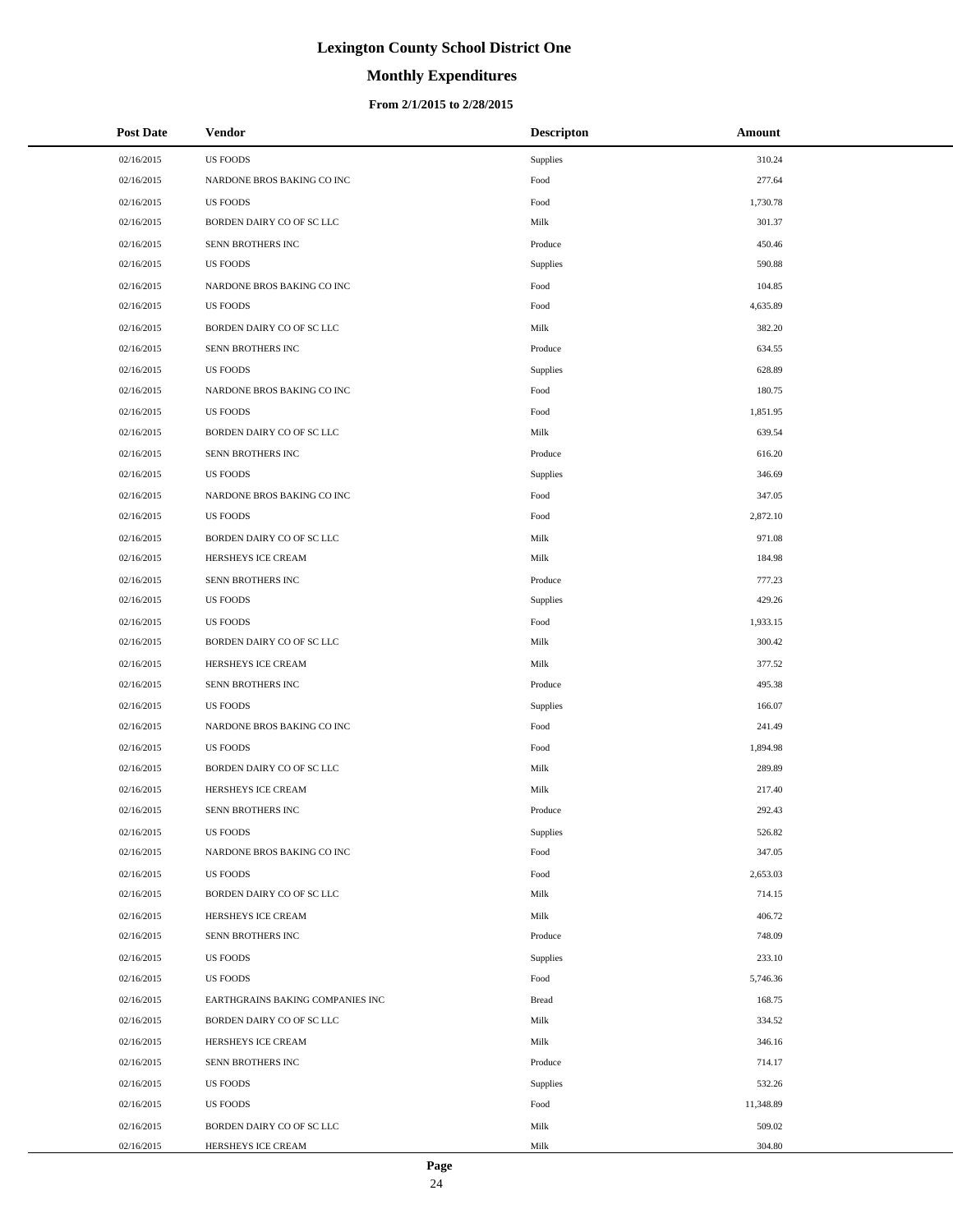# **Monthly Expenditures**

### **From 2/1/2015 to 2/28/2015**

| <b>Post Date</b> | <b>Vendor</b>                    | <b>Descripton</b>      | Amount    |  |
|------------------|----------------------------------|------------------------|-----------|--|
| 02/16/2015       | <b>US FOODS</b>                  | <b>Supplies</b>        | 310.24    |  |
| 02/16/2015       | NARDONE BROS BAKING CO INC       | Food                   | 277.64    |  |
| 02/16/2015       | <b>US FOODS</b>                  | Food                   | 1,730.78  |  |
| 02/16/2015       | BORDEN DAIRY CO OF SC LLC        | Milk                   | 301.37    |  |
| 02/16/2015       | SENN BROTHERS INC                | Produce                | 450.46    |  |
| 02/16/2015       | <b>US FOODS</b>                  | <b>Supplies</b>        | 590.88    |  |
| 02/16/2015       | NARDONE BROS BAKING CO INC       | Food                   | 104.85    |  |
| 02/16/2015       | <b>US FOODS</b>                  | Food                   | 4,635.89  |  |
| 02/16/2015       | BORDEN DAIRY CO OF SC LLC        | Milk                   | 382.20    |  |
| 02/16/2015       | SENN BROTHERS INC                | Produce                | 634.55    |  |
| 02/16/2015       | <b>US FOODS</b>                  | <b>Supplies</b>        | 628.89    |  |
| 02/16/2015       | NARDONE BROS BAKING CO INC       | Food                   | 180.75    |  |
| 02/16/2015       | <b>US FOODS</b>                  | Food                   | 1,851.95  |  |
| 02/16/2015       | BORDEN DAIRY CO OF SC LLC        | Milk                   | 639.54    |  |
| 02/16/2015       | SENN BROTHERS INC                | Produce                | 616.20    |  |
| 02/16/2015       | <b>US FOODS</b>                  | <b>Supplies</b>        | 346.69    |  |
| 02/16/2015       | NARDONE BROS BAKING CO INC       | Food                   | 347.05    |  |
| 02/16/2015       | <b>US FOODS</b>                  | Food                   | 2,872.10  |  |
| 02/16/2015       | BORDEN DAIRY CO OF SC LLC        | Milk                   | 971.08    |  |
| 02/16/2015       | HERSHEYS ICE CREAM               | Milk                   | 184.98    |  |
| 02/16/2015       | SENN BROTHERS INC                | Produce                | 777.23    |  |
| 02/16/2015       | <b>US FOODS</b>                  | <b>Supplies</b>        | 429.26    |  |
| 02/16/2015       | <b>US FOODS</b>                  | Food                   | 1,933.15  |  |
| 02/16/2015       | BORDEN DAIRY CO OF SC LLC        | Milk                   | 300.42    |  |
| 02/16/2015       | HERSHEYS ICE CREAM               | Milk                   | 377.52    |  |
| 02/16/2015       | SENN BROTHERS INC                | Produce                | 495.38    |  |
| 02/16/2015       | <b>US FOODS</b>                  | <b>Supplies</b>        | 166.07    |  |
| 02/16/2015       | NARDONE BROS BAKING CO INC       | Food                   | 241.49    |  |
| 02/16/2015       | <b>US FOODS</b>                  | Food                   | 1,894.98  |  |
| 02/16/2015       | BORDEN DAIRY CO OF SC LLC        | Milk                   | 289.89    |  |
| 02/16/2015       | HERSHEYS ICE CREAM               | Milk                   | 217.40    |  |
| 02/16/2015       | SENN BROTHERS INC                | Produce                | 292.43    |  |
| 02/16/2015       | <b>US FOODS</b>                  | <b>Supplies</b>        | 526.82    |  |
| 02/16/2015       | NARDONE BROS BAKING CO INC       | $\operatorname*{Food}$ | 347.05    |  |
| 02/16/2015       | <b>US FOODS</b>                  | Food                   | 2,653.03  |  |
| 02/16/2015       | BORDEN DAIRY CO OF SC LLC        | Milk                   | 714.15    |  |
| 02/16/2015       | HERSHEYS ICE CREAM               | Milk                   | 406.72    |  |
| 02/16/2015       | SENN BROTHERS INC                | Produce                | 748.09    |  |
| 02/16/2015       | <b>US FOODS</b>                  | <b>Supplies</b>        | 233.10    |  |
| 02/16/2015       | <b>US FOODS</b>                  | Food                   | 5,746.36  |  |
| 02/16/2015       | EARTHGRAINS BAKING COMPANIES INC | <b>Bread</b>           | 168.75    |  |
| 02/16/2015       | BORDEN DAIRY CO OF SC LLC        | Milk                   | 334.52    |  |
| 02/16/2015       | HERSHEYS ICE CREAM               | Milk                   | 346.16    |  |
| 02/16/2015       | SENN BROTHERS INC                | Produce                | 714.17    |  |
| 02/16/2015       | <b>US FOODS</b>                  | <b>Supplies</b>        | 532.26    |  |
| 02/16/2015       | <b>US FOODS</b>                  | Food                   | 11,348.89 |  |
| 02/16/2015       | BORDEN DAIRY CO OF SC LLC        | Milk                   | 509.02    |  |
| 02/16/2015       | HERSHEYS ICE CREAM               | Milk                   | 304.80    |  |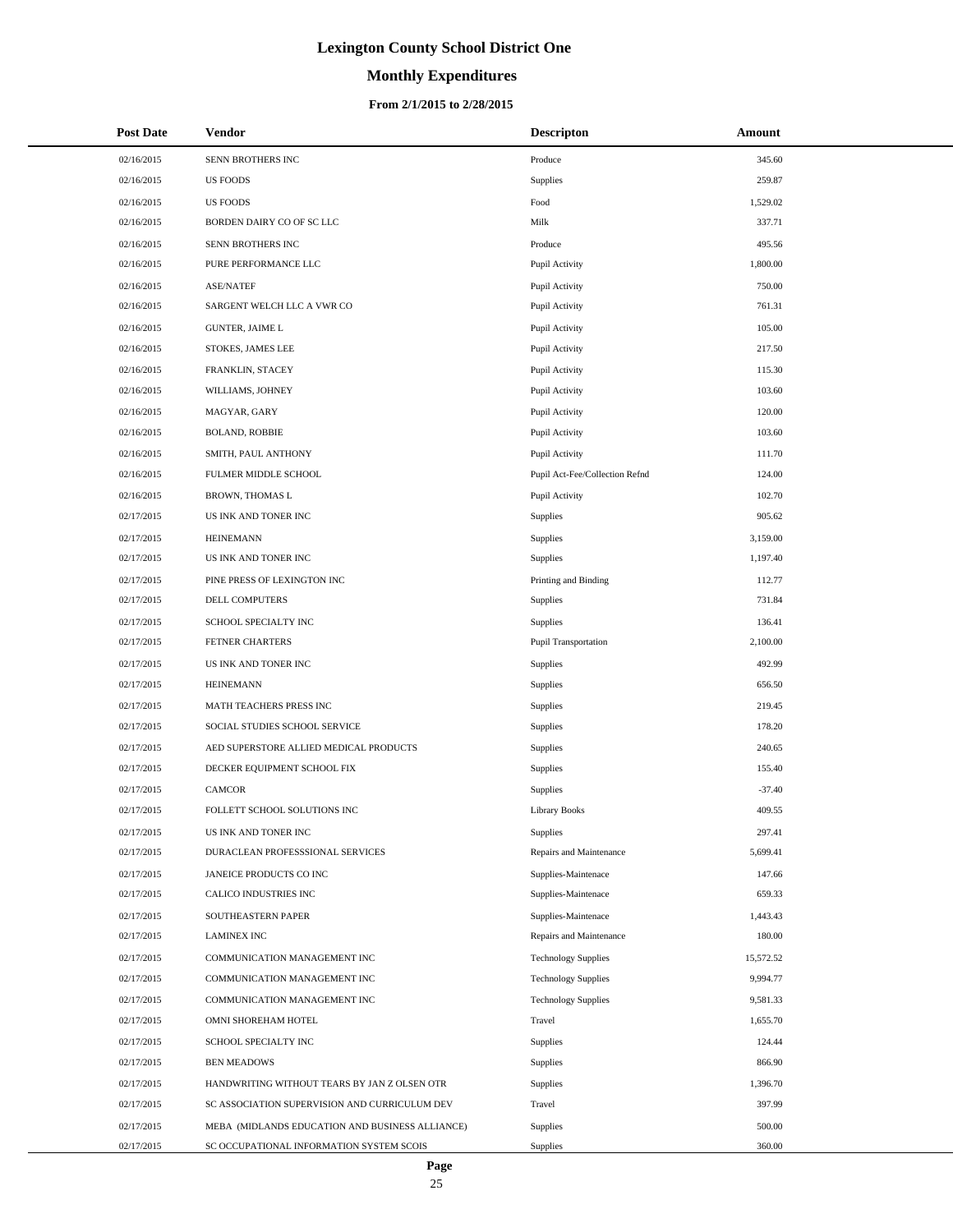# **Monthly Expenditures**

| <b>Post Date</b> | Vendor                                          | <b>Descripton</b>              | Amount    |
|------------------|-------------------------------------------------|--------------------------------|-----------|
| 02/16/2015       | SENN BROTHERS INC                               | Produce                        | 345.60    |
| 02/16/2015       | <b>US FOODS</b>                                 | <b>Supplies</b>                | 259.87    |
| 02/16/2015       | <b>US FOODS</b>                                 | Food                           | 1,529.02  |
| 02/16/2015       | BORDEN DAIRY CO OF SC LLC                       | Milk                           | 337.71    |
| 02/16/2015       | SENN BROTHERS INC                               | Produce                        | 495.56    |
| 02/16/2015       | PURE PERFORMANCE LLC                            | Pupil Activity                 | 1,800.00  |
| 02/16/2015       | <b>ASE/NATEF</b>                                | Pupil Activity                 | 750.00    |
| 02/16/2015       | SARGENT WELCH LLC A VWR CO                      | Pupil Activity                 | 761.31    |
| 02/16/2015       | <b>GUNTER, JAIME L</b>                          | Pupil Activity                 | 105.00    |
| 02/16/2015       | STOKES, JAMES LEE                               | Pupil Activity                 | 217.50    |
| 02/16/2015       | FRANKLIN, STACEY                                | Pupil Activity                 | 115.30    |
| 02/16/2015       | WILLIAMS, JOHNEY                                | Pupil Activity                 | 103.60    |
| 02/16/2015       | MAGYAR, GARY                                    | Pupil Activity                 | 120.00    |
| 02/16/2015       | <b>BOLAND, ROBBIE</b>                           | Pupil Activity                 | 103.60    |
| 02/16/2015       | SMITH, PAUL ANTHONY                             | Pupil Activity                 | 111.70    |
| 02/16/2015       | FULMER MIDDLE SCHOOL                            | Pupil Act-Fee/Collection Refnd | 124.00    |
| 02/16/2015       | <b>BROWN, THOMAS L</b>                          | Pupil Activity                 | 102.70    |
| 02/17/2015       | US INK AND TONER INC                            | Supplies                       | 905.62    |
| 02/17/2015       | <b>HEINEMANN</b>                                | Supplies                       | 3,159.00  |
| 02/17/2015       | US INK AND TONER INC                            | Supplies                       | 1,197.40  |
| 02/17/2015       | PINE PRESS OF LEXINGTON INC                     | Printing and Binding           | 112.77    |
| 02/17/2015       | DELL COMPUTERS                                  | Supplies                       | 731.84    |
| 02/17/2015       | SCHOOL SPECIALTY INC                            | Supplies                       | 136.41    |
| 02/17/2015       | FETNER CHARTERS                                 | Pupil Transportation           | 2,100.00  |
| 02/17/2015       | US INK AND TONER INC                            | Supplies                       | 492.99    |
| 02/17/2015       | <b>HEINEMANN</b>                                | Supplies                       | 656.50    |
| 02/17/2015       | MATH TEACHERS PRESS INC                         | Supplies                       | 219.45    |
| 02/17/2015       | SOCIAL STUDIES SCHOOL SERVICE                   | Supplies                       | 178.20    |
| 02/17/2015       | AED SUPERSTORE ALLIED MEDICAL PRODUCTS          | Supplies                       | 240.65    |
| 02/17/2015       | DECKER EQUIPMENT SCHOOL FIX                     | Supplies                       | 155.40    |
| 02/17/2015       | <b>CAMCOR</b>                                   | Supplies                       | $-37.40$  |
| 02/17/2015       | FOLLETT SCHOOL SOLUTIONS INC                    | Library Books                  | 409.55    |
| 02/17/2015       | US INK AND TONER INC                            | Supplies                       | 297.41    |
| 02/17/2015       | DURACLEAN PROFESSSIONAL SERVICES                | Repairs and Maintenance        | 5,699.41  |
| 02/17/2015       | JANEICE PRODUCTS CO INC                         | Supplies-Maintenace            | 147.66    |
| 02/17/2015       | CALICO INDUSTRIES INC                           | Supplies-Maintenace            | 659.33    |
| 02/17/2015       | SOUTHEASTERN PAPER                              | Supplies-Maintenace            | 1,443.43  |
| 02/17/2015       | <b>LAMINEX INC</b>                              | Repairs and Maintenance        | 180.00    |
| 02/17/2015       | COMMUNICATION MANAGEMENT INC                    | <b>Technology Supplies</b>     | 15,572.52 |
| 02/17/2015       | COMMUNICATION MANAGEMENT INC                    | <b>Technology Supplies</b>     | 9,994.77  |
| 02/17/2015       | COMMUNICATION MANAGEMENT INC                    | <b>Technology Supplies</b>     | 9,581.33  |
| 02/17/2015       | OMNI SHOREHAM HOTEL                             | Travel                         | 1,655.70  |
| 02/17/2015       | SCHOOL SPECIALTY INC                            | Supplies                       | 124.44    |
| 02/17/2015       | <b>BEN MEADOWS</b>                              | Supplies                       | 866.90    |
| 02/17/2015       | HANDWRITING WITHOUT TEARS BY JAN Z OLSEN OTR    | Supplies                       | 1,396.70  |
| 02/17/2015       | SC ASSOCIATION SUPERVISION AND CURRICULUM DEV   | Travel                         | 397.99    |
| 02/17/2015       | MEBA (MIDLANDS EDUCATION AND BUSINESS ALLIANCE) | Supplies                       | 500.00    |
| 02/17/2015       | SC OCCUPATIONAL INFORMATION SYSTEM SCOIS        | Supplies                       | 360.00    |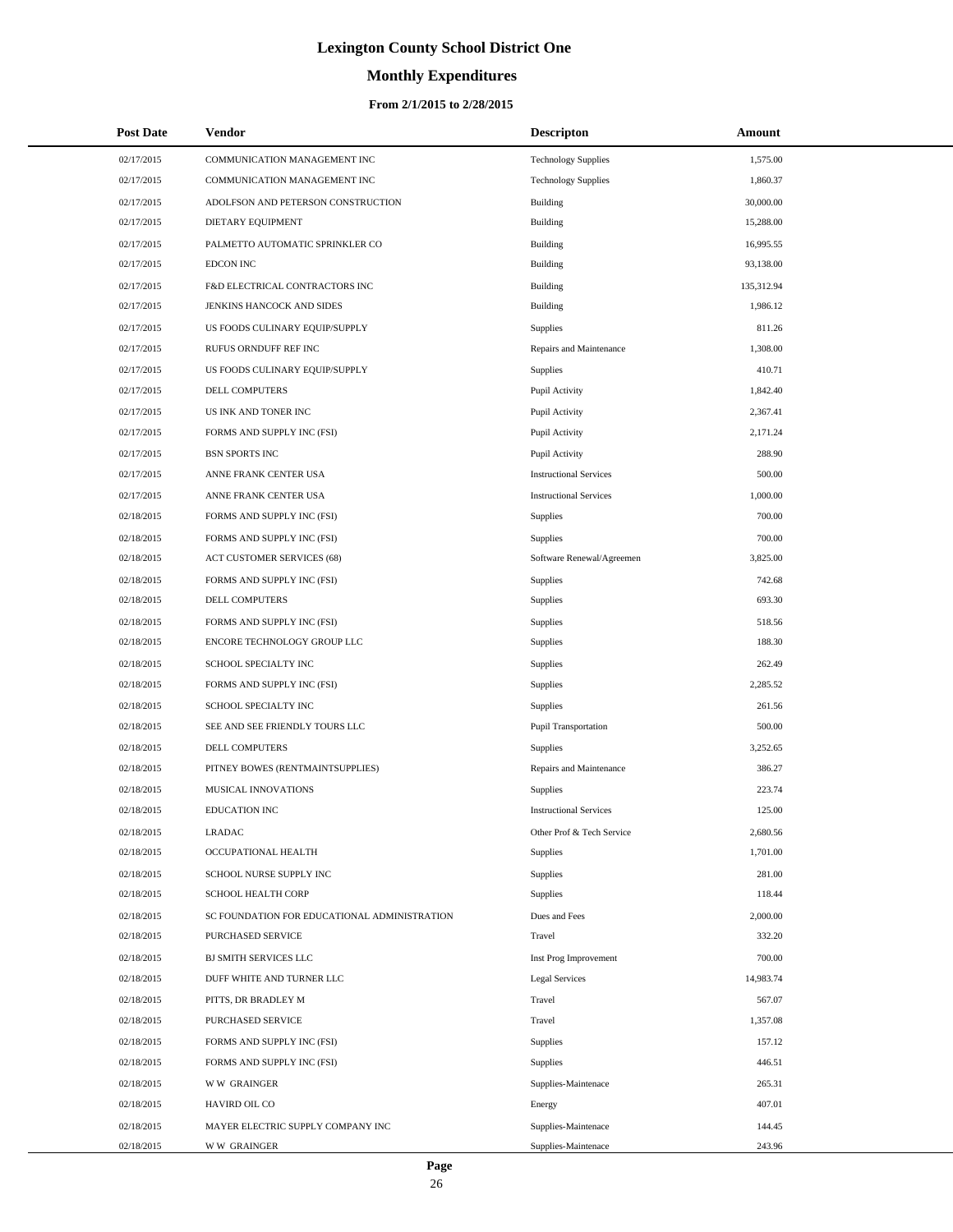# **Monthly Expenditures**

### **From 2/1/2015 to 2/28/2015**

| <b>Post Date</b> | Vendor                                       | <b>Descripton</b>             | <b>Amount</b> |
|------------------|----------------------------------------------|-------------------------------|---------------|
| 02/17/2015       | COMMUNICATION MANAGEMENT INC                 | <b>Technology Supplies</b>    | 1,575.00      |
| 02/17/2015       | COMMUNICATION MANAGEMENT INC                 | <b>Technology Supplies</b>    | 1,860.37      |
| 02/17/2015       | ADOLFSON AND PETERSON CONSTRUCTION           | Building                      | 30,000.00     |
| 02/17/2015       | DIETARY EQUIPMENT                            | Building                      | 15,288.00     |
| 02/17/2015       | PALMETTO AUTOMATIC SPRINKLER CO              | Building                      | 16,995.55     |
| 02/17/2015       | <b>EDCON INC</b>                             | Building                      | 93,138.00     |
| 02/17/2015       | F&D ELECTRICAL CONTRACTORS INC               | Building                      | 135,312.94    |
| 02/17/2015       | JENKINS HANCOCK AND SIDES                    | Building                      | 1,986.12      |
| 02/17/2015       | US FOODS CULINARY EQUIP/SUPPLY               | Supplies                      | 811.26        |
| 02/17/2015       | RUFUS ORNDUFF REF INC                        | Repairs and Maintenance       | 1,308.00      |
| 02/17/2015       | US FOODS CULINARY EQUIP/SUPPLY               | Supplies                      | 410.71        |
| 02/17/2015       | DELL COMPUTERS                               | Pupil Activity                | 1,842.40      |
| 02/17/2015       | US INK AND TONER INC                         | Pupil Activity                | 2,367.41      |
| 02/17/2015       | FORMS AND SUPPLY INC (FSI)                   | Pupil Activity                | 2,171.24      |
| 02/17/2015       | <b>BSN SPORTS INC</b>                        | Pupil Activity                | 288.90        |
| 02/17/2015       | ANNE FRANK CENTER USA                        | <b>Instructional Services</b> | 500.00        |
| 02/17/2015       | ANNE FRANK CENTER USA                        | <b>Instructional Services</b> | 1,000.00      |
| 02/18/2015       | FORMS AND SUPPLY INC (FSI)                   | Supplies                      | 700.00        |
| 02/18/2015       | FORMS AND SUPPLY INC (FSI)                   | Supplies                      | 700.00        |
| 02/18/2015       | <b>ACT CUSTOMER SERVICES (68)</b>            | Software Renewal/Agreemen     | 3,825.00      |
| 02/18/2015       | FORMS AND SUPPLY INC (FSI)                   | Supplies                      | 742.68        |
| 02/18/2015       | DELL COMPUTERS                               | Supplies                      | 693.30        |
| 02/18/2015       | FORMS AND SUPPLY INC (FSI)                   | Supplies                      | 518.56        |
| 02/18/2015       | ENCORE TECHNOLOGY GROUP LLC                  | Supplies                      | 188.30        |
| 02/18/2015       | SCHOOL SPECIALTY INC                         | Supplies                      | 262.49        |
| 02/18/2015       | FORMS AND SUPPLY INC (FSI)                   | Supplies                      | 2,285.52      |
| 02/18/2015       | SCHOOL SPECIALTY INC                         | Supplies                      | 261.56        |
| 02/18/2015       | SEE AND SEE FRIENDLY TOURS LLC               | <b>Pupil Transportation</b>   | 500.00        |
| 02/18/2015       | DELL COMPUTERS                               | Supplies                      | 3,252.65      |
| 02/18/2015       | PITNEY BOWES (RENTMAINTSUPPLIES)             | Repairs and Maintenance       | 386.27        |
| 02/18/2015       | MUSICAL INNOVATIONS                          | Supplies                      | 223.74        |
| 02/18/2015       | <b>EDUCATION INC</b>                         | <b>Instructional Services</b> | 125.00        |
| 02/18/2015       | <b>LRADAC</b>                                | Other Prof & Tech Service     | 2,680.56      |
| 02/18/2015       | OCCUPATIONAL HEALTH                          | Supplies                      | 1,701.00      |
| 02/18/2015       | SCHOOL NURSE SUPPLY INC                      | Supplies                      | 281.00        |
| 02/18/2015       | SCHOOL HEALTH CORP                           | Supplies                      | 118.44        |
| 02/18/2015       | SC FOUNDATION FOR EDUCATIONAL ADMINISTRATION | Dues and Fees                 | 2,000.00      |
| 02/18/2015       | PURCHASED SERVICE                            | Travel                        | 332.20        |
| 02/18/2015       | <b>BJ SMITH SERVICES LLC</b>                 | Inst Prog Improvement         | 700.00        |
| 02/18/2015       | DUFF WHITE AND TURNER LLC                    | <b>Legal Services</b>         | 14,983.74     |
| 02/18/2015       | PITTS, DR BRADLEY M                          | Travel                        | 567.07        |
| 02/18/2015       | PURCHASED SERVICE                            | Travel                        | 1,357.08      |
| 02/18/2015       | FORMS AND SUPPLY INC (FSI)                   | Supplies                      | 157.12        |
| 02/18/2015       | FORMS AND SUPPLY INC (FSI)                   | Supplies                      | 446.51        |
| 02/18/2015       | <b>WW GRAINGER</b>                           | Supplies-Maintenace           | 265.31        |
| 02/18/2015       | HAVIRD OIL CO                                | Energy                        | 407.01        |
| 02/18/2015       | MAYER ELECTRIC SUPPLY COMPANY INC            | Supplies-Maintenace           | 144.45        |
| 02/18/2015       | <b>WW GRAINGER</b>                           | Supplies-Maintenace           | 243.96        |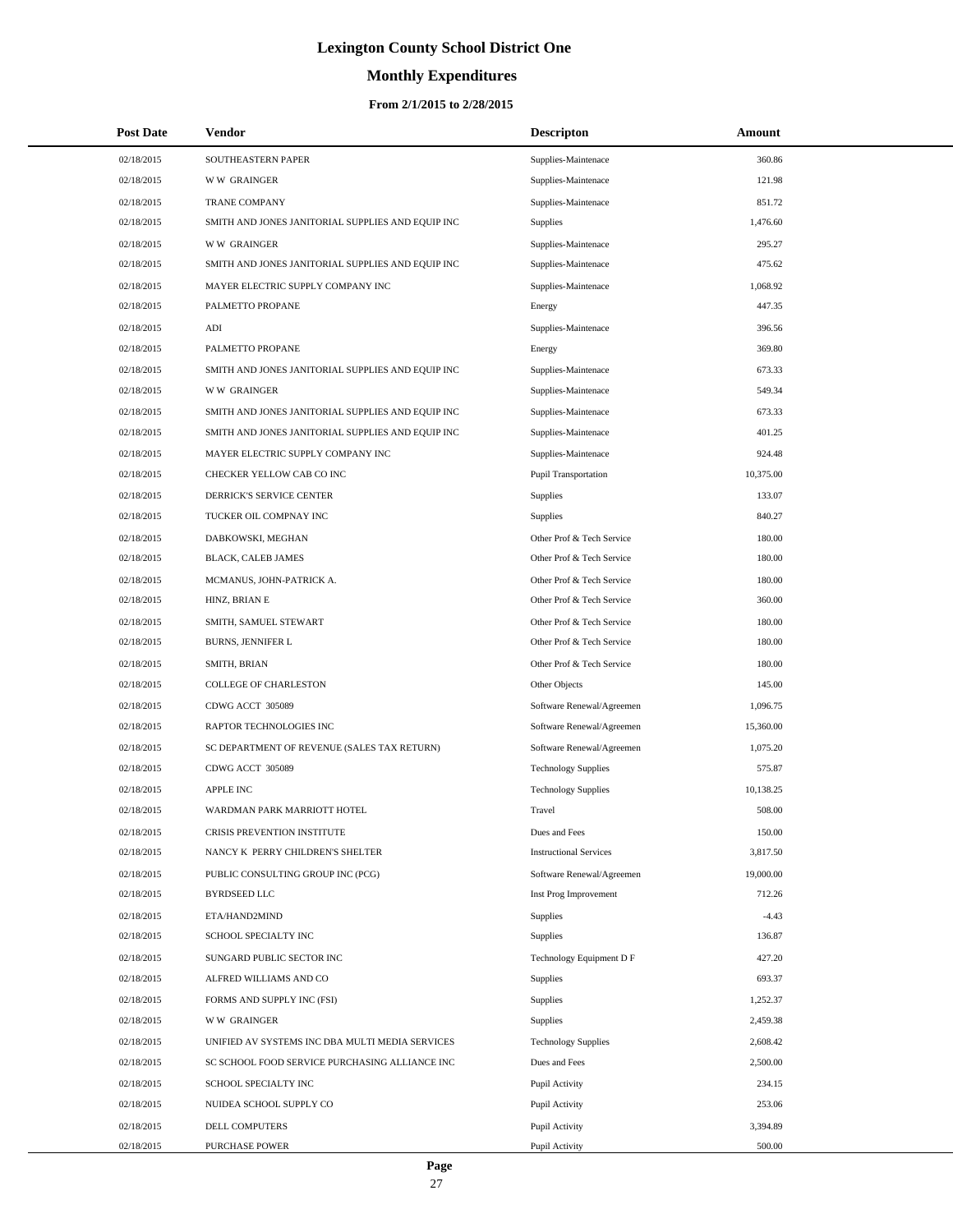# **Monthly Expenditures**

| <b>Post Date</b> | <b>Vendor</b>                                     | <b>Descripton</b>             | Amount    |
|------------------|---------------------------------------------------|-------------------------------|-----------|
| 02/18/2015       | SOUTHEASTERN PAPER                                | Supplies-Maintenace           | 360.86    |
| 02/18/2015       | <b>WW GRAINGER</b>                                | Supplies-Maintenace           | 121.98    |
| 02/18/2015       | <b>TRANE COMPANY</b>                              | Supplies-Maintenace           | 851.72    |
| 02/18/2015       | SMITH AND JONES JANITORIAL SUPPLIES AND EQUIP INC | Supplies                      | 1,476.60  |
| 02/18/2015       | <b>WW GRAINGER</b>                                | Supplies-Maintenace           | 295.27    |
| 02/18/2015       | SMITH AND JONES JANITORIAL SUPPLIES AND EQUIP INC | Supplies-Maintenace           | 475.62    |
| 02/18/2015       | MAYER ELECTRIC SUPPLY COMPANY INC                 | Supplies-Maintenace           | 1,068.92  |
| 02/18/2015       | PALMETTO PROPANE                                  | Energy                        | 447.35    |
| 02/18/2015       | ADI                                               | Supplies-Maintenace           | 396.56    |
| 02/18/2015       | PALMETTO PROPANE                                  | Energy                        | 369.80    |
| 02/18/2015       | SMITH AND JONES JANITORIAL SUPPLIES AND EQUIP INC | Supplies-Maintenace           | 673.33    |
| 02/18/2015       | <b>WW GRAINGER</b>                                | Supplies-Maintenace           | 549.34    |
| 02/18/2015       | SMITH AND JONES JANITORIAL SUPPLIES AND EQUIP INC | Supplies-Maintenace           | 673.33    |
| 02/18/2015       | SMITH AND JONES JANITORIAL SUPPLIES AND EQUIP INC | Supplies-Maintenace           | 401.25    |
| 02/18/2015       | MAYER ELECTRIC SUPPLY COMPANY INC                 | Supplies-Maintenace           | 924.48    |
| 02/18/2015       | CHECKER YELLOW CAB CO INC                         | Pupil Transportation          | 10,375.00 |
| 02/18/2015       | DERRICK'S SERVICE CENTER                          | Supplies                      | 133.07    |
| 02/18/2015       | TUCKER OIL COMPNAY INC                            | Supplies                      | 840.27    |
| 02/18/2015       | DABKOWSKI, MEGHAN                                 | Other Prof & Tech Service     | 180.00    |
| 02/18/2015       | BLACK, CALEB JAMES                                | Other Prof & Tech Service     | 180.00    |
| 02/18/2015       | MCMANUS, JOHN-PATRICK A.                          | Other Prof & Tech Service     | 180.00    |
| 02/18/2015       | HINZ, BRIAN E                                     | Other Prof & Tech Service     | 360.00    |
| 02/18/2015       | SMITH, SAMUEL STEWART                             | Other Prof & Tech Service     | 180.00    |
| 02/18/2015       | BURNS, JENNIFER L                                 | Other Prof & Tech Service     | 180.00    |
| 02/18/2015       | SMITH, BRIAN                                      | Other Prof & Tech Service     | 180.00    |
| 02/18/2015       | COLLEGE OF CHARLESTON                             | Other Objects                 | 145.00    |
| 02/18/2015       | CDWG ACCT 305089                                  | Software Renewal/Agreemen     | 1,096.75  |
| 02/18/2015       | RAPTOR TECHNOLOGIES INC                           | Software Renewal/Agreemen     | 15,360.00 |
| 02/18/2015       | SC DEPARTMENT OF REVENUE (SALES TAX RETURN)       | Software Renewal/Agreemen     | 1,075.20  |
| 02/18/2015       | CDWG ACCT 305089                                  | <b>Technology Supplies</b>    | 575.87    |
| 02/18/2015       | <b>APPLE INC</b>                                  | <b>Technology Supplies</b>    | 10,138.25 |
| 02/18/2015       | WARDMAN PARK MARRIOTT HOTEL                       | Travel                        | 508.00    |
| 02/18/2015       | CRISIS PREVENTION INSTITUTE                       | Dues and Fees                 | 150.00    |
| 02/18/2015       | NANCY K PERRY CHILDREN'S SHELTER                  | <b>Instructional Services</b> | 3,817.50  |
| 02/18/2015       | PUBLIC CONSULTING GROUP INC (PCG)                 | Software Renewal/Agreemen     | 19,000.00 |
| 02/18/2015       | <b>BYRDSEED LLC</b>                               | Inst Prog Improvement         | 712.26    |
| 02/18/2015       | ETA/HAND2MIND                                     | Supplies                      | $-4.43$   |
| 02/18/2015       | SCHOOL SPECIALTY INC                              | Supplies                      | 136.87    |
| 02/18/2015       | SUNGARD PUBLIC SECTOR INC                         | Technology Equipment D F      | 427.20    |
| 02/18/2015       | ALFRED WILLIAMS AND CO                            | Supplies                      | 693.37    |
| 02/18/2015       | FORMS AND SUPPLY INC (FSI)                        | Supplies                      | 1,252.37  |
| 02/18/2015       | <b>WW GRAINGER</b>                                | Supplies                      | 2,459.38  |
| 02/18/2015       | UNIFIED AV SYSTEMS INC DBA MULTI MEDIA SERVICES   | <b>Technology Supplies</b>    | 2,608.42  |
| 02/18/2015       | SC SCHOOL FOOD SERVICE PURCHASING ALLIANCE INC    | Dues and Fees                 | 2,500.00  |
| 02/18/2015       | SCHOOL SPECIALTY INC                              | Pupil Activity                | 234.15    |
| 02/18/2015       | NUIDEA SCHOOL SUPPLY CO                           | Pupil Activity                | 253.06    |
| 02/18/2015       | DELL COMPUTERS                                    | Pupil Activity                | 3,394.89  |
| 02/18/2015       | <b>PURCHASE POWER</b>                             | Pupil Activity                | 500.00    |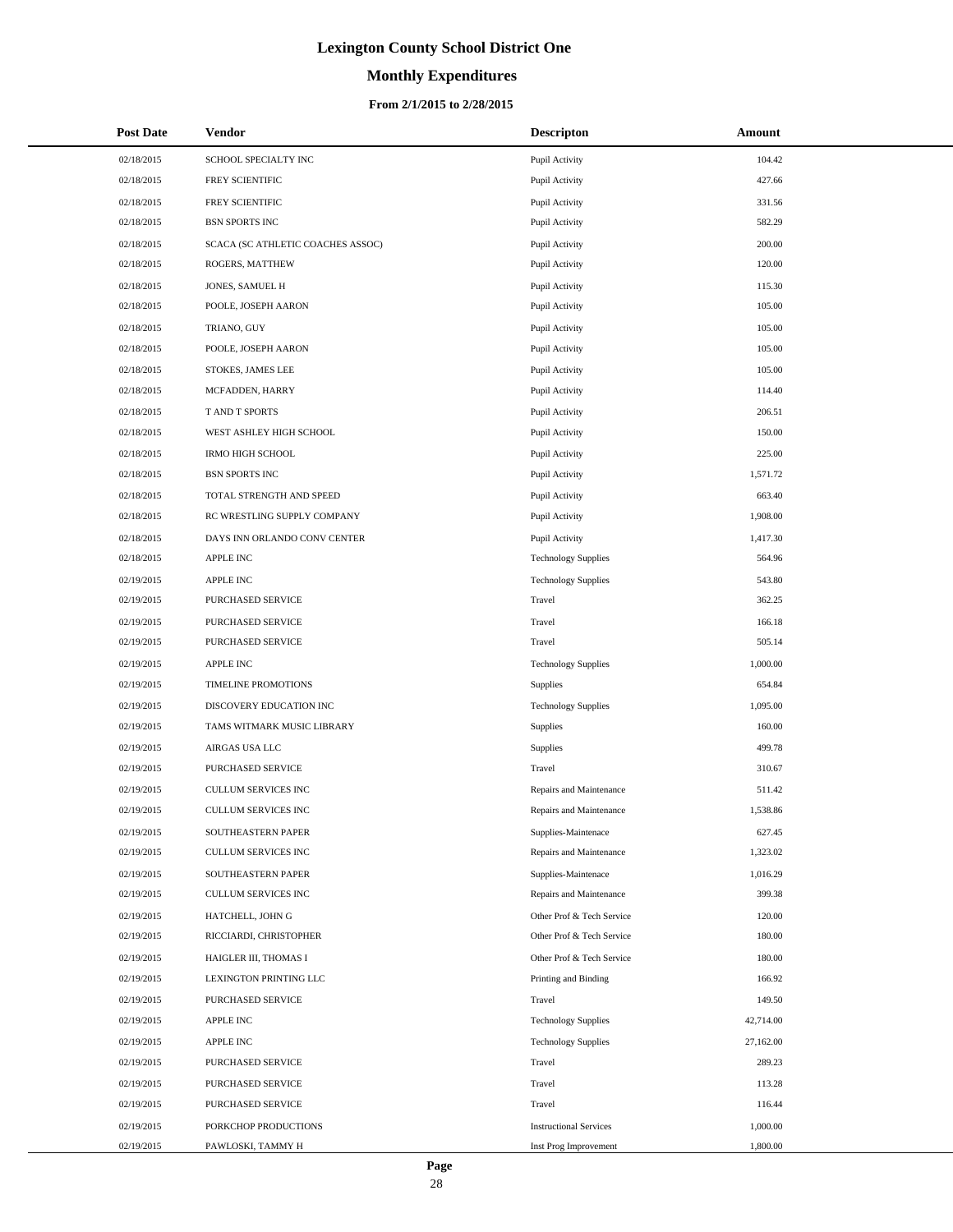# **Monthly Expenditures**

#### **From 2/1/2015 to 2/28/2015**

| <b>Post Date</b> | <b>Vendor</b>                     | <b>Descripton</b>             | Amount    |
|------------------|-----------------------------------|-------------------------------|-----------|
| 02/18/2015       | SCHOOL SPECIALTY INC              | Pupil Activity                | 104.42    |
| 02/18/2015       | FREY SCIENTIFIC                   | Pupil Activity                | 427.66    |
| 02/18/2015       | FREY SCIENTIFIC                   | Pupil Activity                | 331.56    |
| 02/18/2015       | <b>BSN SPORTS INC</b>             | Pupil Activity                | 582.29    |
| 02/18/2015       | SCACA (SC ATHLETIC COACHES ASSOC) | Pupil Activity                | 200.00    |
| 02/18/2015       | ROGERS, MATTHEW                   | Pupil Activity                | 120.00    |
| 02/18/2015       | JONES, SAMUEL H                   | Pupil Activity                | 115.30    |
| 02/18/2015       | POOLE, JOSEPH AARON               | Pupil Activity                | 105.00    |
| 02/18/2015       | TRIANO, GUY                       | Pupil Activity                | 105.00    |
| 02/18/2015       | POOLE, JOSEPH AARON               | Pupil Activity                | 105.00    |
| 02/18/2015       | STOKES, JAMES LEE                 | Pupil Activity                | 105.00    |
| 02/18/2015       | MCFADDEN, HARRY                   | Pupil Activity                | 114.40    |
| 02/18/2015       | T AND T SPORTS                    | Pupil Activity                | 206.51    |
| 02/18/2015       | WEST ASHLEY HIGH SCHOOL           | Pupil Activity                | 150.00    |
| 02/18/2015       | <b>IRMO HIGH SCHOOL</b>           | Pupil Activity                | 225.00    |
| 02/18/2015       | <b>BSN SPORTS INC</b>             | Pupil Activity                | 1,571.72  |
| 02/18/2015       | TOTAL STRENGTH AND SPEED          | Pupil Activity                | 663.40    |
| 02/18/2015       | RC WRESTLING SUPPLY COMPANY       | Pupil Activity                | 1,908.00  |
| 02/18/2015       | DAYS INN ORLANDO CONV CENTER      | Pupil Activity                | 1,417.30  |
| 02/18/2015       | <b>APPLE INC</b>                  | <b>Technology Supplies</b>    | 564.96    |
| 02/19/2015       | APPLE INC                         | <b>Technology Supplies</b>    | 543.80    |
| 02/19/2015       | PURCHASED SERVICE                 | Travel                        | 362.25    |
| 02/19/2015       | PURCHASED SERVICE                 | Travel                        | 166.18    |
| 02/19/2015       | PURCHASED SERVICE                 | Travel                        | 505.14    |
| 02/19/2015       | <b>APPLE INC</b>                  | <b>Technology Supplies</b>    | 1,000.00  |
| 02/19/2015       | TIMELINE PROMOTIONS               | Supplies                      | 654.84    |
| 02/19/2015       | DISCOVERY EDUCATION INC           | <b>Technology Supplies</b>    | 1,095.00  |
| 02/19/2015       | TAMS WITMARK MUSIC LIBRARY        | Supplies                      | 160.00    |
| 02/19/2015       | AIRGAS USA LLC                    | Supplies                      | 499.78    |
| 02/19/2015       | PURCHASED SERVICE                 | Travel                        | 310.67    |
| 02/19/2015       | CULLUM SERVICES INC               | Repairs and Maintenance       | 511.42    |
| 02/19/2015       | <b>CULLUM SERVICES INC</b>        | Repairs and Maintenance       | 1,538.86  |
| 02/19/2015       | SOUTHEASTERN PAPER                | Supplies-Maintenace           | 627.45    |
| 02/19/2015       | CULLUM SERVICES INC               | Repairs and Maintenance       | 1,323.02  |
| 02/19/2015       | SOUTHEASTERN PAPER                | Supplies-Maintenace           | 1,016.29  |
| 02/19/2015       | <b>CULLUM SERVICES INC</b>        | Repairs and Maintenance       | 399.38    |
| 02/19/2015       | HATCHELL, JOHN G                  | Other Prof & Tech Service     | 120.00    |
| 02/19/2015       | RICCIARDI, CHRISTOPHER            | Other Prof & Tech Service     | 180.00    |
| 02/19/2015       | HAIGLER III, THOMAS I             | Other Prof & Tech Service     | 180.00    |
| 02/19/2015       | LEXINGTON PRINTING LLC            | Printing and Binding          | 166.92    |
| 02/19/2015       | PURCHASED SERVICE                 | Travel                        | 149.50    |
| 02/19/2015       | APPLE INC                         | <b>Technology Supplies</b>    | 42,714.00 |
| 02/19/2015       | <b>APPLE INC</b>                  | <b>Technology Supplies</b>    | 27,162.00 |
| 02/19/2015       | PURCHASED SERVICE                 | Travel                        | 289.23    |
| 02/19/2015       | PURCHASED SERVICE                 | Travel                        | 113.28    |
| 02/19/2015       | PURCHASED SERVICE                 | Travel                        | 116.44    |
| 02/19/2015       | PORKCHOP PRODUCTIONS              | <b>Instructional Services</b> | 1,000.00  |
| 02/19/2015       | PAWLOSKI, TAMMY H                 | Inst Prog Improvement         | 1,800.00  |

L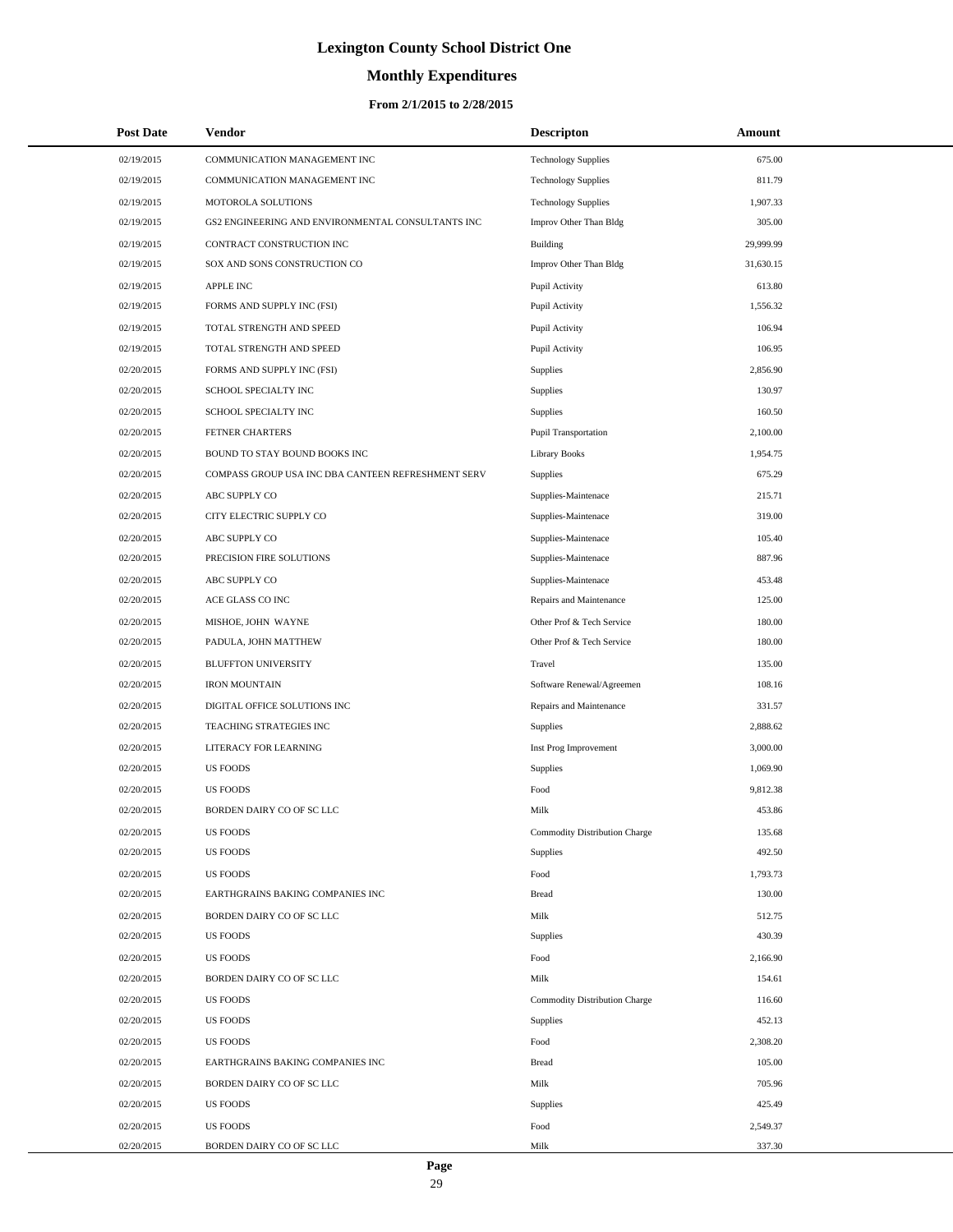# **Monthly Expenditures**

### **From 2/1/2015 to 2/28/2015**

| <b>Post Date</b> | Vendor                                             | <b>Descripton</b>             | Amount    |
|------------------|----------------------------------------------------|-------------------------------|-----------|
| 02/19/2015       | COMMUNICATION MANAGEMENT INC                       | <b>Technology Supplies</b>    | 675.00    |
| 02/19/2015       | COMMUNICATION MANAGEMENT INC                       | <b>Technology Supplies</b>    | 811.79    |
| 02/19/2015       | MOTOROLA SOLUTIONS                                 | <b>Technology Supplies</b>    | 1,907.33  |
| 02/19/2015       | GS2 ENGINEERING AND ENVIRONMENTAL CONSULTANTS INC  | Improv Other Than Bldg        | 305.00    |
| 02/19/2015       | CONTRACT CONSTRUCTION INC                          | Building                      | 29,999.99 |
| 02/19/2015       | SOX AND SONS CONSTRUCTION CO                       | Improv Other Than Bldg        | 31,630.15 |
| 02/19/2015       | <b>APPLE INC</b>                                   | Pupil Activity                | 613.80    |
| 02/19/2015       | FORMS AND SUPPLY INC (FSI)                         | Pupil Activity                | 1,556.32  |
| 02/19/2015       | TOTAL STRENGTH AND SPEED                           | Pupil Activity                | 106.94    |
| 02/19/2015       | TOTAL STRENGTH AND SPEED                           | Pupil Activity                | 106.95    |
| 02/20/2015       | FORMS AND SUPPLY INC (FSI)                         | Supplies                      | 2,856.90  |
| 02/20/2015       | SCHOOL SPECIALTY INC                               | Supplies                      | 130.97    |
| 02/20/2015       | SCHOOL SPECIALTY INC                               | Supplies                      | 160.50    |
| 02/20/2015       | FETNER CHARTERS                                    | Pupil Transportation          | 2,100.00  |
| 02/20/2015       | BOUND TO STAY BOUND BOOKS INC                      | <b>Library Books</b>          | 1,954.75  |
| 02/20/2015       | COMPASS GROUP USA INC DBA CANTEEN REFRESHMENT SERV | Supplies                      | 675.29    |
| 02/20/2015       | ABC SUPPLY CO                                      | Supplies-Maintenace           | 215.71    |
| 02/20/2015       | CITY ELECTRIC SUPPLY CO                            | Supplies-Maintenace           | 319.00    |
| 02/20/2015       | ABC SUPPLY CO                                      | Supplies-Maintenace           | 105.40    |
| 02/20/2015       | PRECISION FIRE SOLUTIONS                           | Supplies-Maintenace           | 887.96    |
| 02/20/2015       | ABC SUPPLY CO                                      | Supplies-Maintenace           | 453.48    |
| 02/20/2015       | ACE GLASS CO INC                                   | Repairs and Maintenance       | 125.00    |
| 02/20/2015       | MISHOE, JOHN WAYNE                                 | Other Prof & Tech Service     | 180.00    |
| 02/20/2015       | PADULA, JOHN MATTHEW                               | Other Prof & Tech Service     | 180.00    |
| 02/20/2015       | <b>BLUFFTON UNIVERSITY</b>                         | Travel                        | 135.00    |
| 02/20/2015       | <b>IRON MOUNTAIN</b>                               | Software Renewal/Agreemen     | 108.16    |
| 02/20/2015       | DIGITAL OFFICE SOLUTIONS INC                       | Repairs and Maintenance       | 331.57    |
| 02/20/2015       | TEACHING STRATEGIES INC                            | Supplies                      | 2,888.62  |
| 02/20/2015       | LITERACY FOR LEARNING                              | Inst Prog Improvement         | 3,000.00  |
| 02/20/2015       | <b>US FOODS</b>                                    | Supplies                      | 1,069.90  |
| 02/20/2015       | <b>US FOODS</b>                                    | Food                          | 9,812.38  |
| 02/20/2015       | BORDEN DAIRY CO OF SC LLC                          | Milk                          | 453.86    |
| 02/20/2015       | <b>US FOODS</b>                                    | Commodity Distribution Charge | 135.68    |
| 02/20/2015       | <b>US FOODS</b>                                    | Supplies                      | 492.50    |
| 02/20/2015       | <b>US FOODS</b>                                    | Food                          | 1,793.73  |
| 02/20/2015       | EARTHGRAINS BAKING COMPANIES INC                   | <b>Bread</b>                  | 130.00    |
| 02/20/2015       | BORDEN DAIRY CO OF SC LLC                          | Milk                          | 512.75    |
| 02/20/2015       | <b>US FOODS</b>                                    | Supplies                      | 430.39    |
| 02/20/2015       | <b>US FOODS</b>                                    | Food                          | 2,166.90  |
| 02/20/2015       | BORDEN DAIRY CO OF SC LLC                          | Milk                          | 154.61    |
| 02/20/2015       | <b>US FOODS</b>                                    | Commodity Distribution Charge | 116.60    |
| 02/20/2015       | <b>US FOODS</b>                                    | Supplies                      | 452.13    |
| 02/20/2015       | <b>US FOODS</b>                                    | Food                          | 2,308.20  |
| 02/20/2015       | EARTHGRAINS BAKING COMPANIES INC                   | <b>Bread</b>                  | 105.00    |
| 02/20/2015       | BORDEN DAIRY CO OF SC LLC                          | Milk                          | 705.96    |
| 02/20/2015       | <b>US FOODS</b>                                    | Supplies                      | 425.49    |
| 02/20/2015       | <b>US FOODS</b>                                    | Food                          | 2,549.37  |
| 02/20/2015       | BORDEN DAIRY CO OF SC LLC                          | Milk                          | 337.30    |

 $\overline{a}$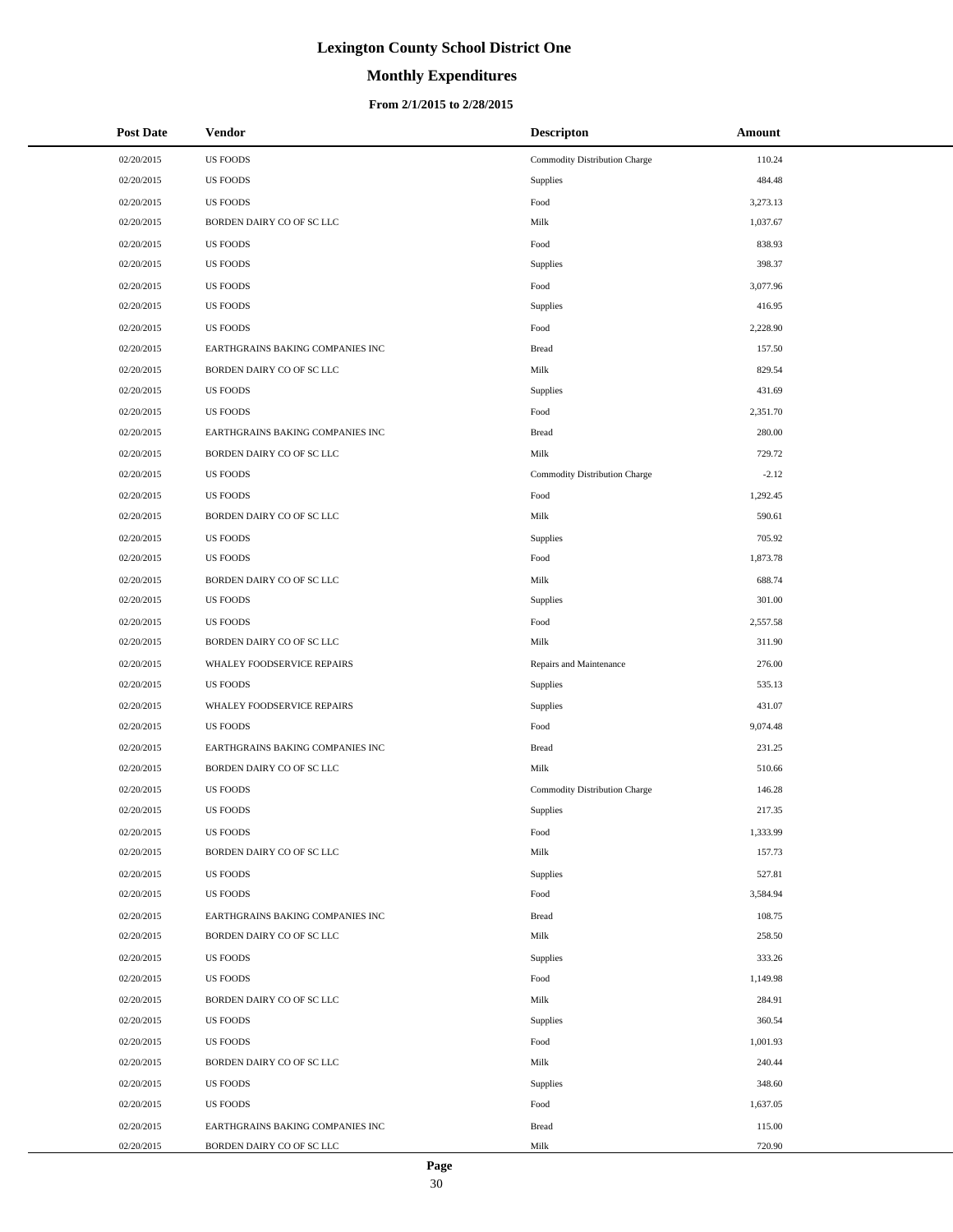# **Monthly Expenditures**

### **From 2/1/2015 to 2/28/2015**

| <b>Post Date</b> | <b>Vendor</b>                    | <b>Descripton</b>             | Amount   |
|------------------|----------------------------------|-------------------------------|----------|
| 02/20/2015       | <b>US FOODS</b>                  | Commodity Distribution Charge | 110.24   |
| 02/20/2015       | <b>US FOODS</b>                  | Supplies                      | 484.48   |
| 02/20/2015       | <b>US FOODS</b>                  | Food                          | 3,273.13 |
| 02/20/2015       | BORDEN DAIRY CO OF SC LLC        | Milk                          | 1,037.67 |
| 02/20/2015       | <b>US FOODS</b>                  | Food                          | 838.93   |
| 02/20/2015       | <b>US FOODS</b>                  | Supplies                      | 398.37   |
| 02/20/2015       | <b>US FOODS</b>                  | Food                          | 3,077.96 |
| 02/20/2015       | <b>US FOODS</b>                  | Supplies                      | 416.95   |
| 02/20/2015       | <b>US FOODS</b>                  | Food                          | 2,228.90 |
| 02/20/2015       | EARTHGRAINS BAKING COMPANIES INC | <b>Bread</b>                  | 157.50   |
| 02/20/2015       | BORDEN DAIRY CO OF SC LLC        | Milk                          | 829.54   |
| 02/20/2015       | <b>US FOODS</b>                  | Supplies                      | 431.69   |
| 02/20/2015       | <b>US FOODS</b>                  | Food                          | 2,351.70 |
| 02/20/2015       | EARTHGRAINS BAKING COMPANIES INC | <b>Bread</b>                  | 280.00   |
| 02/20/2015       | BORDEN DAIRY CO OF SC LLC        | Milk                          | 729.72   |
| 02/20/2015       | <b>US FOODS</b>                  | Commodity Distribution Charge | $-2.12$  |
| 02/20/2015       | <b>US FOODS</b>                  | Food                          | 1,292.45 |
| 02/20/2015       | BORDEN DAIRY CO OF SC LLC        | Milk                          | 590.61   |
| 02/20/2015       | <b>US FOODS</b>                  | Supplies                      | 705.92   |
| 02/20/2015       | <b>US FOODS</b>                  | Food                          | 1,873.78 |
| 02/20/2015       | BORDEN DAIRY CO OF SC LLC        | Milk                          | 688.74   |
| 02/20/2015       | <b>US FOODS</b>                  | Supplies                      | 301.00   |
| 02/20/2015       | <b>US FOODS</b>                  | Food                          | 2,557.58 |
| 02/20/2015       | BORDEN DAIRY CO OF SC LLC        | Milk                          | 311.90   |
| 02/20/2015       | WHALEY FOODSERVICE REPAIRS       | Repairs and Maintenance       | 276.00   |
| 02/20/2015       | <b>US FOODS</b>                  | Supplies                      | 535.13   |
| 02/20/2015       | WHALEY FOODSERVICE REPAIRS       | Supplies                      | 431.07   |
| 02/20/2015       | <b>US FOODS</b>                  | Food                          | 9,074.48 |
| 02/20/2015       | EARTHGRAINS BAKING COMPANIES INC | <b>Bread</b>                  | 231.25   |
| 02/20/2015       | BORDEN DAIRY CO OF SC LLC        | Milk                          | 510.66   |
| 02/20/2015       | <b>US FOODS</b>                  | Commodity Distribution Charge | 146.28   |
| 02/20/2015       | <b>US FOODS</b>                  | Supplies                      | 217.35   |
| 02/20/2015       | <b>US FOODS</b>                  | Food                          | 1,333.99 |
| 02/20/2015       | BORDEN DAIRY CO OF SC LLC        | Milk                          | 157.73   |
| 02/20/2015       | <b>US FOODS</b>                  | Supplies                      | 527.81   |
| 02/20/2015       | <b>US FOODS</b>                  | Food                          | 3,584.94 |
| 02/20/2015       | EARTHGRAINS BAKING COMPANIES INC | <b>Bread</b>                  | 108.75   |
| 02/20/2015       | BORDEN DAIRY CO OF SC LLC        | Milk                          | 258.50   |
| 02/20/2015       | <b>US FOODS</b>                  | Supplies                      | 333.26   |
| 02/20/2015       | <b>US FOODS</b>                  | Food                          | 1,149.98 |
| 02/20/2015       | BORDEN DAIRY CO OF SC LLC        | Milk                          | 284.91   |
| 02/20/2015       | <b>US FOODS</b>                  | <b>Supplies</b>               | 360.54   |
| 02/20/2015       | <b>US FOODS</b>                  | Food                          | 1,001.93 |
| 02/20/2015       | BORDEN DAIRY CO OF SC LLC        | Milk                          | 240.44   |
| 02/20/2015       | <b>US FOODS</b>                  | Supplies                      | 348.60   |
| 02/20/2015       | <b>US FOODS</b>                  | Food                          | 1,637.05 |
| 02/20/2015       | EARTHGRAINS BAKING COMPANIES INC | <b>Bread</b>                  | 115.00   |
| 02/20/2015       | BORDEN DAIRY CO OF SC LLC        | Milk                          | 720.90   |

 $\overline{a}$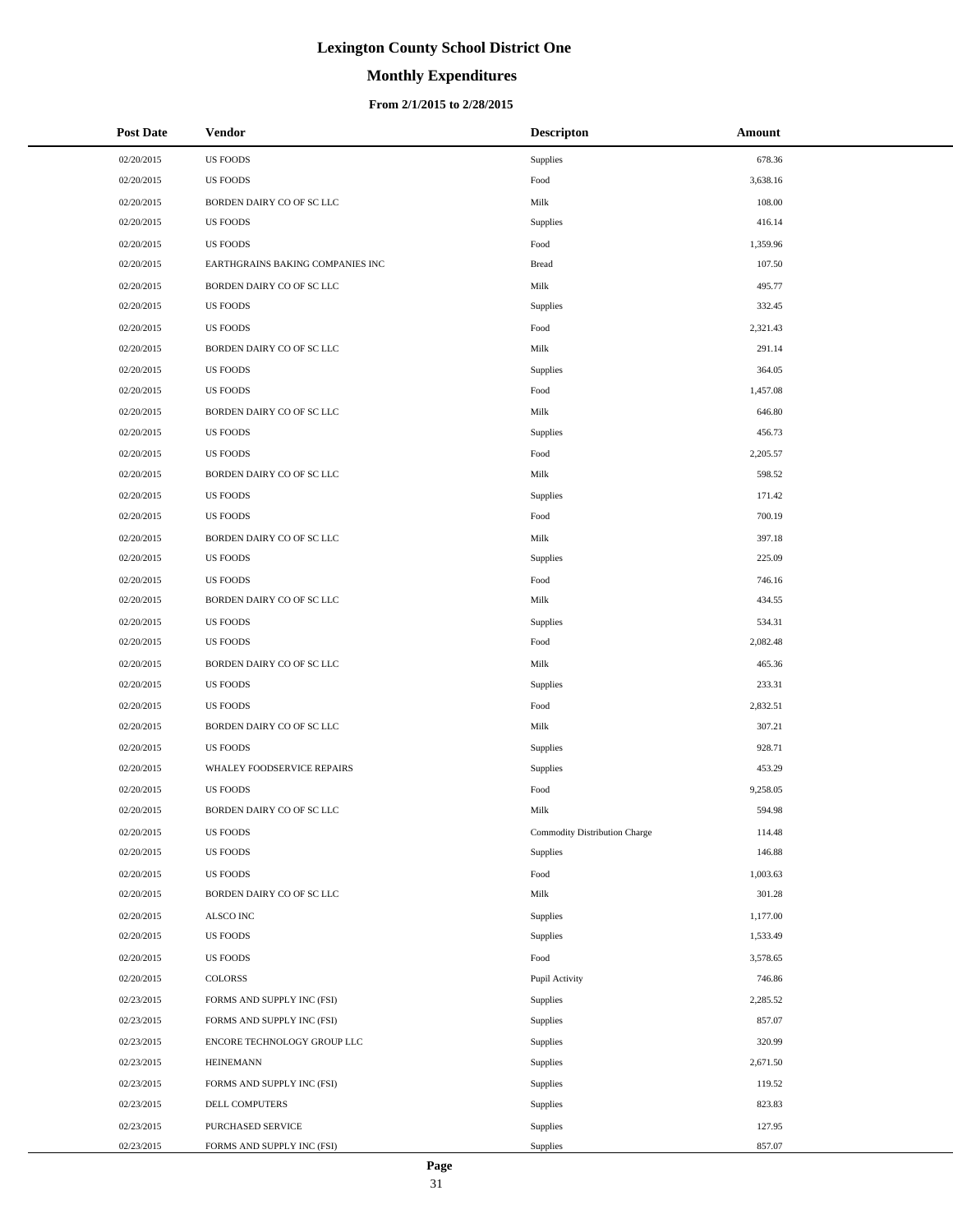# **Monthly Expenditures**

### **From 2/1/2015 to 2/28/2015**

| <b>Post Date</b> | <b>Vendor</b>                    | <b>Descripton</b>             | Amount   |
|------------------|----------------------------------|-------------------------------|----------|
| 02/20/2015       | <b>US FOODS</b>                  | Supplies                      | 678.36   |
| 02/20/2015       | <b>US FOODS</b>                  | Food                          | 3,638.16 |
| 02/20/2015       | BORDEN DAIRY CO OF SC LLC        | Milk                          | 108.00   |
| 02/20/2015       | <b>US FOODS</b>                  | Supplies                      | 416.14   |
| 02/20/2015       | <b>US FOODS</b>                  | Food                          | 1,359.96 |
| 02/20/2015       | EARTHGRAINS BAKING COMPANIES INC | <b>Bread</b>                  | 107.50   |
| 02/20/2015       | BORDEN DAIRY CO OF SC LLC        | Milk                          | 495.77   |
| 02/20/2015       | <b>US FOODS</b>                  | Supplies                      | 332.45   |
| 02/20/2015       | <b>US FOODS</b>                  | Food                          | 2,321.43 |
| 02/20/2015       | BORDEN DAIRY CO OF SC LLC        | Milk                          | 291.14   |
| 02/20/2015       | <b>US FOODS</b>                  | Supplies                      | 364.05   |
| 02/20/2015       | <b>US FOODS</b>                  | Food                          | 1,457.08 |
| 02/20/2015       | BORDEN DAIRY CO OF SC LLC        | Milk                          | 646.80   |
| 02/20/2015       | <b>US FOODS</b>                  | Supplies                      | 456.73   |
| 02/20/2015       | <b>US FOODS</b>                  | Food                          | 2,205.57 |
| 02/20/2015       | BORDEN DAIRY CO OF SC LLC        | Milk                          | 598.52   |
| 02/20/2015       | <b>US FOODS</b>                  | Supplies                      | 171.42   |
| 02/20/2015       | <b>US FOODS</b>                  | Food                          | 700.19   |
| 02/20/2015       | BORDEN DAIRY CO OF SC LLC        | Milk                          | 397.18   |
| 02/20/2015       | <b>US FOODS</b>                  | Supplies                      | 225.09   |
| 02/20/2015       | <b>US FOODS</b>                  | Food                          | 746.16   |
| 02/20/2015       | BORDEN DAIRY CO OF SC LLC        | Milk                          | 434.55   |
| 02/20/2015       | <b>US FOODS</b>                  | Supplies                      | 534.31   |
| 02/20/2015       | <b>US FOODS</b>                  | Food                          | 2,082.48 |
| 02/20/2015       | BORDEN DAIRY CO OF SC LLC        | Milk                          | 465.36   |
| 02/20/2015       | <b>US FOODS</b>                  | Supplies                      | 233.31   |
| 02/20/2015       | <b>US FOODS</b>                  | Food                          | 2,832.51 |
| 02/20/2015       | BORDEN DAIRY CO OF SC LLC        | Milk                          | 307.21   |
| 02/20/2015       | <b>US FOODS</b>                  | Supplies                      | 928.71   |
| 02/20/2015       | WHALEY FOODSERVICE REPAIRS       | Supplies                      | 453.29   |
| 02/20/2015       | <b>US FOODS</b>                  | Food                          | 9,258.05 |
| 02/20/2015       | BORDEN DAIRY CO OF SC LLC        | Milk                          | 594.98   |
| 02/20/2015       | <b>US FOODS</b>                  | Commodity Distribution Charge | 114.48   |
| 02/20/2015       | <b>US FOODS</b>                  | Supplies                      | 146.88   |
| 02/20/2015       | <b>US FOODS</b>                  | Food                          | 1,003.63 |
| 02/20/2015       | BORDEN DAIRY CO OF SC LLC        | Milk                          | 301.28   |
| 02/20/2015       | ALSCO INC                        | Supplies                      | 1,177.00 |
| 02/20/2015       | US FOODS                         | Supplies                      | 1,533.49 |
| 02/20/2015       | US FOODS                         | Food                          | 3,578.65 |
| 02/20/2015       | COLORSS                          | Pupil Activity                | 746.86   |
| 02/23/2015       | FORMS AND SUPPLY INC (FSI)       | Supplies                      | 2,285.52 |
| 02/23/2015       | FORMS AND SUPPLY INC (FSI)       | Supplies                      | 857.07   |
| 02/23/2015       | ENCORE TECHNOLOGY GROUP LLC      | Supplies                      | 320.99   |
| 02/23/2015       | <b>HEINEMANN</b>                 | Supplies                      | 2,671.50 |
| 02/23/2015       | FORMS AND SUPPLY INC (FSI)       | Supplies                      | 119.52   |
| 02/23/2015       | DELL COMPUTERS                   | Supplies                      | 823.83   |
| 02/23/2015       | PURCHASED SERVICE                | Supplies                      | 127.95   |
| 02/23/2015       | FORMS AND SUPPLY INC (FSI)       | Supplies                      | 857.07   |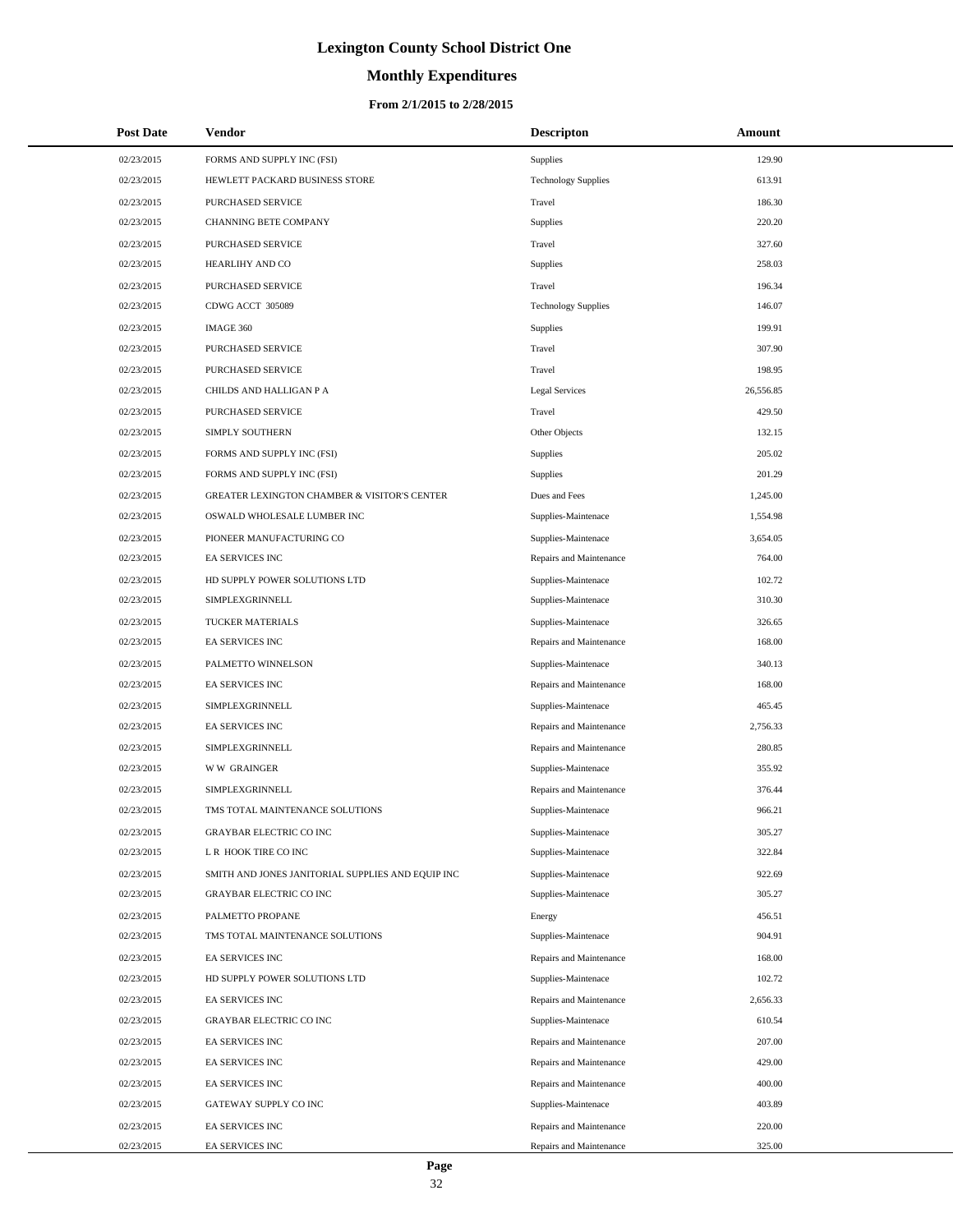# **Monthly Expenditures**

### **From 2/1/2015 to 2/28/2015**

| <b>Post Date</b> | Vendor                                            | <b>Descripton</b>          | Amount    |
|------------------|---------------------------------------------------|----------------------------|-----------|
| 02/23/2015       | FORMS AND SUPPLY INC (FSI)                        | Supplies                   | 129.90    |
| 02/23/2015       | HEWLETT PACKARD BUSINESS STORE                    | <b>Technology Supplies</b> | 613.91    |
| 02/23/2015       | PURCHASED SERVICE                                 | Travel                     | 186.30    |
| 02/23/2015       | <b>CHANNING BETE COMPANY</b>                      | Supplies                   | 220.20    |
| 02/23/2015       | PURCHASED SERVICE                                 | Travel                     | 327.60    |
| 02/23/2015       | HEARLIHY AND CO                                   | Supplies                   | 258.03    |
| 02/23/2015       | PURCHASED SERVICE                                 | Travel                     | 196.34    |
| 02/23/2015       | CDWG ACCT 305089                                  | <b>Technology Supplies</b> | 146.07    |
| 02/23/2015       | IMAGE 360                                         | Supplies                   | 199.91    |
| 02/23/2015       | PURCHASED SERVICE                                 | Travel                     | 307.90    |
| 02/23/2015       | PURCHASED SERVICE                                 | Travel                     | 198.95    |
| 02/23/2015       | CHILDS AND HALLIGAN P A                           | <b>Legal Services</b>      | 26,556.85 |
| 02/23/2015       | PURCHASED SERVICE                                 | Travel                     | 429.50    |
| 02/23/2015       | SIMPLY SOUTHERN                                   | Other Objects              | 132.15    |
| 02/23/2015       | FORMS AND SUPPLY INC (FSI)                        | Supplies                   | 205.02    |
| 02/23/2015       | FORMS AND SUPPLY INC (FSI)                        | Supplies                   | 201.29    |
| 02/23/2015       | GREATER LEXINGTON CHAMBER & VISITOR'S CENTER      | Dues and Fees              | 1,245.00  |
| 02/23/2015       | OSWALD WHOLESALE LUMBER INC                       | Supplies-Maintenace        | 1,554.98  |
| 02/23/2015       | PIONEER MANUFACTURING CO                          | Supplies-Maintenace        | 3,654.05  |
| 02/23/2015       | <b>EA SERVICES INC</b>                            | Repairs and Maintenance    | 764.00    |
| 02/23/2015       | HD SUPPLY POWER SOLUTIONS LTD                     | Supplies-Maintenace        | 102.72    |
| 02/23/2015       | SIMPLEXGRINNELL                                   | Supplies-Maintenace        | 310.30    |
| 02/23/2015       | TUCKER MATERIALS                                  | Supplies-Maintenace        | 326.65    |
| 02/23/2015       | EA SERVICES INC                                   | Repairs and Maintenance    | 168.00    |
| 02/23/2015       | PALMETTO WINNELSON                                | Supplies-Maintenace        | 340.13    |
| 02/23/2015       | EA SERVICES INC                                   | Repairs and Maintenance    | 168.00    |
| 02/23/2015       | SIMPLEXGRINNELL                                   | Supplies-Maintenace        | 465.45    |
| 02/23/2015       | <b>EA SERVICES INC</b>                            | Repairs and Maintenance    | 2,756.33  |
| 02/23/2015       | SIMPLEXGRINNELL                                   | Repairs and Maintenance    | 280.85    |
| 02/23/2015       | <b>WW GRAINGER</b>                                | Supplies-Maintenace        | 355.92    |
| 02/23/2015       | SIMPLEXGRINNELL                                   | Repairs and Maintenance    | 376.44    |
| 02/23/2015       | TMS TOTAL MAINTENANCE SOLUTIONS                   | Supplies-Maintenace        | 966.21    |
| 02/23/2015       | <b>GRAYBAR ELECTRIC CO INC</b>                    | Supplies-Maintenace        | 305.27    |
| 02/23/2015       | L R HOOK TIRE CO INC                              | Supplies-Maintenace        | 322.84    |
| 02/23/2015       | SMITH AND JONES JANITORIAL SUPPLIES AND EQUIP INC | Supplies-Maintenace        | 922.69    |
| 02/23/2015       | <b>GRAYBAR ELECTRIC CO INC</b>                    | Supplies-Maintenace        | 305.27    |
| 02/23/2015       | PALMETTO PROPANE                                  | Energy                     | 456.51    |
| 02/23/2015       | TMS TOTAL MAINTENANCE SOLUTIONS                   | Supplies-Maintenace        | 904.91    |
| 02/23/2015       | <b>EA SERVICES INC</b>                            | Repairs and Maintenance    | 168.00    |
| 02/23/2015       | HD SUPPLY POWER SOLUTIONS LTD                     | Supplies-Maintenace        | 102.72    |
| 02/23/2015       | EA SERVICES INC                                   | Repairs and Maintenance    | 2,656.33  |
| 02/23/2015       | GRAYBAR ELECTRIC CO INC                           | Supplies-Maintenace        | 610.54    |
| 02/23/2015       | EA SERVICES INC                                   | Repairs and Maintenance    | 207.00    |
| 02/23/2015       | EA SERVICES INC                                   | Repairs and Maintenance    | 429.00    |
| 02/23/2015       | EA SERVICES INC                                   | Repairs and Maintenance    | 400.00    |
| 02/23/2015       | GATEWAY SUPPLY CO INC                             | Supplies-Maintenace        | 403.89    |
| 02/23/2015       | EA SERVICES INC                                   | Repairs and Maintenance    | 220.00    |
| 02/23/2015       | EA SERVICES INC                                   | Repairs and Maintenance    | 325.00    |

L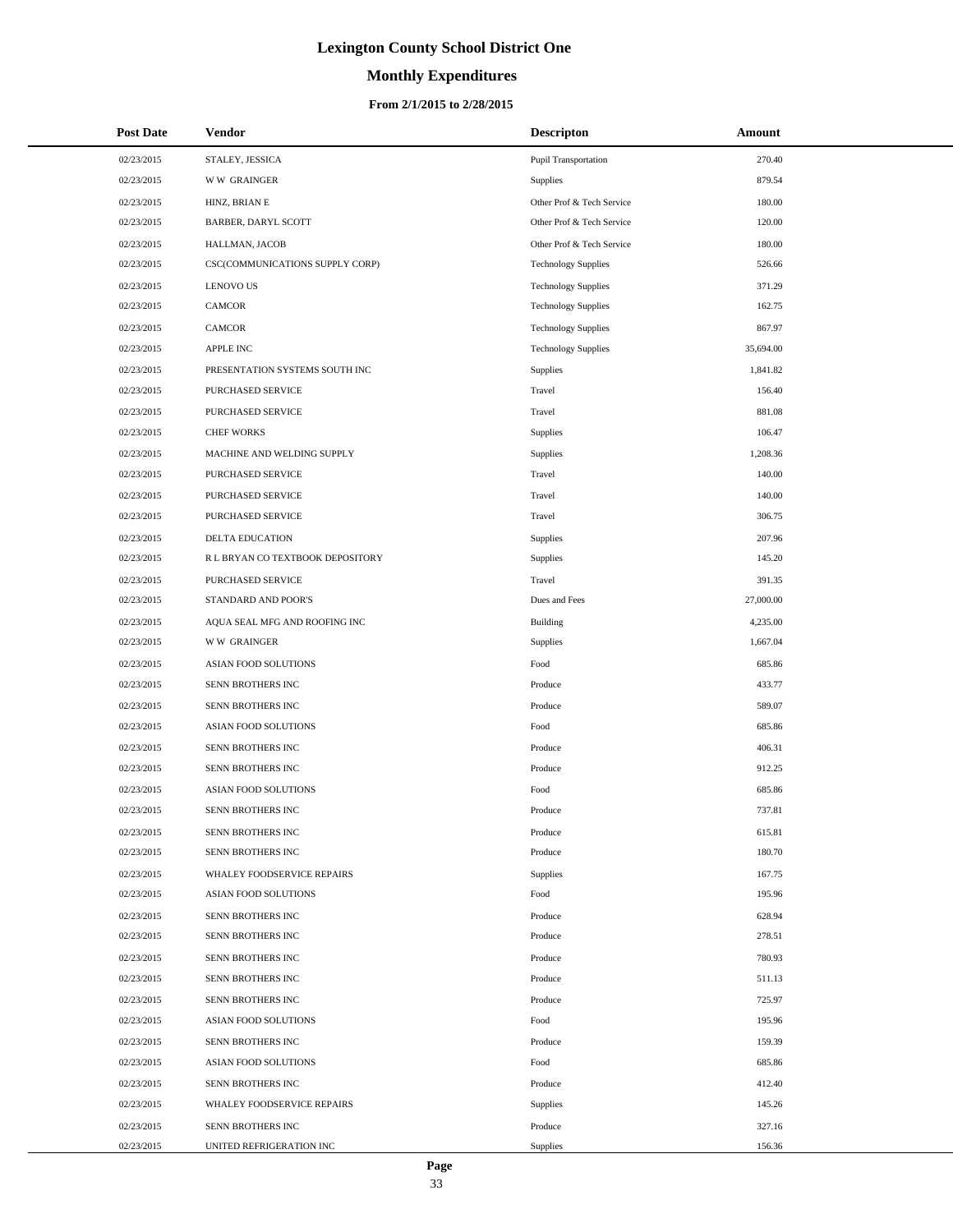# **Monthly Expenditures**

### **From 2/1/2015 to 2/28/2015**

| <b>Post Date</b> | <b>Vendor</b>                    | <b>Descripton</b>           | Amount    |  |
|------------------|----------------------------------|-----------------------------|-----------|--|
| 02/23/2015       | STALEY, JESSICA                  | <b>Pupil Transportation</b> | 270.40    |  |
| 02/23/2015       | <b>WW GRAINGER</b>               | Supplies                    | 879.54    |  |
| 02/23/2015       | HINZ, BRIAN E                    | Other Prof & Tech Service   | 180.00    |  |
| 02/23/2015       | BARBER, DARYL SCOTT              | Other Prof & Tech Service   | 120.00    |  |
| 02/23/2015       | HALLMAN, JACOB                   | Other Prof & Tech Service   | 180.00    |  |
| 02/23/2015       | CSC(COMMUNICATIONS SUPPLY CORP)  | <b>Technology Supplies</b>  | 526.66    |  |
| 02/23/2015       | <b>LENOVO US</b>                 | <b>Technology Supplies</b>  | 371.29    |  |
| 02/23/2015       | <b>CAMCOR</b>                    | <b>Technology Supplies</b>  | 162.75    |  |
| 02/23/2015       | <b>CAMCOR</b>                    | <b>Technology Supplies</b>  | 867.97    |  |
| 02/23/2015       | <b>APPLE INC</b>                 | <b>Technology Supplies</b>  | 35,694.00 |  |
| 02/23/2015       | PRESENTATION SYSTEMS SOUTH INC   | Supplies                    | 1,841.82  |  |
| 02/23/2015       | PURCHASED SERVICE                | Travel                      | 156.40    |  |
| 02/23/2015       | PURCHASED SERVICE                | Travel                      | 881.08    |  |
| 02/23/2015       | <b>CHEF WORKS</b>                | Supplies                    | 106.47    |  |
| 02/23/2015       | MACHINE AND WELDING SUPPLY       | Supplies                    | 1,208.36  |  |
| 02/23/2015       | PURCHASED SERVICE                | Travel                      | 140.00    |  |
| 02/23/2015       | PURCHASED SERVICE                | Travel                      | 140.00    |  |
| 02/23/2015       | <b>PURCHASED SERVICE</b>         | Travel                      | 306.75    |  |
| 02/23/2015       | DELTA EDUCATION                  | Supplies                    | 207.96    |  |
| 02/23/2015       | R L BRYAN CO TEXTBOOK DEPOSITORY | Supplies                    | 145.20    |  |
| 02/23/2015       | PURCHASED SERVICE                | Travel                      | 391.35    |  |
| 02/23/2015       | STANDARD AND POOR'S              | Dues and Fees               | 27,000.00 |  |
| 02/23/2015       | AQUA SEAL MFG AND ROOFING INC    | <b>Building</b>             | 4,235.00  |  |
| 02/23/2015       | <b>WW GRAINGER</b>               | Supplies                    | 1,667.04  |  |
| 02/23/2015       | ASIAN FOOD SOLUTIONS             | Food                        | 685.86    |  |
| 02/23/2015       | SENN BROTHERS INC                | Produce                     | 433.77    |  |
| 02/23/2015       | SENN BROTHERS INC                | Produce                     | 589.07    |  |
| 02/23/2015       | <b>ASIAN FOOD SOLUTIONS</b>      | Food                        | 685.86    |  |
| 02/23/2015       | SENN BROTHERS INC                | Produce                     | 406.31    |  |
| 02/23/2015       | SENN BROTHERS INC                | Produce                     | 912.25    |  |
| 02/23/2015       | ASIAN FOOD SOLUTIONS             | Food                        | 685.86    |  |
| 02/23/2015       | SENN BROTHERS INC                | Produce                     | 737.81    |  |
| 02/23/2015       | SENN BROTHERS INC                | Produce                     | 615.81    |  |
| 02/23/2015       | SENN BROTHERS INC                | Produce                     | 180.70    |  |
| 02/23/2015       | WHALEY FOODSERVICE REPAIRS       | Supplies                    | 167.75    |  |
| 02/23/2015       | ASIAN FOOD SOLUTIONS             | Food                        | 195.96    |  |
| 02/23/2015       | SENN BROTHERS INC                | Produce                     | 628.94    |  |
| 02/23/2015       | SENN BROTHERS INC                | Produce                     | 278.51    |  |
| 02/23/2015       | SENN BROTHERS INC                | Produce                     | 780.93    |  |
| 02/23/2015       | SENN BROTHERS INC                | Produce                     | 511.13    |  |
| 02/23/2015       | SENN BROTHERS INC                | Produce                     | 725.97    |  |
| 02/23/2015       | ASIAN FOOD SOLUTIONS             | Food                        | 195.96    |  |
| 02/23/2015       | SENN BROTHERS INC                | Produce                     | 159.39    |  |
| 02/23/2015       | ASIAN FOOD SOLUTIONS             | Food                        | 685.86    |  |
| 02/23/2015       | SENN BROTHERS INC                | Produce                     | 412.40    |  |
| 02/23/2015       | WHALEY FOODSERVICE REPAIRS       | Supplies                    | 145.26    |  |
| 02/23/2015       | SENN BROTHERS INC                | Produce                     | 327.16    |  |
| 02/23/2015       | UNITED REFRIGERATION INC         | Supplies                    | 156.36    |  |

 $\overline{a}$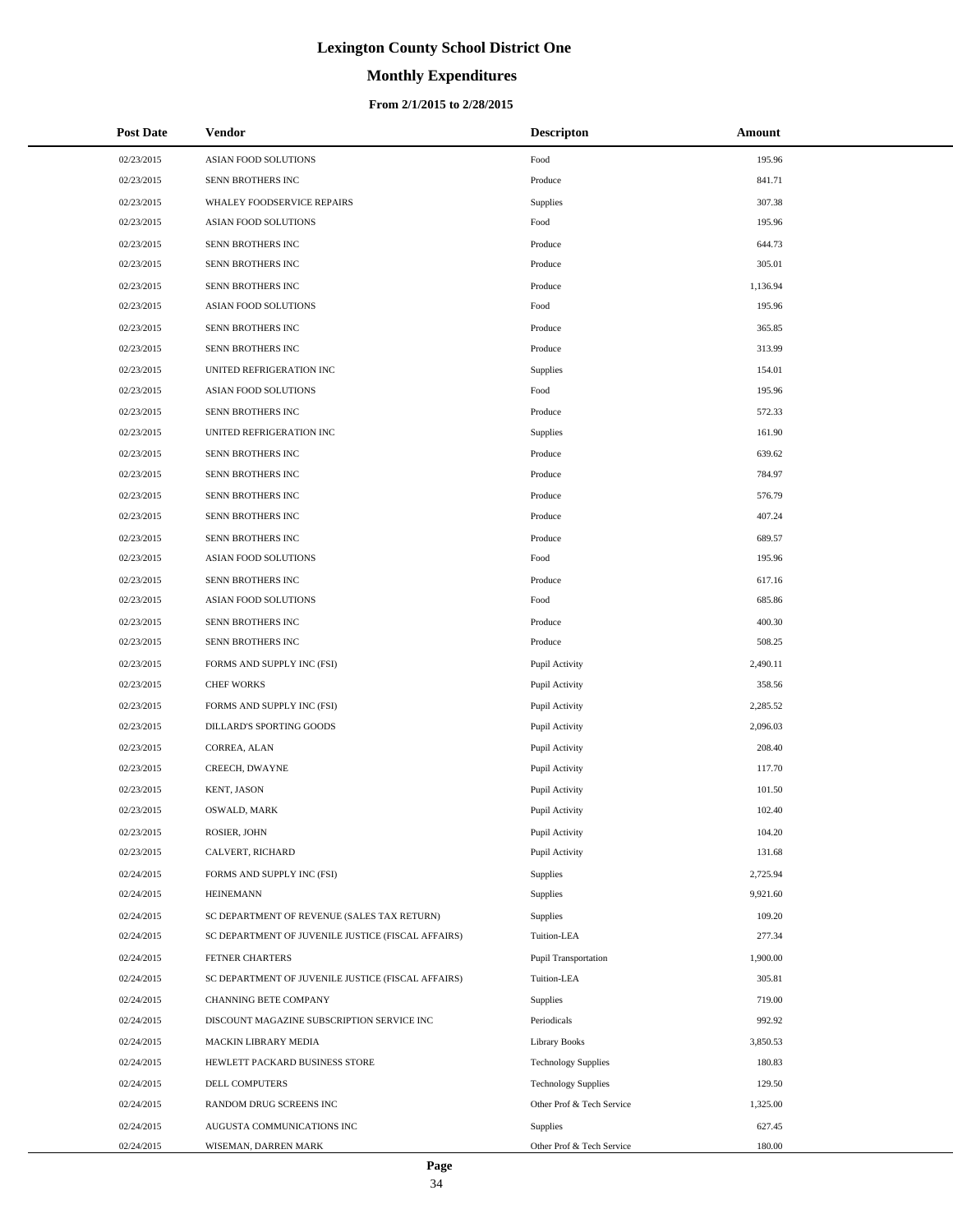# **Monthly Expenditures**

### **From 2/1/2015 to 2/28/2015**

| <b>Post Date</b> | Vendor                                             | <b>Descripton</b>           | Amount   |
|------------------|----------------------------------------------------|-----------------------------|----------|
| 02/23/2015       | ASIAN FOOD SOLUTIONS                               | Food                        | 195.96   |
| 02/23/2015       | SENN BROTHERS INC                                  | Produce                     | 841.71   |
| 02/23/2015       | WHALEY FOODSERVICE REPAIRS                         | Supplies                    | 307.38   |
| 02/23/2015       | ASIAN FOOD SOLUTIONS                               | Food                        | 195.96   |
| 02/23/2015       | SENN BROTHERS INC                                  | Produce                     | 644.73   |
| 02/23/2015       | SENN BROTHERS INC                                  | Produce                     | 305.01   |
| 02/23/2015       | SENN BROTHERS INC                                  | Produce                     | 1,136.94 |
| 02/23/2015       | ASIAN FOOD SOLUTIONS                               | Food                        | 195.96   |
| 02/23/2015       | <b>SENN BROTHERS INC</b>                           | Produce                     | 365.85   |
| 02/23/2015       | SENN BROTHERS INC                                  | Produce                     | 313.99   |
| 02/23/2015       | UNITED REFRIGERATION INC                           | Supplies                    | 154.01   |
| 02/23/2015       | ASIAN FOOD SOLUTIONS                               | Food                        | 195.96   |
| 02/23/2015       | SENN BROTHERS INC                                  | Produce                     | 572.33   |
| 02/23/2015       | UNITED REFRIGERATION INC                           | Supplies                    | 161.90   |
| 02/23/2015       | SENN BROTHERS INC                                  | Produce                     | 639.62   |
| 02/23/2015       | SENN BROTHERS INC                                  | Produce                     | 784.97   |
| 02/23/2015       | SENN BROTHERS INC                                  | Produce                     | 576.79   |
| 02/23/2015       | SENN BROTHERS INC                                  | Produce                     | 407.24   |
| 02/23/2015       | SENN BROTHERS INC                                  | Produce                     | 689.57   |
| 02/23/2015       | ASIAN FOOD SOLUTIONS                               | Food                        | 195.96   |
| 02/23/2015       | SENN BROTHERS INC                                  | Produce                     | 617.16   |
| 02/23/2015       | ASIAN FOOD SOLUTIONS                               | Food                        | 685.86   |
| 02/23/2015       | SENN BROTHERS INC                                  | Produce                     | 400.30   |
| 02/23/2015       | SENN BROTHERS INC                                  | Produce                     | 508.25   |
| 02/23/2015       | FORMS AND SUPPLY INC (FSI)                         | Pupil Activity              | 2,490.11 |
| 02/23/2015       | <b>CHEF WORKS</b>                                  | Pupil Activity              | 358.56   |
| 02/23/2015       | FORMS AND SUPPLY INC (FSI)                         | Pupil Activity              | 2,285.52 |
| 02/23/2015       | DILLARD'S SPORTING GOODS                           | Pupil Activity              | 2,096.03 |
| 02/23/2015       | CORREA, ALAN                                       | Pupil Activity              | 208.40   |
| 02/23/2015       | CREECH, DWAYNE                                     | Pupil Activity              | 117.70   |
| 02/23/2015       | <b>KENT, JASON</b>                                 | Pupil Activity              | 101.50   |
| 02/23/2015       | OSWALD, MARK                                       | Pupil Activity              | 102.40   |
| 02/23/2015       | ROSIER, JOHN                                       | Pupil Activity              | 104.20   |
| 02/23/2015       | CALVERT, RICHARD                                   | Pupil Activity              | 131.68   |
| 02/24/2015       | FORMS AND SUPPLY INC (FSI)                         | Supplies                    | 2,725.94 |
| 02/24/2015       | <b>HEINEMANN</b>                                   | Supplies                    | 9,921.60 |
| 02/24/2015       | SC DEPARTMENT OF REVENUE (SALES TAX RETURN)        | Supplies                    | 109.20   |
| 02/24/2015       | SC DEPARTMENT OF JUVENILE JUSTICE (FISCAL AFFAIRS) | Tuition-LEA                 | 277.34   |
| 02/24/2015       | FETNER CHARTERS                                    | <b>Pupil Transportation</b> | 1,900.00 |
| 02/24/2015       | SC DEPARTMENT OF JUVENILE JUSTICE (FISCAL AFFAIRS) | Tuition-LEA                 | 305.81   |
| 02/24/2015       | CHANNING BETE COMPANY                              | Supplies                    | 719.00   |
| 02/24/2015       | DISCOUNT MAGAZINE SUBSCRIPTION SERVICE INC         | Periodicals                 | 992.92   |
| 02/24/2015       | MACKIN LIBRARY MEDIA                               | <b>Library Books</b>        | 3,850.53 |
| 02/24/2015       | HEWLETT PACKARD BUSINESS STORE                     | <b>Technology Supplies</b>  | 180.83   |
| 02/24/2015       | DELL COMPUTERS                                     | <b>Technology Supplies</b>  | 129.50   |
| 02/24/2015       | RANDOM DRUG SCREENS INC                            | Other Prof & Tech Service   | 1,325.00 |
| 02/24/2015       | AUGUSTA COMMUNICATIONS INC                         | Supplies                    | 627.45   |
| 02/24/2015       | WISEMAN, DARREN MARK                               | Other Prof & Tech Service   | 180.00   |

L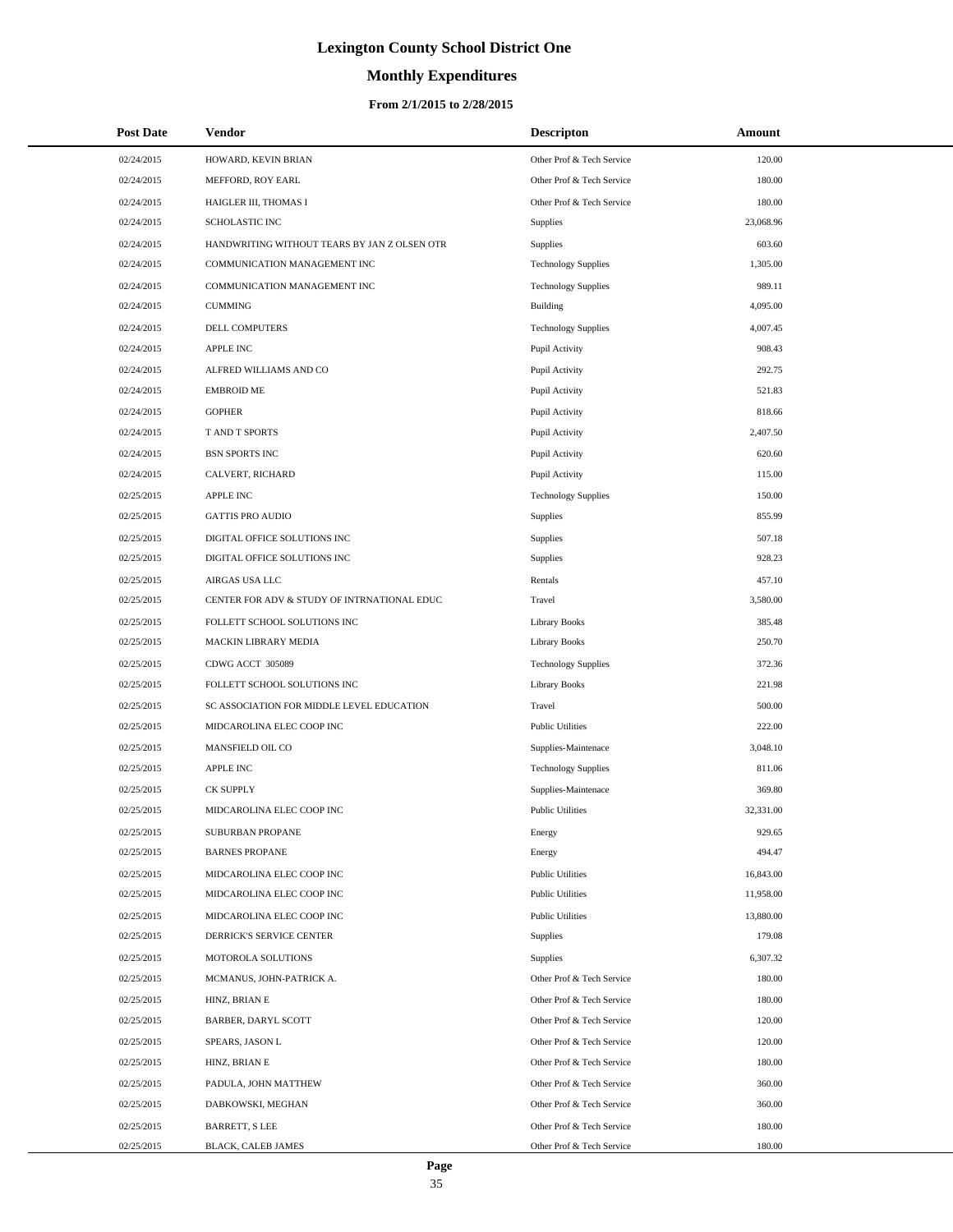# **Monthly Expenditures**

### **From 2/1/2015 to 2/28/2015**

| <b>Post Date</b> | <b>Vendor</b>                                | <b>Descripton</b>          | Amount    |
|------------------|----------------------------------------------|----------------------------|-----------|
| 02/24/2015       | HOWARD, KEVIN BRIAN                          | Other Prof & Tech Service  | 120.00    |
| 02/24/2015       | MEFFORD, ROY EARL                            | Other Prof & Tech Service  | 180.00    |
| 02/24/2015       | HAIGLER III, THOMAS I                        | Other Prof & Tech Service  | 180.00    |
| 02/24/2015       | <b>SCHOLASTIC INC</b>                        | <b>Supplies</b>            | 23,068.96 |
| 02/24/2015       | HANDWRITING WITHOUT TEARS BY JAN Z OLSEN OTR | Supplies                   | 603.60    |
| 02/24/2015       | COMMUNICATION MANAGEMENT INC                 | <b>Technology Supplies</b> | 1,305.00  |
| 02/24/2015       | COMMUNICATION MANAGEMENT INC                 | <b>Technology Supplies</b> | 989.11    |
| 02/24/2015       | <b>CUMMING</b>                               | <b>Building</b>            | 4,095.00  |
| 02/24/2015       | DELL COMPUTERS                               | <b>Technology Supplies</b> | 4,007.45  |
| 02/24/2015       | <b>APPLE INC</b>                             | Pupil Activity             | 908.43    |
| 02/24/2015       | ALFRED WILLIAMS AND CO                       | Pupil Activity             | 292.75    |
| 02/24/2015       | <b>EMBROID ME</b>                            | Pupil Activity             | 521.83    |
| 02/24/2015       | <b>GOPHER</b>                                | Pupil Activity             | 818.66    |
| 02/24/2015       | T AND T SPORTS                               | Pupil Activity             | 2,407.50  |
| 02/24/2015       | <b>BSN SPORTS INC</b>                        | Pupil Activity             | 620.60    |
| 02/24/2015       | CALVERT, RICHARD                             | Pupil Activity             | 115.00    |
| 02/25/2015       | <b>APPLE INC</b>                             | <b>Technology Supplies</b> | 150.00    |
| 02/25/2015       | <b>GATTIS PRO AUDIO</b>                      | Supplies                   | 855.99    |
| 02/25/2015       | DIGITAL OFFICE SOLUTIONS INC                 | Supplies                   | 507.18    |
| 02/25/2015       | DIGITAL OFFICE SOLUTIONS INC                 | Supplies                   | 928.23    |
| 02/25/2015       | AIRGAS USA LLC                               | Rentals                    | 457.10    |
| 02/25/2015       | CENTER FOR ADV & STUDY OF INTRNATIONAL EDUC  | Travel                     | 3,580.00  |
| 02/25/2015       | FOLLETT SCHOOL SOLUTIONS INC                 | Library Books              | 385.48    |
| 02/25/2015       | <b>MACKIN LIBRARY MEDIA</b>                  | Library Books              | 250.70    |
| 02/25/2015       | CDWG ACCT 305089                             | <b>Technology Supplies</b> | 372.36    |
| 02/25/2015       | FOLLETT SCHOOL SOLUTIONS INC                 | Library Books              | 221.98    |
| 02/25/2015       | SC ASSOCIATION FOR MIDDLE LEVEL EDUCATION    | Travel                     | 500.00    |
| 02/25/2015       | MIDCAROLINA ELEC COOP INC                    | <b>Public Utilities</b>    | 222.00    |
| 02/25/2015       | MANSFIELD OIL CO                             | Supplies-Maintenace        | 3,048.10  |
| 02/25/2015       | <b>APPLE INC</b>                             | <b>Technology Supplies</b> | 811.06    |
| 02/25/2015       | CK SUPPLY                                    | Supplies-Maintenace        | 369.80    |
| 02/25/2015       | MIDCAROLINA ELEC COOP INC                    | <b>Public Utilities</b>    | 32,331.00 |
| 02/25/2015       | SUBURBAN PROPANE                             | Energy                     | 929.65    |
| 02/25/2015       | <b>BARNES PROPANE</b>                        | Energy                     | 494.47    |
| 02/25/2015       | MIDCAROLINA ELEC COOP INC                    | <b>Public Utilities</b>    | 16,843.00 |
| 02/25/2015       | MIDCAROLINA ELEC COOP INC                    | <b>Public Utilities</b>    | 11,958.00 |
| 02/25/2015       | MIDCAROLINA ELEC COOP INC                    | <b>Public Utilities</b>    | 13,880.00 |
| 02/25/2015       | DERRICK'S SERVICE CENTER                     | <b>Supplies</b>            | 179.08    |
| 02/25/2015       | MOTOROLA SOLUTIONS                           | Supplies                   | 6,307.32  |
| 02/25/2015       | MCMANUS, JOHN-PATRICK A.                     | Other Prof & Tech Service  | 180.00    |
| 02/25/2015       | HINZ, BRIAN E                                | Other Prof & Tech Service  | 180.00    |
| 02/25/2015       | <b>BARBER, DARYL SCOTT</b>                   | Other Prof & Tech Service  | 120.00    |
| 02/25/2015       | SPEARS, JASON L                              | Other Prof & Tech Service  | 120.00    |
| 02/25/2015       | HINZ, BRIAN E                                | Other Prof & Tech Service  | 180.00    |
| 02/25/2015       | PADULA, JOHN MATTHEW                         | Other Prof & Tech Service  | 360.00    |
| 02/25/2015       | DABKOWSKI, MEGHAN                            | Other Prof & Tech Service  | 360.00    |
| 02/25/2015       | <b>BARRETT, S LEE</b>                        | Other Prof & Tech Service  | 180.00    |
| 02/25/2015       | BLACK, CALEB JAMES                           | Other Prof & Tech Service  | 180.00    |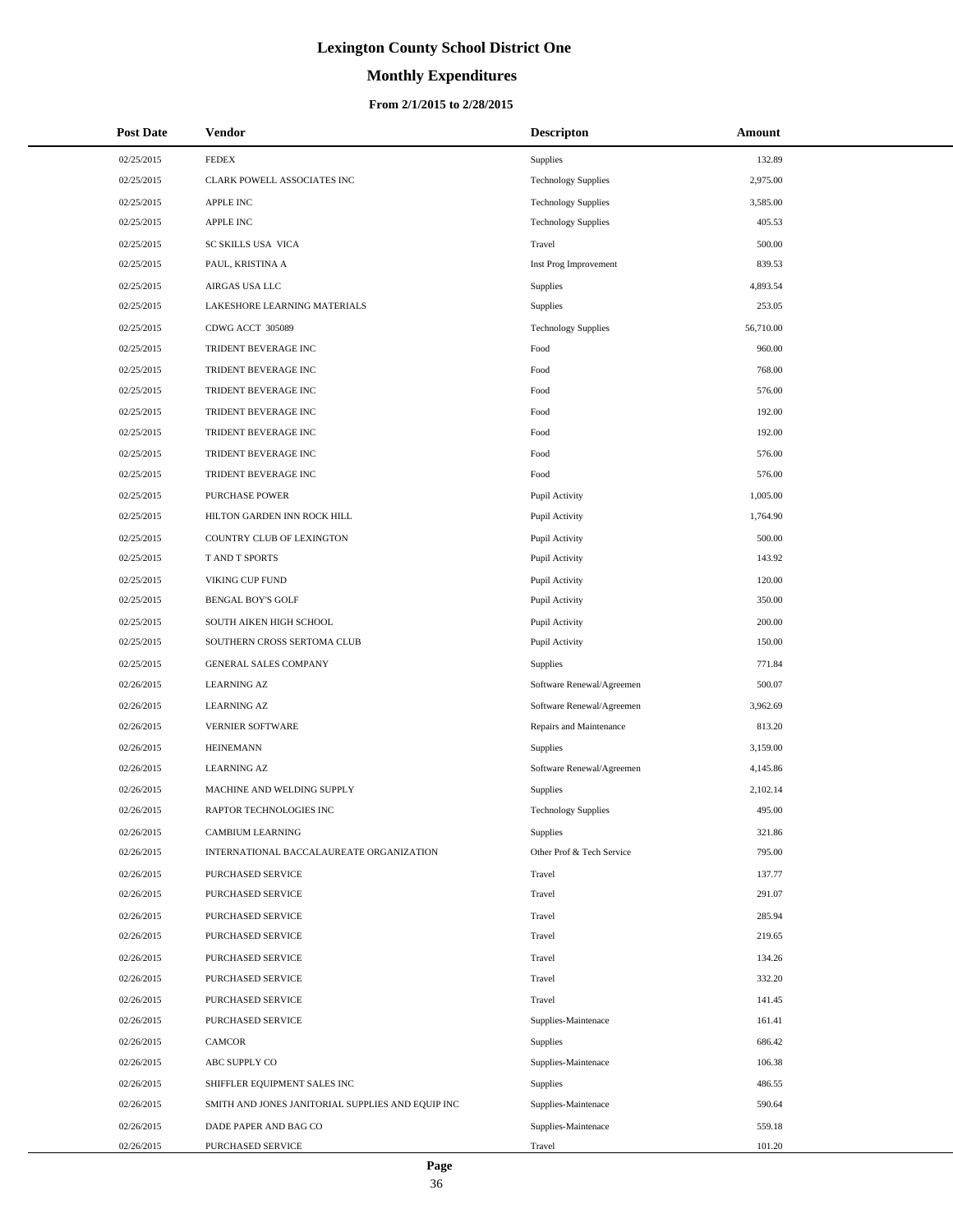# **Monthly Expenditures**

### **From 2/1/2015 to 2/28/2015**

| <b>Post Date</b> | <b>Vendor</b>                                     | <b>Descripton</b>          | Amount    |
|------------------|---------------------------------------------------|----------------------------|-----------|
| 02/25/2015       | <b>FEDEX</b>                                      | Supplies                   | 132.89    |
| 02/25/2015       | CLARK POWELL ASSOCIATES INC                       | <b>Technology Supplies</b> | 2,975.00  |
| 02/25/2015       | APPLE INC                                         | <b>Technology Supplies</b> | 3,585.00  |
| 02/25/2015       | APPLE INC                                         | <b>Technology Supplies</b> | 405.53    |
| 02/25/2015       | SC SKILLS USA VICA                                | Travel                     | 500.00    |
| 02/25/2015       | PAUL, KRISTINA A                                  | Inst Prog Improvement      | 839.53    |
| 02/25/2015       | AIRGAS USA LLC                                    | Supplies                   | 4,893.54  |
| 02/25/2015       | LAKESHORE LEARNING MATERIALS                      | Supplies                   | 253.05    |
| 02/25/2015       | CDWG ACCT 305089                                  | <b>Technology Supplies</b> | 56,710.00 |
| 02/25/2015       | TRIDENT BEVERAGE INC                              | Food                       | 960.00    |
| 02/25/2015       | TRIDENT BEVERAGE INC                              | Food                       | 768.00    |
| 02/25/2015       | TRIDENT BEVERAGE INC                              | Food                       | 576.00    |
| 02/25/2015       | TRIDENT BEVERAGE INC                              | Food                       | 192.00    |
| 02/25/2015       | TRIDENT BEVERAGE INC                              | Food                       | 192.00    |
| 02/25/2015       | TRIDENT BEVERAGE INC                              | Food                       | 576.00    |
| 02/25/2015       | TRIDENT BEVERAGE INC                              | Food                       | 576.00    |
| 02/25/2015       | <b>PURCHASE POWER</b>                             | Pupil Activity             | 1,005.00  |
| 02/25/2015       | HILTON GARDEN INN ROCK HILL                       | Pupil Activity             | 1,764.90  |
| 02/25/2015       | COUNTRY CLUB OF LEXINGTON                         | Pupil Activity             | 500.00    |
| 02/25/2015       | T AND T SPORTS                                    | Pupil Activity             | 143.92    |
| 02/25/2015       | VIKING CUP FUND                                   | Pupil Activity             | 120.00    |
| 02/25/2015       | <b>BENGAL BOY'S GOLF</b>                          | Pupil Activity             | 350.00    |
| 02/25/2015       | SOUTH AIKEN HIGH SCHOOL                           | Pupil Activity             | 200.00    |
| 02/25/2015       | SOUTHERN CROSS SERTOMA CLUB                       | Pupil Activity             | 150.00    |
| 02/25/2015       | GENERAL SALES COMPANY                             | Supplies                   | 771.84    |
| 02/26/2015       | <b>LEARNING AZ</b>                                | Software Renewal/Agreemen  | 500.07    |
| 02/26/2015       | <b>LEARNING AZ</b>                                | Software Renewal/Agreemen  | 3,962.69  |
| 02/26/2015       | <b>VERNIER SOFTWARE</b>                           | Repairs and Maintenance    | 813.20    |
| 02/26/2015       | <b>HEINEMANN</b>                                  | Supplies                   | 3,159.00  |
| 02/26/2015       | <b>LEARNING AZ</b>                                | Software Renewal/Agreemen  | 4,145.86  |
| 02/26/2015       | MACHINE AND WELDING SUPPLY                        | Supplies                   | 2,102.14  |
| 02/26/2015       | RAPTOR TECHNOLOGIES INC                           | <b>Technology Supplies</b> | 495.00    |
| 02/26/2015       | <b>CAMBIUM LEARNING</b>                           | Supplies                   | 321.86    |
| 02/26/2015       | INTERNATIONAL BACCALAUREATE ORGANIZATION          | Other Prof & Tech Service  | 795.00    |
| 02/26/2015       | PURCHASED SERVICE                                 | Travel                     | 137.77    |
| 02/26/2015       | PURCHASED SERVICE                                 | Travel                     | 291.07    |
| 02/26/2015       | PURCHASED SERVICE                                 | Travel                     | 285.94    |
| 02/26/2015       | PURCHASED SERVICE                                 | Travel                     | 219.65    |
| 02/26/2015       | PURCHASED SERVICE                                 | Travel                     | 134.26    |
| 02/26/2015       | PURCHASED SERVICE                                 | Travel                     | 332.20    |
| 02/26/2015       | PURCHASED SERVICE                                 | Travel                     | 141.45    |
| 02/26/2015       | PURCHASED SERVICE                                 | Supplies-Maintenace        | 161.41    |
| 02/26/2015       | CAMCOR                                            | Supplies                   | 686.42    |
| 02/26/2015       | ABC SUPPLY CO                                     | Supplies-Maintenace        | 106.38    |
| 02/26/2015       | SHIFFLER EQUIPMENT SALES INC                      | Supplies                   | 486.55    |
| 02/26/2015       | SMITH AND JONES JANITORIAL SUPPLIES AND EQUIP INC | Supplies-Maintenace        | 590.64    |
| 02/26/2015       | DADE PAPER AND BAG CO                             | Supplies-Maintenace        | 559.18    |
| 02/26/2015       | PURCHASED SERVICE                                 | Travel                     | 101.20    |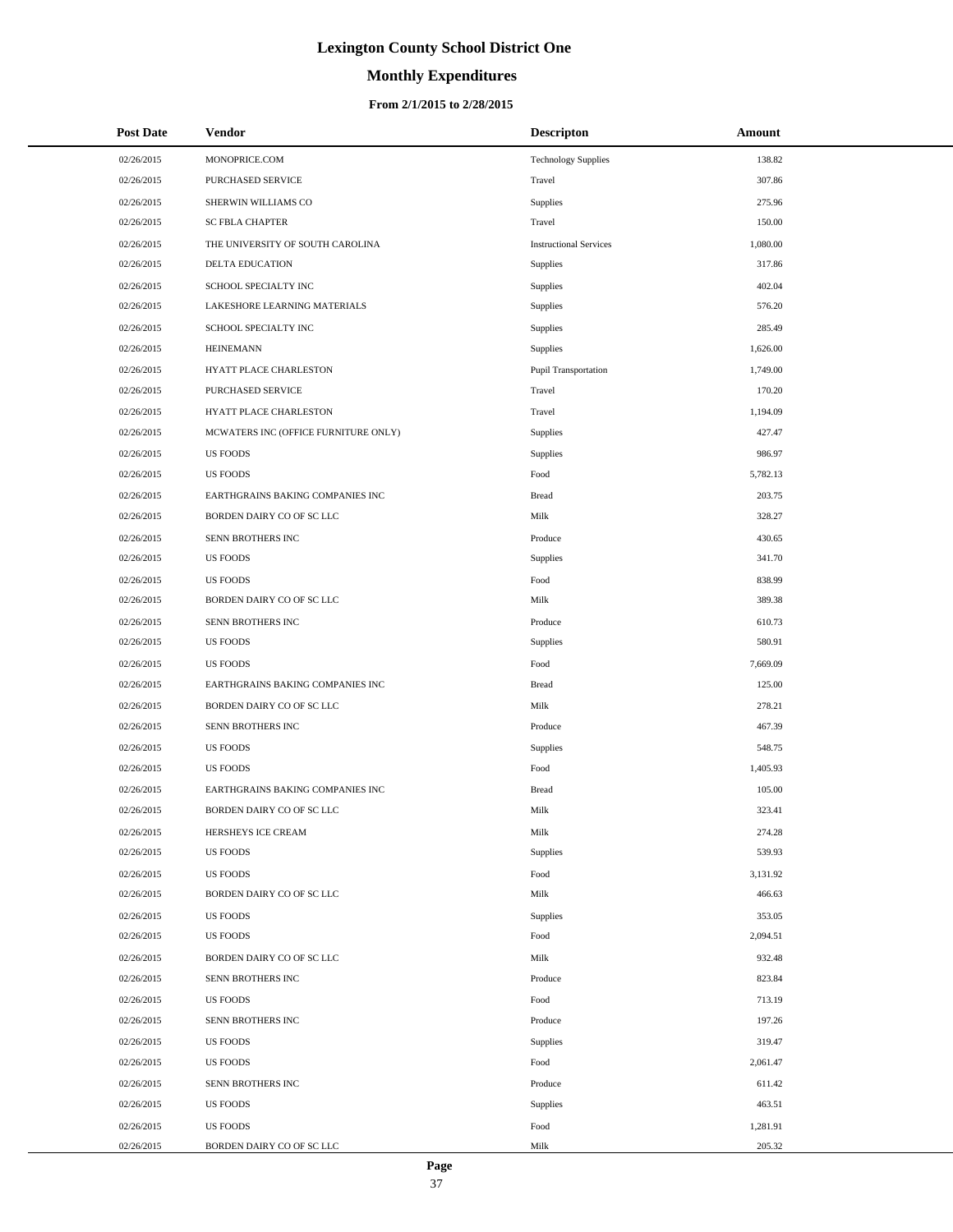# **Monthly Expenditures**

### **From 2/1/2015 to 2/28/2015**

| <b>Post Date</b> | Vendor                               | Descripton                    | Amount   |
|------------------|--------------------------------------|-------------------------------|----------|
| 02/26/2015       | MONOPRICE.COM                        | <b>Technology Supplies</b>    | 138.82   |
| 02/26/2015       | PURCHASED SERVICE                    | Travel                        | 307.86   |
| 02/26/2015       | SHERWIN WILLIAMS CO                  | Supplies                      | 275.96   |
| 02/26/2015       | <b>SC FBLA CHAPTER</b>               | Travel                        | 150.00   |
| 02/26/2015       | THE UNIVERSITY OF SOUTH CAROLINA     | <b>Instructional Services</b> | 1,080.00 |
| 02/26/2015       | DELTA EDUCATION                      | Supplies                      | 317.86   |
| 02/26/2015       | SCHOOL SPECIALTY INC                 | Supplies                      | 402.04   |
| 02/26/2015       | LAKESHORE LEARNING MATERIALS         | Supplies                      | 576.20   |
| 02/26/2015       | SCHOOL SPECIALTY INC                 | Supplies                      | 285.49   |
| 02/26/2015       | <b>HEINEMANN</b>                     | Supplies                      | 1,626.00 |
| 02/26/2015       | HYATT PLACE CHARLESTON               | Pupil Transportation          | 1,749.00 |
| 02/26/2015       | PURCHASED SERVICE                    | Travel                        | 170.20   |
| 02/26/2015       | HYATT PLACE CHARLESTON               | Travel                        | 1,194.09 |
| 02/26/2015       | MCWATERS INC (OFFICE FURNITURE ONLY) | Supplies                      | 427.47   |
| 02/26/2015       | <b>US FOODS</b>                      | Supplies                      | 986.97   |
| 02/26/2015       | <b>US FOODS</b>                      | Food                          | 5,782.13 |
| 02/26/2015       | EARTHGRAINS BAKING COMPANIES INC     | <b>Bread</b>                  | 203.75   |
| 02/26/2015       | BORDEN DAIRY CO OF SC LLC            | Milk                          | 328.27   |
| 02/26/2015       | SENN BROTHERS INC                    | Produce                       | 430.65   |
| 02/26/2015       | <b>US FOODS</b>                      | Supplies                      | 341.70   |
| 02/26/2015       | <b>US FOODS</b>                      | Food                          | 838.99   |
| 02/26/2015       | BORDEN DAIRY CO OF SC LLC            | Milk                          | 389.38   |
| 02/26/2015       | SENN BROTHERS INC                    | Produce                       | 610.73   |
| 02/26/2015       | <b>US FOODS</b>                      | Supplies                      | 580.91   |
| 02/26/2015       | <b>US FOODS</b>                      | Food                          | 7,669.09 |
| 02/26/2015       | EARTHGRAINS BAKING COMPANIES INC     | <b>Bread</b>                  | 125.00   |
| 02/26/2015       | BORDEN DAIRY CO OF SC LLC            | Milk                          | 278.21   |
| 02/26/2015       | SENN BROTHERS INC                    | Produce                       | 467.39   |
| 02/26/2015       | <b>US FOODS</b>                      | Supplies                      | 548.75   |
| 02/26/2015       | <b>US FOODS</b>                      | Food                          | 1,405.93 |
| 02/26/2015       | EARTHGRAINS BAKING COMPANIES INC     | <b>Bread</b>                  | 105.00   |
| 02/26/2015       | BORDEN DAIRY CO OF SC LLC            | Milk                          | 323.41   |
| 02/26/2015       | HERSHEYS ICE CREAM                   | Milk                          | 274.28   |
| 02/26/2015       | <b>US FOODS</b>                      | Supplies                      | 539.93   |
| 02/26/2015       | <b>US FOODS</b>                      | Food                          | 3,131.92 |
| 02/26/2015       | BORDEN DAIRY CO OF SC LLC            | Milk                          | 466.63   |
| 02/26/2015       | <b>US FOODS</b>                      | Supplies                      | 353.05   |
| 02/26/2015       | <b>US FOODS</b>                      | Food                          | 2,094.51 |
| 02/26/2015       | BORDEN DAIRY CO OF SC LLC            | Milk                          | 932.48   |
| 02/26/2015       | SENN BROTHERS INC                    | Produce                       | 823.84   |
| 02/26/2015       | <b>US FOODS</b>                      | Food                          | 713.19   |
| 02/26/2015       | SENN BROTHERS INC                    | Produce                       | 197.26   |
| 02/26/2015       | US FOODS                             | Supplies                      | 319.47   |
| 02/26/2015       | <b>US FOODS</b>                      | Food                          | 2,061.47 |
| 02/26/2015       | SENN BROTHERS INC                    | Produce                       | 611.42   |
| 02/26/2015       | <b>US FOODS</b>                      | Supplies                      | 463.51   |
| 02/26/2015       | <b>US FOODS</b>                      | Food                          | 1,281.91 |
| 02/26/2015       | BORDEN DAIRY CO OF SC LLC            | Milk                          | 205.32   |

 $\overline{a}$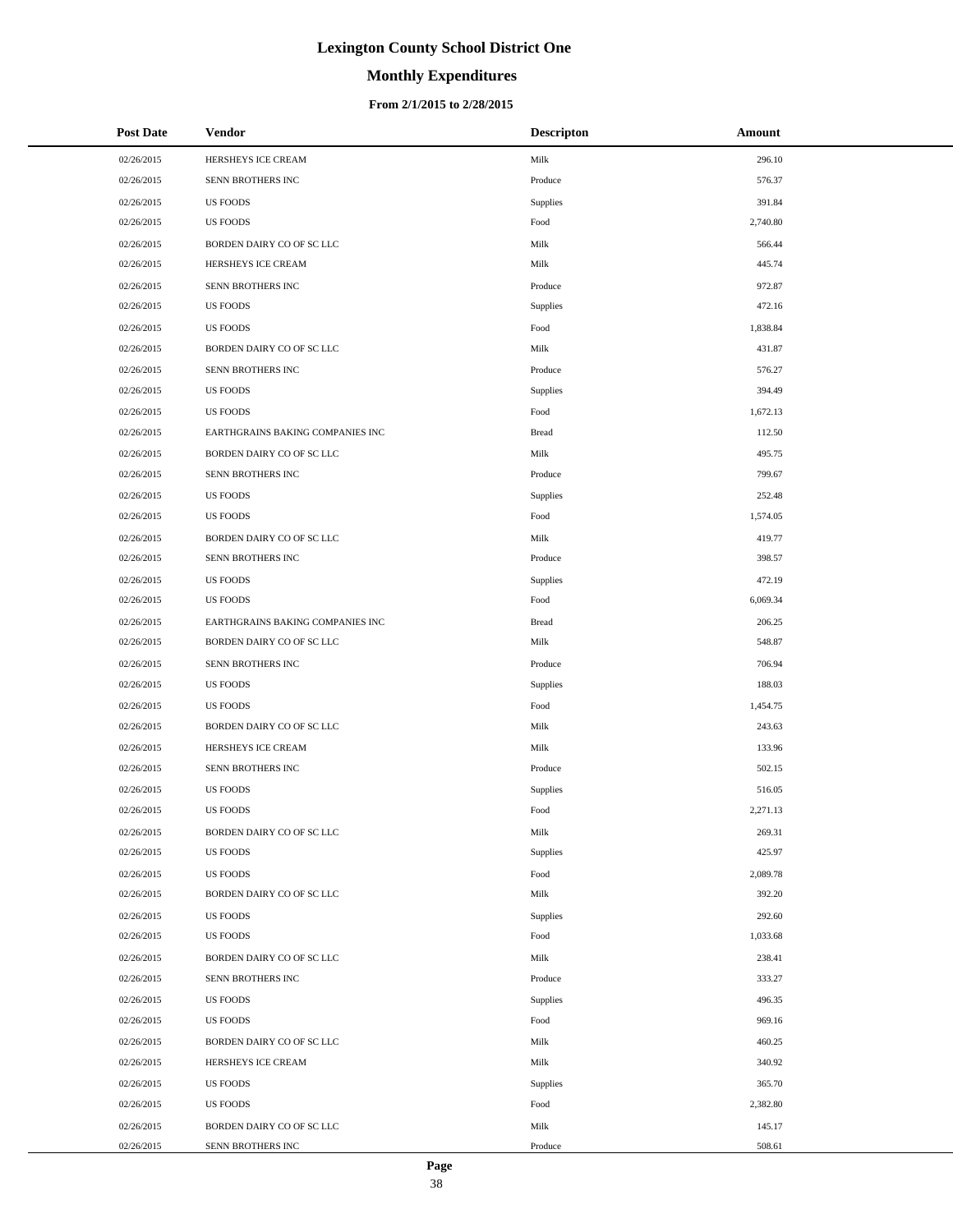# **Monthly Expenditures**

### **From 2/1/2015 to 2/28/2015**

| <b>Post Date</b> | <b>Vendor</b>                    | <b>Descripton</b> | Amount   |
|------------------|----------------------------------|-------------------|----------|
| 02/26/2015       | HERSHEYS ICE CREAM               | Milk              | 296.10   |
| 02/26/2015       | SENN BROTHERS INC                | Produce           | 576.37   |
| 02/26/2015       | <b>US FOODS</b>                  | Supplies          | 391.84   |
| 02/26/2015       | US FOODS                         | Food              | 2,740.80 |
| 02/26/2015       | BORDEN DAIRY CO OF SC LLC        | Milk              | 566.44   |
| 02/26/2015       | HERSHEYS ICE CREAM               | Milk              | 445.74   |
| 02/26/2015       | SENN BROTHERS INC                | Produce           | 972.87   |
| 02/26/2015       | US FOODS                         | Supplies          | 472.16   |
| 02/26/2015       | US FOODS                         | Food              | 1,838.84 |
| 02/26/2015       | BORDEN DAIRY CO OF SC LLC        | Milk              | 431.87   |
| 02/26/2015       | SENN BROTHERS INC                | Produce           | 576.27   |
| 02/26/2015       | US FOODS                         | Supplies          | 394.49   |
| 02/26/2015       | US FOODS                         | Food              | 1,672.13 |
| 02/26/2015       | EARTHGRAINS BAKING COMPANIES INC | <b>Bread</b>      | 112.50   |
| 02/26/2015       | BORDEN DAIRY CO OF SC LLC        | Milk              | 495.75   |
| 02/26/2015       | SENN BROTHERS INC                | Produce           | 799.67   |
| 02/26/2015       | US FOODS                         | Supplies          | 252.48   |
| 02/26/2015       | <b>US FOODS</b>                  | Food              | 1,574.05 |
| 02/26/2015       | BORDEN DAIRY CO OF SC LLC        | Milk              | 419.77   |
| 02/26/2015       | SENN BROTHERS INC                | Produce           | 398.57   |
| 02/26/2015       | US FOODS                         | Supplies          | 472.19   |
| 02/26/2015       | <b>US FOODS</b>                  | Food              | 6,069.34 |
| 02/26/2015       | EARTHGRAINS BAKING COMPANIES INC | <b>Bread</b>      | 206.25   |
| 02/26/2015       | BORDEN DAIRY CO OF SC LLC        | Milk              | 548.87   |
| 02/26/2015       | SENN BROTHERS INC                | Produce           | 706.94   |
| 02/26/2015       | <b>US FOODS</b>                  | Supplies          | 188.03   |
| 02/26/2015       | <b>US FOODS</b>                  | Food              | 1,454.75 |
| 02/26/2015       | BORDEN DAIRY CO OF SC LLC        | Milk              | 243.63   |
| 02/26/2015       | HERSHEYS ICE CREAM               | Milk              | 133.96   |
| 02/26/2015       | SENN BROTHERS INC                | Produce           | 502.15   |
| 02/26/2015       | <b>US FOODS</b>                  | Supplies          | 516.05   |
| 02/26/2015       | <b>US FOODS</b>                  | Food              | 2,271.13 |
| 02/26/2015       | BORDEN DAIRY CO OF SC LLC        | Milk              | 269.31   |
| 02/26/2015       | <b>US FOODS</b>                  | Supplies          | 425.97   |
| 02/26/2015       | <b>US FOODS</b>                  | Food              | 2,089.78 |
| 02/26/2015       | BORDEN DAIRY CO OF SC LLC        | Milk              | 392.20   |
| 02/26/2015       | <b>US FOODS</b>                  | Supplies          | 292.60   |
| 02/26/2015       | <b>US FOODS</b>                  | Food              | 1,033.68 |
| 02/26/2015       | BORDEN DAIRY CO OF SC LLC        | Milk              | 238.41   |
| 02/26/2015       | SENN BROTHERS INC                | Produce           | 333.27   |
| 02/26/2015       | <b>US FOODS</b>                  | Supplies          | 496.35   |
| 02/26/2015       | <b>US FOODS</b>                  | Food              | 969.16   |
| 02/26/2015       | BORDEN DAIRY CO OF SC LLC        | Milk              | 460.25   |
| 02/26/2015       | HERSHEYS ICE CREAM               | Milk              | 340.92   |
| 02/26/2015       | <b>US FOODS</b>                  | Supplies          | 365.70   |
| 02/26/2015       | <b>US FOODS</b>                  | Food              | 2,382.80 |
| 02/26/2015       | BORDEN DAIRY CO OF SC LLC        | Milk              | 145.17   |
| 02/26/2015       | SENN BROTHERS INC                | Produce           | 508.61   |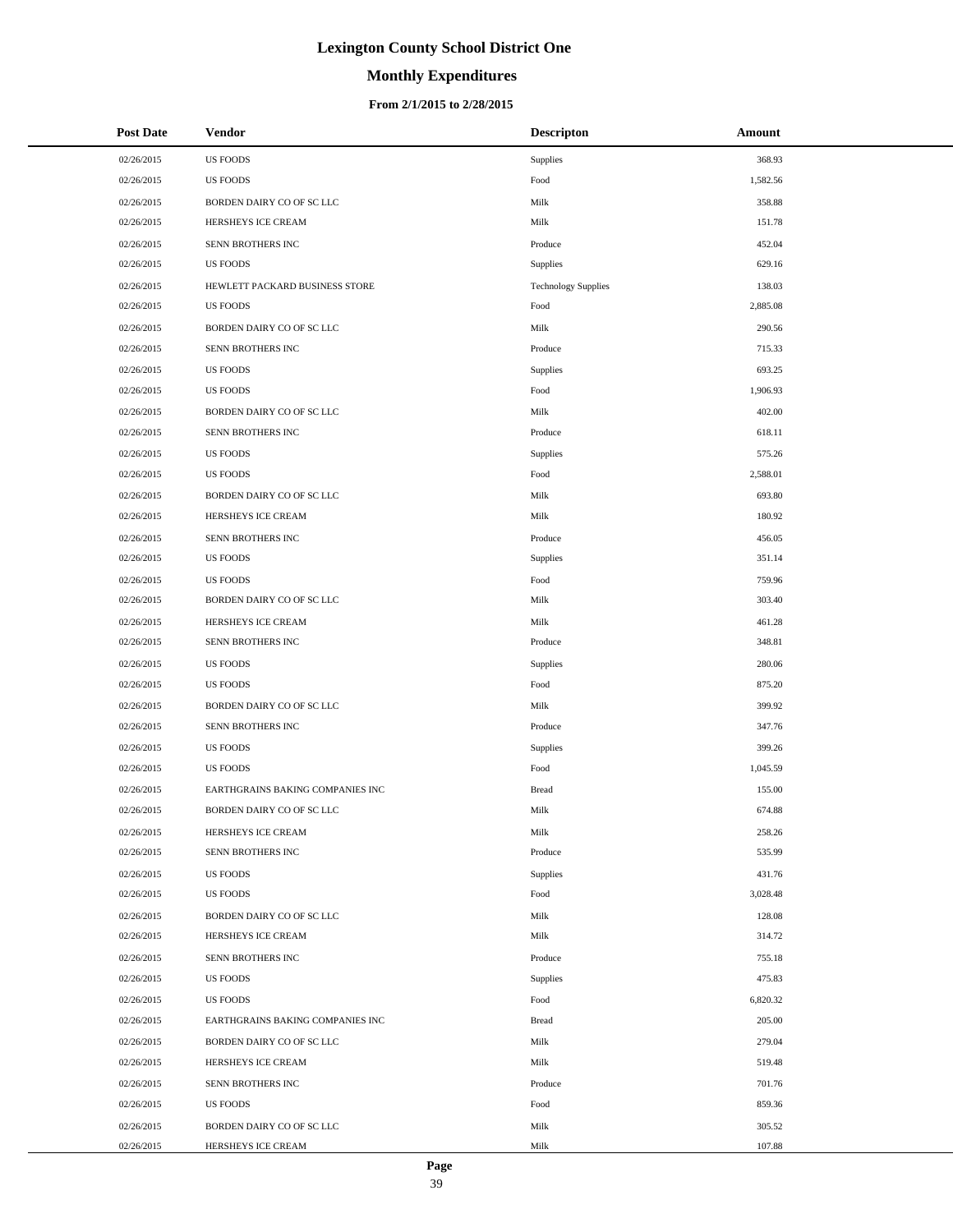# **Monthly Expenditures**

| <b>Post Date</b> | Vendor                           | <b>Descripton</b>          | Amount   |
|------------------|----------------------------------|----------------------------|----------|
| 02/26/2015       | <b>US FOODS</b>                  | Supplies                   | 368.93   |
| 02/26/2015       | <b>US FOODS</b>                  | Food                       | 1,582.56 |
| 02/26/2015       | BORDEN DAIRY CO OF SC LLC        | Milk                       | 358.88   |
| 02/26/2015       | HERSHEYS ICE CREAM               | Milk                       | 151.78   |
| 02/26/2015       | SENN BROTHERS INC                | Produce                    | 452.04   |
| 02/26/2015       | <b>US FOODS</b>                  | Supplies                   | 629.16   |
| 02/26/2015       | HEWLETT PACKARD BUSINESS STORE   | <b>Technology Supplies</b> | 138.03   |
| 02/26/2015       | <b>US FOODS</b>                  | Food                       | 2,885.08 |
| 02/26/2015       | BORDEN DAIRY CO OF SC LLC        | Milk                       | 290.56   |
| 02/26/2015       | SENN BROTHERS INC                | Produce                    | 715.33   |
| 02/26/2015       | <b>US FOODS</b>                  | Supplies                   | 693.25   |
| 02/26/2015       | <b>US FOODS</b>                  | Food                       | 1,906.93 |
| 02/26/2015       | BORDEN DAIRY CO OF SC LLC        | Milk                       | 402.00   |
| 02/26/2015       | SENN BROTHERS INC                | Produce                    | 618.11   |
| 02/26/2015       | <b>US FOODS</b>                  | Supplies                   | 575.26   |
| 02/26/2015       | <b>US FOODS</b>                  | Food                       | 2,588.01 |
| 02/26/2015       | BORDEN DAIRY CO OF SC LLC        | Milk                       | 693.80   |
| 02/26/2015       | HERSHEYS ICE CREAM               | Milk                       | 180.92   |
| 02/26/2015       | SENN BROTHERS INC                | Produce                    | 456.05   |
| 02/26/2015       | <b>US FOODS</b>                  | Supplies                   | 351.14   |
| 02/26/2015       | <b>US FOODS</b>                  | Food                       | 759.96   |
| 02/26/2015       | BORDEN DAIRY CO OF SC LLC        | Milk                       | 303.40   |
| 02/26/2015       | HERSHEYS ICE CREAM               | Milk                       | 461.28   |
| 02/26/2015       | SENN BROTHERS INC                | Produce                    | 348.81   |
| 02/26/2015       | <b>US FOODS</b>                  | Supplies                   | 280.06   |
| 02/26/2015       | <b>US FOODS</b>                  | Food                       | 875.20   |
| 02/26/2015       | BORDEN DAIRY CO OF SC LLC        | Milk                       | 399.92   |
| 02/26/2015       | SENN BROTHERS INC                | Produce                    | 347.76   |
| 02/26/2015       | <b>US FOODS</b>                  | Supplies                   | 399.26   |
| 02/26/2015       | <b>US FOODS</b>                  | Food                       | 1,045.59 |
| 02/26/2015       | EARTHGRAINS BAKING COMPANIES INC | <b>Bread</b>               | 155.00   |
| 02/26/2015       | BORDEN DAIRY CO OF SC LLC        | Milk                       | 674.88   |
| 02/26/2015       | HERSHEYS ICE CREAM               | Milk                       | 258.26   |
| 02/26/2015       | SENN BROTHERS INC                | Produce                    | 535.99   |
| 02/26/2015       | <b>US FOODS</b>                  | Supplies                   | 431.76   |
| 02/26/2015       | <b>US FOODS</b>                  | Food                       | 3,028.48 |
| 02/26/2015       | BORDEN DAIRY CO OF SC LLC        | Milk                       | 128.08   |
| 02/26/2015       | HERSHEYS ICE CREAM               | Milk                       | 314.72   |
| 02/26/2015       | SENN BROTHERS INC                | Produce                    | 755.18   |
| 02/26/2015       | <b>US FOODS</b>                  | Supplies                   | 475.83   |
| 02/26/2015       | <b>US FOODS</b>                  | Food                       | 6,820.32 |
| 02/26/2015       | EARTHGRAINS BAKING COMPANIES INC | <b>Bread</b>               | 205.00   |
| 02/26/2015       | BORDEN DAIRY CO OF SC LLC        | Milk                       | 279.04   |
| 02/26/2015       | HERSHEYS ICE CREAM               | Milk                       | 519.48   |
| 02/26/2015       | SENN BROTHERS INC                | Produce                    | 701.76   |
| 02/26/2015       | <b>US FOODS</b>                  | Food                       | 859.36   |
| 02/26/2015       | BORDEN DAIRY CO OF SC LLC        | Milk                       | 305.52   |
| 02/26/2015       | HERSHEYS ICE CREAM               | Milk                       | 107.88   |